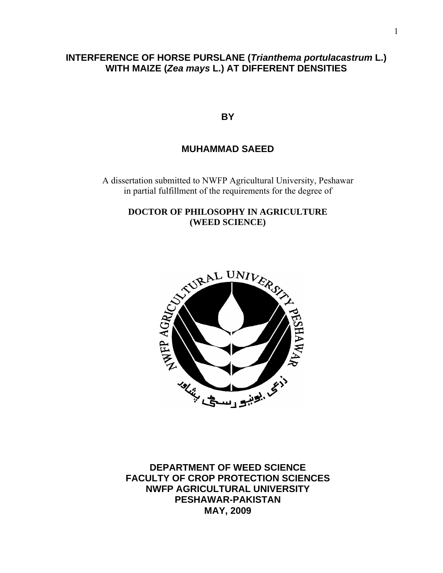# **INTERFERENCE OF HORSE PURSLANE (***Trianthema portulacastrum* **L.) WITH MAIZE (***Zea mays* **L.) AT DIFFERENT DENSITIES**

**BY** 

# **MUHAMMAD SAEED**

A dissertation submitted to NWFP Agricultural University, Peshawar in partial fulfillment of the requirements for the degree of

**DOCTOR OF PHILOSOPHY IN AGRICULTURE (WEED SCIENCE)** 



**DEPARTMENT OF WEED SCIENCE FACULTY OF CROP PROTECTION SCIENCES NWFP AGRICULTURAL UNIVERSITY PESHAWAR-PAKISTAN MAY, 2009**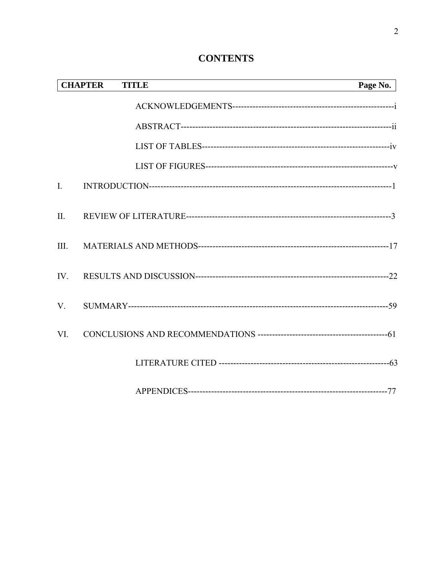# **CONTENTS**

|                | <b>CHAPTER</b><br><b>TITLE</b> | Page No. |
|----------------|--------------------------------|----------|
|                |                                |          |
|                |                                |          |
|                |                                |          |
|                |                                |          |
| $\mathbf{I}$ . |                                |          |
| II.            |                                |          |
| III.           |                                |          |
| IV.            |                                |          |
| $V_{\cdot}$    |                                |          |
| VI.            |                                |          |
|                |                                |          |
|                |                                |          |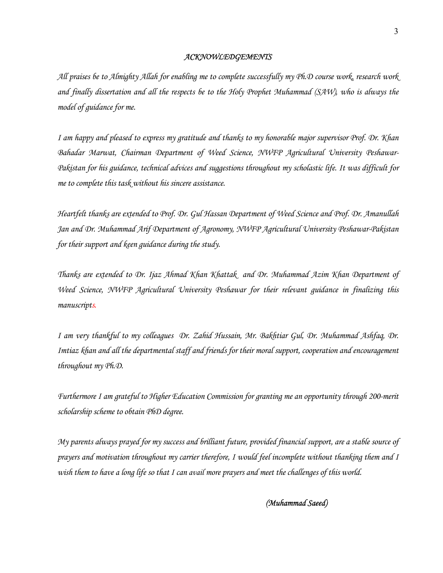#### *ACKNOWLEDGEMENTS*

*All praises be to Almighty Allah for enabling me to complete successfully my Ph.D course work, research work and finally dissertation and all the respects be to the Holy Prophet Muhammad (SAW), who is always the model of guidance for me.* 

*I am happy and pleased to express my gratitude and thanks to my honorable major supervisor Prof. Dr. Khan Bahadar Marwat, Chairman Department of Weed Science, NWFP Agricultural University Peshawar-Pakistan for his guidance, technical advices and suggestions throughout my scholastic life. It was difficult for me to complete this task without his sincere assistance.* 

*Heartfelt thanks are extended to Prof. Dr. Gul Hassan Department of Weed Science and Prof. Dr. Amanullah Jan and Dr. Muhammad Arif Department of Agronomy, NWFP Agricultural University Peshawar-Pakistan for their support and keen guidance during the study.* 

*Thanks are extended to Dr. Ijaz Ahmad Khan Khattak and Dr. Muhammad Azim Khan Department of Weed Science, NWFP Agricultural University Peshawar for their relevant guidance in finalizing this manuscripts.*

*I am very thankful to my colleagues Dr. Zahid Hussain, Mr. Bakhtiar Gul, Dr. Muhammad Ashfaq, Dr. Imtiaz khan and all the departmental staff and friends for their moral support, cooperation and encouragement throughout my Ph.D.* 

*Furthermore I am grateful to Higher Education Commission for granting me an opportunity through 200-merit scholarship scheme to obtain PhD degree.* 

*My parents always prayed for my success and brilliant future, provided financial support, are a stable source of prayers and motivation throughout my carrier therefore, I would feel incomplete without thanking them and I wish them to have a long life so that I can avail more prayers and meet the challenges of this world.* 

 *(Muhammad Saeed)*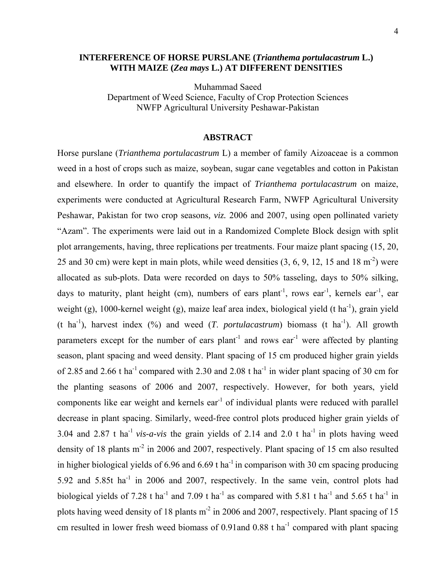## **INTERFERENCE OF HORSE PURSLANE (***Trianthema portulacastrum* **L.)** **WITH MAIZE (***Zea mays* **L.) AT DIFFERENT DENSITIES**

Muhammad Saeed Department of Weed Science, Faculty of Crop Protection Sciences NWFP Agricultural University Peshawar-Pakistan

#### **ABSTRACT**

Horse purslane (*Trianthema portulacastrum* L) a member of family Aizoaceae is a common weed in a host of crops such as maize, soybean, sugar cane vegetables and cotton in Pakistan and elsewhere. In order to quantify the impact of *Trianthema portulacastrum* on maize, experiments were conducted at Agricultural Research Farm, NWFP Agricultural University Peshawar, Pakistan for two crop seasons*, viz.* 2006 and 2007, using open pollinated variety "Azam". The experiments were laid out in a Randomized Complete Block design with split plot arrangements, having, three replications per treatments. Four maize plant spacing (15, 20, 25 and 30 cm) were kept in main plots, while weed densities  $(3, 6, 9, 12, 15, 18, m<sup>-2</sup>)$  were allocated as sub-plots. Data were recorded on days to 50% tasseling, days to 50% silking, days to maturity, plant height (cm), numbers of ears plant<sup>-1</sup>, rows ear<sup>-1</sup>, kernels ear<sup>-1</sup>, ear weight (g), 1000-kernel weight (g), maize leaf area index, biological yield (t ha<sup>-1</sup>), grain yield (t ha<sup>-1</sup>), harvest index (%) and weed (*T. portulacastrum*) biomass (t ha<sup>-1</sup>). All growth parameters except for the number of ears plant<sup>-1</sup> and rows ear<sup>-1</sup> were affected by planting season, plant spacing and weed density. Plant spacing of 15 cm produced higher grain yields of 2.85 and 2.66 t ha<sup>-1</sup> compared with 2.30 and 2.08 t ha<sup>-1</sup> in wider plant spacing of 30 cm for the planting seasons of 2006 and 2007, respectively. However, for both years, yield components like ear weight and kernels ear<sup>-1</sup> of individual plants were reduced with parallel decrease in plant spacing. Similarly, weed-free control plots produced higher grain yields of 3.04 and 2.87 t ha<sup>-1</sup> *vis-a-vis* the grain yields of 2.14 and 2.0 t ha<sup>-1</sup> in plots having weed density of 18 plants m<sup>-2</sup> in 2006 and 2007, respectively. Plant spacing of 15 cm also resulted in higher biological yields of  $6.96$  and  $6.69$  t ha<sup>-1</sup> in comparison with 30 cm spacing producing 5.92 and 5.85t ha<sup>-1</sup> in 2006 and 2007, respectively. In the same vein, control plots had biological yields of 7.28 t ha<sup>-1</sup> and 7.09 t ha<sup>-1</sup> as compared with 5.81 t ha<sup>-1</sup> and 5.65 t ha<sup>-1</sup> in plots having weed density of 18 plants  $m<sup>2</sup>$  in 2006 and 2007, respectively. Plant spacing of 15 cm resulted in lower fresh weed biomass of 0.91and 0.88 t ha<sup>-1</sup> compared with plant spacing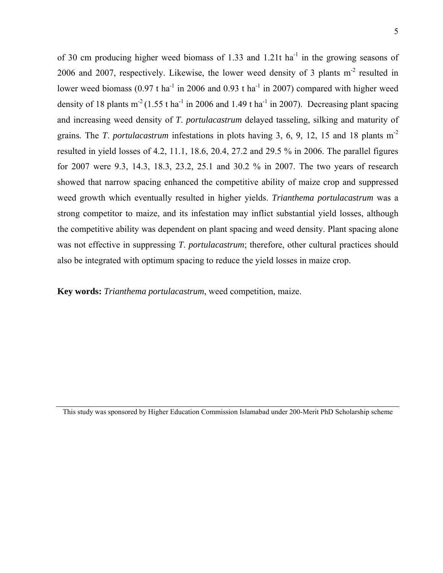of 30 cm producing higher weed biomass of 1.33 and 1.21t ha<sup> $1$ </sup> in the growing seasons of 2006 and 2007, respectively. Likewise, the lower weed density of 3 plants m-2 resulted in lower weed biomass  $(0.97 \text{ t} \text{ ha}^{-1}$  in 2006 and 0.93 t ha<sup>-1</sup> in 2007) compared with higher weed density of 18 plants  $m^2$  (1.55 t ha<sup>-1</sup> in 2006 and 1.49 t ha<sup>-1</sup> in 2007). Decreasing plant spacing and increasing weed density of *T*. *portulacastrum* delayed tasseling, silking and maturity of grains*.* The *T*. *portulacastrum* infestations in plots having 3, 6, 9, 12, 15 and 18 plants m-2 resulted in yield losses of 4.2, 11.1, 18.6, 20.4, 27.2 and 29.5 % in 2006. The parallel figures for 2007 were 9.3, 14.3, 18.3, 23.2, 25.1 and 30.2 % in 2007. The two years of research showed that narrow spacing enhanced the competitive ability of maize crop and suppressed weed growth which eventually resulted in higher yields. *Trianthema portulacastrum* was a strong competitor to maize, and its infestation may inflict substantial yield losses, although the competitive ability was dependent on plant spacing and weed density. Plant spacing alone was not effective in suppressing *T*. *portulacastrum*; therefore, other cultural practices should also be integrated with optimum spacing to reduce the yield losses in maize crop.

**Key words:** *Trianthema portulacastrum*, weed competition, maize.

This study was sponsored by Higher Education Commission Islamabad under 200-Merit PhD Scholarship scheme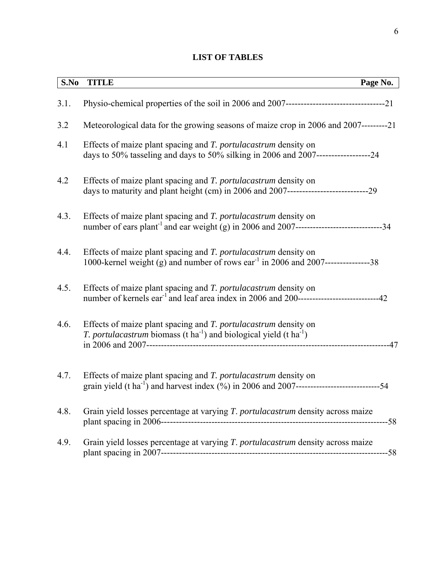# **LIST OF TABLES**

| S.No | <b>TITLE</b>                                                                                                                                                         | Page No. |
|------|----------------------------------------------------------------------------------------------------------------------------------------------------------------------|----------|
| 3.1. |                                                                                                                                                                      |          |
| 3.2  | Meteorological data for the growing seasons of maize crop in 2006 and 2007---------21                                                                                |          |
| 4.1  | Effects of maize plant spacing and T. portulacastrum density on<br>days to 50% tasseling and days to 50% silking in 2006 and 2007-----------------------24           |          |
| 4.2  | Effects of maize plant spacing and T. portulacastrum density on                                                                                                      |          |
| 4.3. | Effects of maize plant spacing and T. portulacastrum density on                                                                                                      |          |
| 4.4. | Effects of maize plant spacing and T. portulacastrum density on<br>1000-kernel weight (g) and number of rows ear <sup>-1</sup> in 2006 and 2007-----------------38   |          |
| 4.5. | Effects of maize plant spacing and T. portulacastrum density on                                                                                                      |          |
| 4.6. | Effects of maize plant spacing and T. portulacastrum density on<br><i>T. portulacastrum</i> biomass (t ha <sup>-1</sup> ) and biological yield (t ha <sup>-1</sup> ) |          |
| 4.7. | Effects of maize plant spacing and T. portulacastrum density on                                                                                                      |          |
| 4.8. | Grain yield losses percentage at varying T. portulacastrum density across maize                                                                                      |          |
| 4.9. | Grain yield losses percentage at varying T. portulacastrum density across maize                                                                                      |          |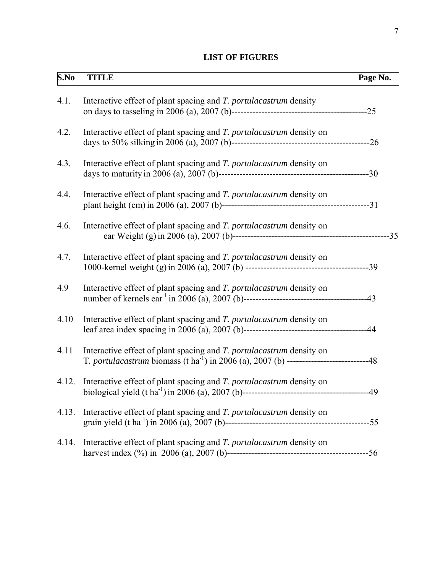# **LIST OF FIGURES**

| S.No  | <b>TITLE</b>                                                                                                                                                                       | Page No. |
|-------|------------------------------------------------------------------------------------------------------------------------------------------------------------------------------------|----------|
| 4.1.  | Interactive effect of plant spacing and T. portulacastrum density                                                                                                                  |          |
| 4.2.  | Interactive effect of plant spacing and T. portulacastrum density on                                                                                                               |          |
| 4.3.  | Interactive effect of plant spacing and T. portulacastrum density on                                                                                                               |          |
| 4.4.  | Interactive effect of plant spacing and T. portulacastrum density on                                                                                                               |          |
| 4.6.  | Interactive effect of plant spacing and T. portulacastrum density on                                                                                                               |          |
| 4.7.  | Interactive effect of plant spacing and T. portulacastrum density on                                                                                                               |          |
| 4.9   | Interactive effect of plant spacing and T. portulacastrum density on                                                                                                               |          |
| 4.10  | Interactive effect of plant spacing and T. portulacastrum density on                                                                                                               |          |
| 4.11  | Interactive effect of plant spacing and T. portulacastrum density on<br>T. portulacastrum biomass (t ha <sup>-1</sup> ) in 2006 (a), 2007 (b) ----------------------------------48 |          |
| 4.12. | Interactive effect of plant spacing and T. portulacastrum density on                                                                                                               |          |
| 4.13. | Interactive effect of plant spacing and T. portulacastrum density on                                                                                                               |          |
| 4.14. | Interactive effect of plant spacing and T. portulacastrum density on                                                                                                               |          |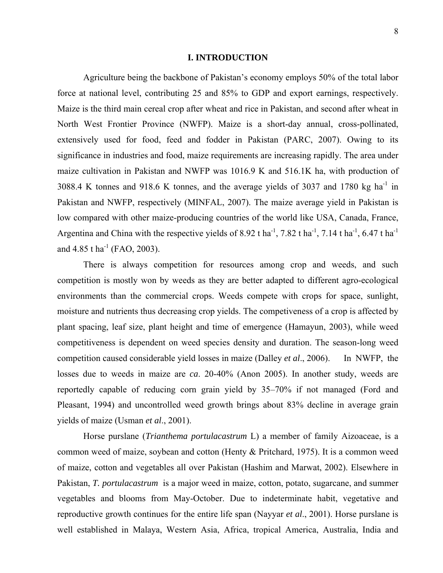#### **I. INTRODUCTION**

 Agriculture being the backbone of Pakistan's economy employs 50% of the total labor force at national level, contributing 25 and 85% to GDP and export earnings, respectively. Maize is the third main cereal crop after wheat and rice in Pakistan, and second after wheat in North West Frontier Province (NWFP). Maize is a short-day annual, cross-pollinated, extensively used for food, feed and fodder in Pakistan (PARC, 2007). Owing to its significance in industries and food, maize requirements are increasing rapidly. The area under maize cultivation in Pakistan and NWFP was 1016.9 K and 516.1K ha, with production of 3088.4 K tonnes and 918.6 K tonnes, and the average yields of 3037 and 1780 kg ha<sup>-1</sup> in Pakistan and NWFP, respectively (MINFAL, 2007). The maize average yield in Pakistan is low compared with other maize-producing countries of the world like USA, Canada, France, Argentina and China with the respective yields of 8.92 t ha<sup>-1</sup>, 7.82 t ha<sup>-1</sup>, 7.14 t ha<sup>-1</sup>, 6.47 t ha<sup>-1</sup> and  $4.85$  t ha<sup>-1</sup> (FAO, 2003).

 There is always competition for resources among crop and weeds, and such competition is mostly won by weeds as they are better adapted to different agro-ecological environments than the commercial crops. Weeds compete with crops for space, sunlight, moisture and nutrients thus decreasing crop yields. The competiveness of a crop is affected by plant spacing, leaf size, plant height and time of emergence (Hamayun, 2003), while weed competitiveness is dependent on weed species density and duration. The season-long weed competition caused considerable yield losses in maize (Dalley *et al*., 2006). In NWFP, the losses due to weeds in maize are *ca*. 20-40% (Anon 2005). In another study, weeds are reportedly capable of reducing corn grain yield by 35–70% if not managed (Ford and Pleasant, 1994) and uncontrolled weed growth brings about 83% decline in average grain yields of maize (Usman *et al*., 2001).

Horse purslane (*Trianthema portulacastrum* L) a member of family Aizoaceae, is a common weed of maize, soybean and cotton (Henty & Pritchard, 1975). It is a common weed of maize, cotton and vegetables all over Pakistan (Hashim and Marwat, 2002). Elsewhere in Pakistan, *T. portulacastrum* is a major weed in maize, cotton, potato, sugarcane, and summer vegetables and blooms from May-October. Due to indeterminate habit, vegetative and reproductive growth continues for the entire life span (Nayyar *et al*., 2001). Horse purslane is well established in Malaya, Western Asia, Africa, tropical America, Australia, India and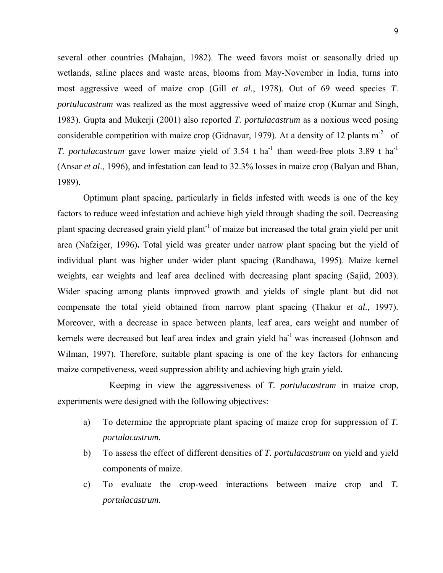several other countries (Mahajan, 1982). The weed favors moist or seasonally dried up wetlands, saline places and waste areas, blooms from May-November in India, turns into most aggressive weed of maize crop (Gill *et al*., 1978). Out of 69 weed species *T*. *portulacastrum* was realized as the most aggressive weed of maize crop (Kumar and Singh, 1983). Gupta and Mukerji (2001) also reported *T. portulacastrum* as a noxious weed posing considerable competition with maize crop (Gidnavar, 1979). At a density of 12 plants  $m<sup>2</sup>$  of *T. portulacastrum* gave lower maize yield of 3.54 t ha<sup>-1</sup> than weed-free plots 3.89 t ha<sup>-1</sup> (Ansar *et al*., 1996), and infestation can lead to 32.3% losses in maize crop (Balyan and Bhan, 1989).

 Optimum plant spacing, particularly in fields infested with weeds is one of the key factors to reduce weed infestation and achieve high yield through shading the soil. Decreasing plant spacing decreased grain yield plant<sup>-1</sup> of maize but increased the total grain yield per unit area (Nafziger, 1996)**.** Total yield was greater under narrow plant spacing but the yield of individual plant was higher under wider plant spacing (Randhawa, 1995). Maize kernel weights, ear weights and leaf area declined with decreasing plant spacing (Sajid, 2003). Wider spacing among plants improved growth and yields of single plant but did not compensate the total yield obtained from narrow plant spacing (Thakur *et al.,* 1997). Moreover, with a decrease in space between plants, leaf area, ears weight and number of kernels were decreased but leaf area index and grain yield ha<sup>-1</sup> was increased (Johnson and Wilman, 1997). Therefore, suitable plant spacing is one of the key factors for enhancing maize competiveness, weed suppression ability and achieving high grain yield.

Keeping in view the aggressiveness of *T. portulacastrum* in maize crop, experiments were designed with the following objectives:

- a) To determine the appropriate plant spacing of maize crop for suppression of *T. portulacastrum*.
- b) To assess the effect of different densities of *T. portulacastrum* on yield and yield components of maize.
- c) To evaluate the crop-weed interactions between maize crop and *T. portulacastrum*.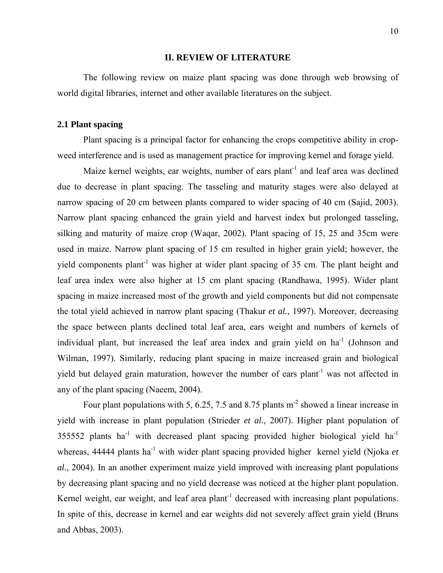#### **II. REVIEW OF LITERATURE**

 The following review on maize plant spacing was done through web browsing of world digital libraries, internet and other available literatures on the subject.

## **2.1 Plant spacing**

 Plant spacing is a principal factor for enhancing the crops competitive ability in cropweed interference and is used as management practice for improving kernel and forage yield.

Maize kernel weights, ear weights, number of ears plant<sup>-1</sup> and leaf area was declined due to decrease in plant spacing. The tasseling and maturity stages were also delayed at narrow spacing of 20 cm between plants compared to wider spacing of 40 cm (Sajid, 2003). Narrow plant spacing enhanced the grain yield and harvest index but prolonged tasseling, silking and maturity of maize crop (Waqar, 2002). Plant spacing of 15, 25 and 35cm were used in maize. Narrow plant spacing of 15 cm resulted in higher grain yield; however, the yield components plant<sup>-1</sup> was higher at wider plant spacing of 35 cm. The plant height and leaf area index were also higher at 15 cm plant spacing (Randhawa, 1995). Wider plant spacing in maize increased most of the growth and yield components but did not compensate the total yield achieved in narrow plant spacing (Thakur *et al.*, 1997). Moreover, decreasing the space between plants declined total leaf area, ears weight and numbers of kernels of individual plant, but increased the leaf area index and grain vield on  $ha^{-1}$  (Johnson and Wilman, 1997). Similarly, reducing plant spacing in maize increased grain and biological yield but delayed grain maturation, however the number of ears plant<sup>-1</sup> was not affected in any of the plant spacing (Naeem, 2004).

Four plant populations with 5, 6.25, 7.5 and 8.75 plants  $m<sup>2</sup>$  showed a linear increase in yield with increase in plant population (Strieder *et al.*, 2007). Higher plant population of  $355552$  plants ha<sup>-1</sup> with decreased plant spacing provided higher biological yield ha<sup>-1</sup> whereas, 44444 plants ha<sup>-1</sup> with wider plant spacing provided higher kernel yield (Njoka *et al.*, 2004). In an another experiment maize yield improved with increasing plant populations by decreasing plant spacing and no yield decrease was noticed at the higher plant population. Kernel weight, ear weight, and leaf area plant<sup>-1</sup> decreased with increasing plant populations. In spite of this, decrease in kernel and ear weights did not severely affect grain yield (Bruns and Abbas, 2003).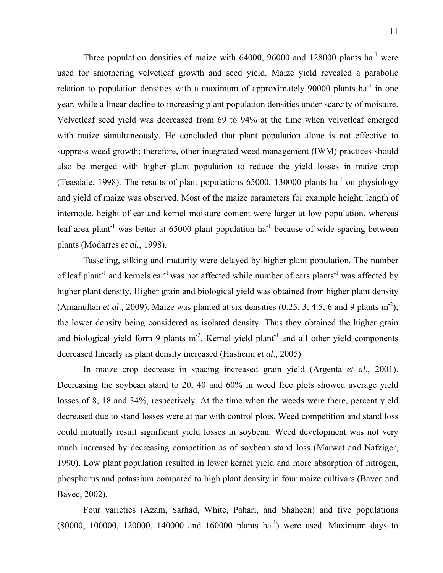Three population densities of maize with  $64000$ ,  $96000$  and  $128000$  plants ha<sup>-1</sup> were used for smothering velvetleaf growth and seed yield. Maize yield revealed a parabolic relation to population densities with a maximum of approximately 90000 plants  $ha^{-1}$  in one year, while a linear decline to increasing plant population densities under scarcity of moisture. Velvetleaf seed yield was decreased from 69 to 94% at the time when velvetleaf emerged with maize simultaneously. He concluded that plant population alone is not effective to suppress weed growth; therefore, other integrated weed management (IWM) practices should also be merged with higher plant population to reduce the yield losses in maize crop (Teasdale, 1998). The results of plant populations  $65000$ , 130000 plants ha<sup>-1</sup> on physiology and yield of maize was observed. Most of the maize parameters for example height, length of internode, height of ear and kernel moisture content were larger at low population, whereas leaf area plant<sup>-1</sup> was better at 65000 plant population ha<sup>-1</sup> because of wide spacing between plants (Modarres *et al.*, 1998).

 Tasseling, silking and maturity were delayed by higher plant population. The number of leaf plant<sup>-1</sup> and kernels ear<sup>-1</sup> was not affected while number of ears plants<sup>-1</sup> was affected by higher plant density. Higher grain and biological yield was obtained from higher plant density (Amanullah *et al.*, 2009). Maize was planted at six densities  $(0.25, 3, 4.5, 6$  and 9 plants m<sup>-2</sup>), the lower density being considered as isolated density. Thus they obtained the higher grain and biological yield form 9 plants  $m<sup>2</sup>$ . Kernel yield plant<sup>-1</sup> and all other yield components decreased linearly as plant density increased (Hashemi *et al*.*,* 2005).

In maize crop decrease in spacing increased grain yield (Argenta *et al.*, 2001). Decreasing the soybean stand to 20, 40 and 60% in weed free plots showed average yield losses of 8, 18 and 34%, respectively. At the time when the weeds were there, percent yield decreased due to stand losses were at par with control plots. Weed competition and stand loss could mutually result significant yield losses in soybean. Weed development was not very much increased by decreasing competition as of soybean stand loss (Marwat and Nafziger, 1990). Low plant population resulted in lower kernel yield and more absorption of nitrogen, phosphorus and potassium compared to high plant density in four maize cultivars (Bavec and Bavec, 2002).

 Four varieties (Azam, Sarhad, White, Pahari, and Shaheen) and five populations  $(80000, 100000, 120000, 140000, 140000, 160000, 16000)$  plants ha<sup>-1</sup>) were used. Maximum days to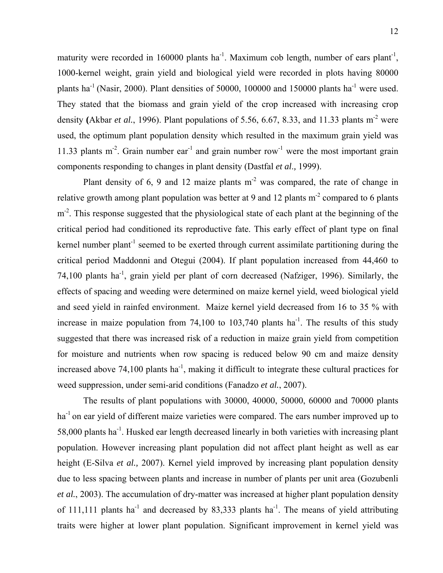maturity were recorded in 160000 plants ha<sup>-1</sup>. Maximum cob length, number of ears plant<sup>-1</sup>, 1000-kernel weight, grain yield and biological yield were recorded in plots having 80000 plants ha<sup>-1</sup> (Nasir, 2000). Plant densities of 50000, 100000 and 150000 plants ha<sup>-1</sup> were used. They stated that the biomass and grain yield of the crop increased with increasing crop density (Akbar *et al.*, 1996). Plant populations of 5.56, 6.67, 8.33, and 11.33 plants  $m<sup>2</sup>$  were used, the optimum plant population density which resulted in the maximum grain yield was 11.33 plants  $m<sup>2</sup>$ . Grain number ear<sup>-1</sup> and grain number row<sup>-1</sup> were the most important grain components responding to changes in plant density (Dastfal *et al*.*,* 1999).

Plant density of  $6$ ,  $9$  and  $12$  maize plants  $m<sup>2</sup>$  was compared, the rate of change in relative growth among plant population was better at 9 and 12 plants  $m<sup>2</sup>$  compared to 6 plants m<sup>-2</sup>. This response suggested that the physiological state of each plant at the beginning of the critical period had conditioned its reproductive fate. This early effect of plant type on final kernel number plant<sup>-1</sup> seemed to be exerted through current assimilate partitioning during the critical period Maddonni and Otegui (2004). If plant population increased from 44,460 to 74,100 plants ha-1, grain yield per plant of corn decreased (Nafziger, 1996). Similarly, the effects of spacing and weeding were determined on maize kernel yield, weed biological yield and seed yield in rainfed environment. Maize kernel yield decreased from 16 to 35 % with increase in maize population from 74,100 to 103,740 plants  $ha^{-1}$ . The results of this study suggested that there was increased risk of a reduction in maize grain yield from competition for moisture and nutrients when row spacing is reduced below 90 cm and maize density increased above  $74,100$  plants ha<sup>-1</sup>, making it difficult to integrate these cultural practices for weed suppression, under semi-arid conditions (Fanadzo *et al.*, 2007).

 The results of plant populations with 30000, 40000, 50000, 60000 and 70000 plants ha<sup>-1</sup> on ear yield of different maize varieties were compared. The ears number improved up to 58,000 plants ha-1. Husked ear length decreased linearly in both varieties with increasing plant population. However increasing plant population did not affect plant height as well as ear height (E-Silva *et al.,* 2007). Kernel yield improved by increasing plant population density due to less spacing between plants and increase in number of plants per unit area (Gozubenli *et al.*, 2003). The accumulation of dry-matter was increased at higher plant population density of 111,111 plants ha<sup>-1</sup> and decreased by 83,333 plants ha<sup>-1</sup>. The means of yield attributing traits were higher at lower plant population. Significant improvement in kernel yield was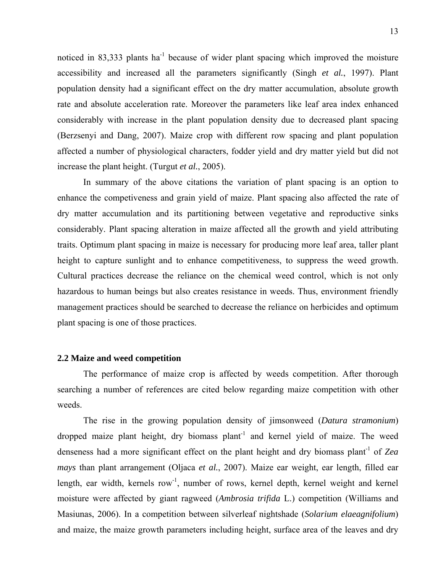noticed in 83,333 plants ha<sup> $-1$ </sup> because of wider plant spacing which improved the moisture accessibility and increased all the parameters significantly (Singh *et al.*, 1997). Plant population density had a significant effect on the dry matter accumulation, absolute growth rate and absolute acceleration rate. Moreover the parameters like leaf area index enhanced considerably with increase in the plant population density due to decreased plant spacing (Berzsenyi and Dang, 2007). Maize crop with different row spacing and plant population affected a number of physiological characters, fodder yield and dry matter yield but did not increase the plant height. (Turgut *et al.*, 2005).

 In summary of the above citations the variation of plant spacing is an option to enhance the competiveness and grain yield of maize. Plant spacing also affected the rate of dry matter accumulation and its partitioning between vegetative and reproductive sinks considerably. Plant spacing alteration in maize affected all the growth and yield attributing traits. Optimum plant spacing in maize is necessary for producing more leaf area, taller plant height to capture sunlight and to enhance competitiveness, to suppress the weed growth. Cultural practices decrease the reliance on the chemical weed control, which is not only hazardous to human beings but also creates resistance in weeds. Thus, environment friendly management practices should be searched to decrease the reliance on herbicides and optimum plant spacing is one of those practices.

#### **2.2 Maize and weed competition**

The performance of maize crop is affected by weeds competition. After thorough searching a number of references are cited below regarding maize competition with other weeds.

 The rise in the growing population density of jimsonweed (*Datura stramonium*) dropped maize plant height, dry biomass plant<sup>-1</sup> and kernel yield of maize. The weed denseness had a more significant effect on the plant height and dry biomass plant<sup>-1</sup> of *Zea mays* than plant arrangement (Oljaca *et al.*, 2007). Maize ear weight, ear length, filled ear length, ear width, kernels row<sup>-1</sup>, number of rows, kernel depth, kernel weight and kernel moisture were affected by giant ragweed (*Ambrosia trifida* L.) competition (Williams and Masiunas, 2006). In a competition between silverleaf nightshade (*Solarium elaeagnifolium*) and maize, the maize growth parameters including height, surface area of the leaves and dry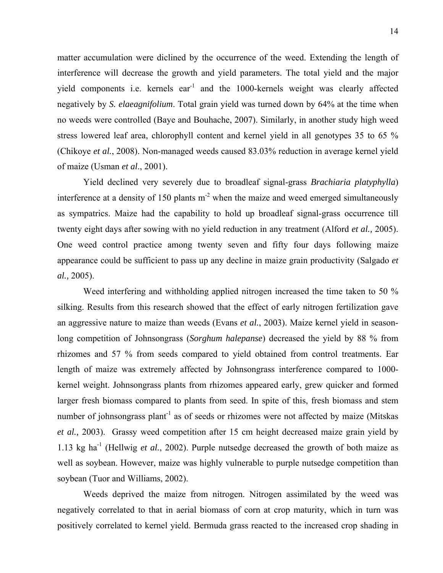matter accumulation were diclined by the occurrence of the weed. Extending the length of interference will decrease the growth and yield parameters. The total yield and the major yield components i.e. kernels ear<sup>-1</sup> and the 1000-kernels weight was clearly affected negatively by *S. elaeagnifolium*. Total grain yield was turned down by 64% at the time when no weeds were controlled (Baye and Bouhache, 2007). Similarly, in another study high weed stress lowered leaf area, chlorophyll content and kernel yield in all genotypes 35 to 65 % (Chikoye *et al.*, 2008). Non-managed weeds caused 83.03% reduction in average kernel yield of maize (Usman *et al*., 2001).

Yield declined very severely due to broadleaf signal-grass *Brachiaria platyphylla*) interference at a density of 150 plants  $m<sup>2</sup>$  when the maize and weed emerged simultaneously as sympatrics. Maize had the capability to hold up broadleaf signal-grass occurrence till twenty eight days after sowing with no yield reduction in any treatment (Alford *et al.,* 2005). One weed control practice among twenty seven and fifty four days following maize appearance could be sufficient to pass up any decline in maize grain productivity (Salgado *et al.,* 2005).

Weed interfering and withholding applied nitrogen increased the time taken to 50 % silking. Results from this research showed that the effect of early nitrogen fertilization gave an aggressive nature to maize than weeds (Evans *et al.*, 2003). Maize kernel yield in seasonlong competition of Johnsongrass (*Sorghum halepanse*) decreased the yield by 88 % from rhizomes and 57 % from seeds compared to yield obtained from control treatments. Ear length of maize was extremely affected by Johnsongrass interference compared to 1000 kernel weight. Johnsongrass plants from rhizomes appeared early, grew quicker and formed larger fresh biomass compared to plants from seed. In spite of this, fresh biomass and stem number of johnsongrass plant<sup>-1</sup> as of seeds or rhizomes were not affected by maize (Mitskas *et al.,* 2003). Grassy weed competition after 15 cm height decreased maize grain yield by 1.13 kg ha-1 (Hellwig *et al.*, 2002). Purple nutsedge decreased the growth of both maize as well as soybean. However, maize was highly vulnerable to purple nutsedge competition than soybean (Tuor and Williams, 2002).

Weeds deprived the maize from nitrogen. Nitrogen assimilated by the weed was negatively correlated to that in aerial biomass of corn at crop maturity, which in turn was positively correlated to kernel yield. Bermuda grass reacted to the increased crop shading in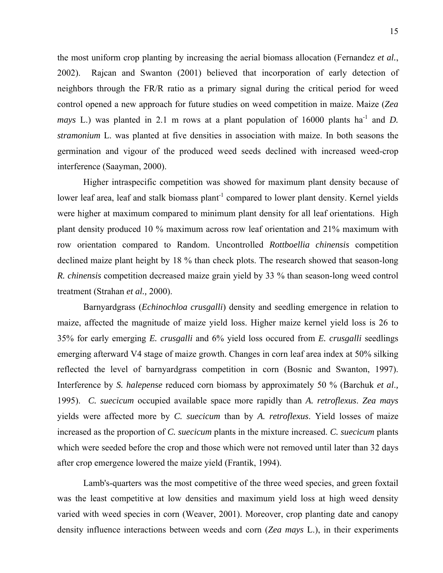the most uniform crop planting by increasing the aerial biomass allocation (Fernandez *et al.*, 2002). Rajcan and Swanton (2001) believed that incorporation of early detection of neighbors through the FR/R ratio as a primary signal during the critical period for weed control opened a new approach for future studies on weed competition in maize. Maize (*Zea mays* L.) was planted in 2.1 m rows at a plant population of 16000 plants ha<sup>-1</sup> and *D*. *stramonium* L. was planted at five densities in association with maize. In both seasons the germination and vigour of the produced weed seeds declined with increased weed-crop interference (Saayman, 2000).

Higher intraspecific competition was showed for maximum plant density because of lower leaf area, leaf and stalk biomass plant<sup>-1</sup> compared to lower plant density. Kernel yields were higher at maximum compared to minimum plant density for all leaf orientations. High plant density produced 10 % maximum across row leaf orientation and 21% maximum with row orientation compared to Random. Uncontrolled *Rottboellia chinensis* competition declined maize plant height by 18 % than check plots. The research showed that season-long *R. chinensis* competition decreased maize grain yield by 33 % than season-long weed control treatment (Strahan *et al.,* 2000).

Barnyardgrass (*Echinochloa crusgalli*) density and seedling emergence in relation to maize, affected the magnitude of maize yield loss. Higher maize kernel yield loss is 26 to 35% for early emerging *E. crusgalli* and 6% yield loss occured from *E. crusgalli* seedlings emerging afterward V4 stage of maize growth. Changes in corn leaf area index at 50% silking reflected the level of barnyardgrass competition in corn (Bosnic and Swanton, 1997). Interference by *S. halepense* reduced corn biomass by approximately 50 % (Barchuk *et al*.*,* 1995). *C. suecicum* occupied available space more rapidly than *A. retroflexus*. *Zea mays* yields were affected more by *C. suecicum* than by *A. retroflexus*. Yield losses of maize increased as the proportion of *C. suecicum* plants in the mixture increased. *C. suecicum* plants which were seeded before the crop and those which were not removed until later than 32 days after crop emergence lowered the maize yield (Frantik, 1994).

Lamb's-quarters was the most competitive of the three weed species, and green foxtail was the least competitive at low densities and maximum yield loss at high weed density varied with weed species in corn (Weaver, 2001). Moreover, crop planting date and canopy density influence interactions between weeds and corn (*Zea mays* L.), in their experiments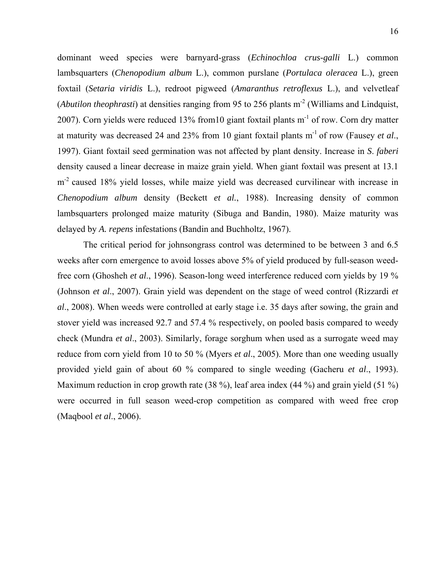dominant weed species were barnyard-grass (*Echinochloa crus-galli* L.) common lambsquarters (*Chenopodium album* L.), common purslane (*Portulaca oleracea* L.), green foxtail (*Setaria viridis* L.), redroot pigweed (*Amaranthus retroflexus* L.), and velvetleaf (*Abutilon theophrasti*) at densities ranging from 95 to 256 plants m<sup>-2</sup> (Williams and Lindquist, 2007). Corn yields were reduced 13% from10 giant foxtail plants m-1 of row. Corn dry matter at maturity was decreased 24 and 23% from 10 giant foxtail plants m-1 of row (Fausey *et al*., 1997). Giant foxtail seed germination was not affected by plant density. Increase in *S*. *faberi* density caused a linear decrease in maize grain yield. When giant foxtail was present at 13.1 m<sup>-2</sup> caused 18% yield losses, while maize yield was decreased curvilinear with increase in *Chenopodium album* density (Beckett *et al.*, 1988). Increasing density of common lambsquarters prolonged maize maturity (Sibuga and Bandin, 1980). Maize maturity was delayed by *A. repens* infestations (Bandin and Buchholtz, 1967).

The critical period for johnsongrass control was determined to be between 3 and 6.5 weeks after corn emergence to avoid losses above 5% of yield produced by full-season weedfree corn (Ghosheh *et al*., 1996). Season-long weed interference reduced corn yields by 19 % (Johnson *et al*., 2007). Grain yield was dependent on the stage of weed control (Rizzardi *et al*., 2008). When weeds were controlled at early stage i.e. 35 days after sowing, the grain and stover yield was increased 92.7 and 57.4 % respectively, on pooled basis compared to weedy check (Mundra *et al*., 2003). Similarly, forage sorghum when used as a surrogate weed may reduce from corn yield from 10 to 50 % (Myers *et al*., 2005). More than one weeding usually provided yield gain of about 60 % compared to single weeding (Gacheru *et al*., 1993). Maximum reduction in crop growth rate (38 %), leaf area index (44 %) and grain yield (51 %) were occurred in full season weed-crop competition as compared with weed free crop (Maqbool *et al*., 2006).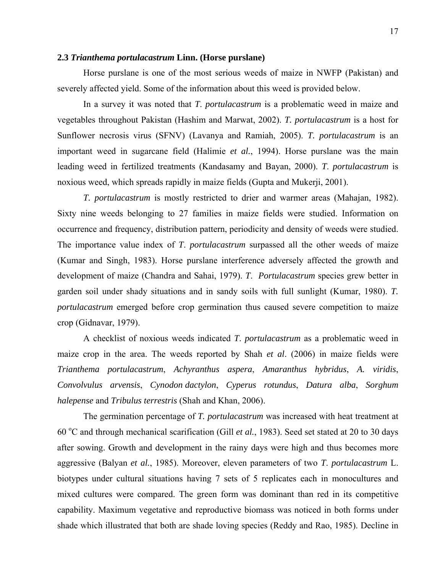#### **2.3** *Trianthema portulacastrum* **Linn. (Horse purslane)**

 Horse purslane is one of the most serious weeds of maize in NWFP (Pakistan) and severely affected yield. Some of the information about this weed is provided below.

 In a survey it was noted that *T*. *portulacastrum* is a problematic weed in maize and vegetables throughout Pakistan (Hashim and Marwat, 2002). *T. portulacastrum* is a host for Sunflower necrosis virus (SFNV) (Lavanya and Ramiah, 2005). *T. portulacastrum* is an important weed in sugarcane field (Halimie *et al.*, 1994). Horse purslane was the main leading weed in fertilized treatments (Kandasamy and Bayan, 2000). *T*. *portulacastrum* is noxious weed, which spreads rapidly in maize fields (Gupta and Mukerji, 2001).

*T. portulacastrum* is mostly restricted to drier and warmer areas (Mahajan, 1982). Sixty nine weeds belonging to 27 families in maize fields were studied. Information on occurrence and frequency, distribution pattern, periodicity and density of weeds were studied. The importance value index of *T*. *portulacastrum* surpassed all the other weeds of maize (Kumar and Singh, 1983). Horse purslane interference adversely affected the growth and development of maize (Chandra and Sahai, 1979). *T*. *Portulacastrum* species grew better in garden soil under shady situations and in sandy soils with full sunlight (Kumar, 1980). *T. portulacastrum* emerged before crop germination thus caused severe competition to maize crop (Gidnavar, 1979).

 A checklist of noxious weeds indicated *T*. *portulacastrum* as a problematic weed in maize crop in the area. The weeds reported by Shah *et al*. (2006) in maize fields were *Trianthema portulacastrum*, *Achyranthus aspera*, *Amaranthus hybridus*, *A. viridis*, *Convolvulus arvensis*, *Cynodon dactylon*, *Cyperus rotundus*, *Datura alba*, *Sorghum halepense* and *Tribulus terrestris* (Shah and Khan, 2006).

 The germination percentage of *T. portulacastrum* was increased with heat treatment at 60 °C and through mechanical scarification (Gill *et al.*, 1983). Seed set stated at 20 to 30 days after sowing. Growth and development in the rainy days were high and thus becomes more aggressive (Balyan *et al.*, 1985). Moreover, eleven parameters of two *T*. *portulacastrum* L. biotypes under cultural situations having 7 sets of 5 replicates each in monocultures and mixed cultures were compared. The green form was dominant than red in its competitive capability. Maximum vegetative and reproductive biomass was noticed in both forms under shade which illustrated that both are shade loving species (Reddy and Rao, 1985). Decline in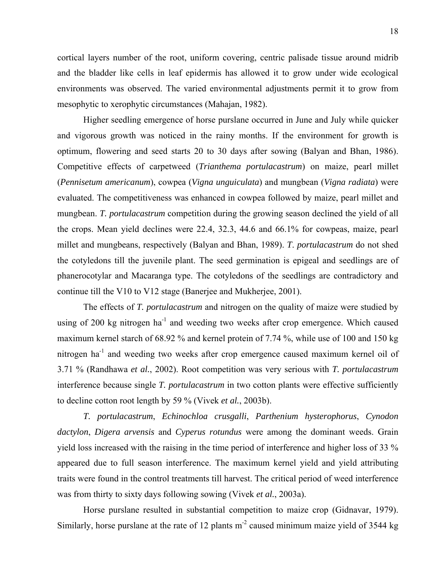cortical layers number of the root, uniform covering, centric palisade tissue around midrib and the bladder like cells in leaf epidermis has allowed it to grow under wide ecological environments was observed. The varied environmental adjustments permit it to grow from mesophytic to xerophytic circumstances (Mahajan, 1982).

 Higher seedling emergence of horse purslane occurred in June and July while quicker and vigorous growth was noticed in the rainy months. If the environment for growth is optimum, flowering and seed starts 20 to 30 days after sowing (Balyan and Bhan, 1986). Competitive effects of carpetweed (*Trianthema portulacastrum*) on maize, pearl millet (*Pennisetum americanum*), cowpea (*Vigna unguiculata*) and mungbean (*Vigna radiata*) were evaluated. The competitiveness was enhanced in cowpea followed by maize, pearl millet and mungbean. *T. portulacastrum* competition during the growing season declined the yield of all the crops. Mean yield declines were 22.4, 32.3, 44.6 and 66.1% for cowpeas, maize, pearl millet and mungbeans, respectively (Balyan and Bhan, 1989). *T*. *portulacastrum* do not shed the cotyledons till the juvenile plant. The seed germination is epigeal and seedlings are of phanerocotylar and Macaranga type. The cotyledons of the seedlings are contradictory and continue till the V10 to V12 stage (Banerjee and Mukherjee, 2001).

 The effects of *T. portulacastrum* and nitrogen on the quality of maize were studied by using of 200 kg nitrogen  $ha^{-1}$  and weeding two weeks after crop emergence. Which caused maximum kernel starch of 68.92 % and kernel protein of 7.74 %, while use of 100 and 150 kg nitrogen ha-1 and weeding two weeks after crop emergence caused maximum kernel oil of 3.71 % (Randhawa *et al.*, 2002). Root competition was very serious with *T. portulacastrum* interference because single *T. portulacastrum* in two cotton plants were effective sufficiently to decline cotton root length by 59 % (Vivek *et al.*, 2003b).

*T. portulacastrum*, *Echinochloa crusgalli*, *Parthenium hysterophorus*, *Cynodon dactylon*, *Digera arvensis* and *Cyperus rotundus* were among the dominant weeds. Grain yield loss increased with the raising in the time period of interference and higher loss of 33 % appeared due to full season interference. The maximum kernel yield and yield attributing traits were found in the control treatments till harvest. The critical period of weed interference was from thirty to sixty days following sowing (Vivek *et al.*, 2003a).

 Horse purslane resulted in substantial competition to maize crop (Gidnavar, 1979). Similarly, horse purslane at the rate of 12 plants  $m<sup>2</sup>$  caused minimum maize yield of 3544 kg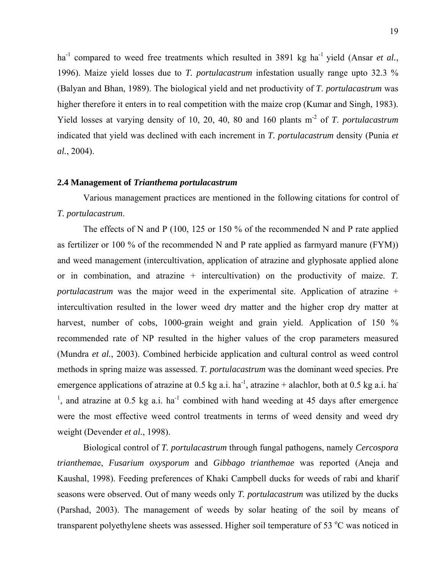ha<sup>-1</sup> compared to weed free treatments which resulted in 3891 kg ha<sup>-1</sup> yield (Ansar *et al.*, 1996). Maize yield losses due to *T. portulacastrum* infestation usually range upto 32.3 % (Balyan and Bhan, 1989). The biological yield and net productivity of *T*. *portulacastrum* was higher therefore it enters in to real competition with the maize crop (Kumar and Singh, 1983). Yield losses at varying density of 10, 20, 40, 80 and 160 plants m-2 of *T*. *portulacastrum* indicated that yield was declined with each increment in *T. portulacastrum* density (Punia *et al.*, 2004).

#### **2.4 Management of** *Trianthema portulacastrum*

 Various management practices are mentioned in the following citations for control of *T. portulacastrum*.

 The effects of N and P (100, 125 or 150 % of the recommended N and P rate applied as fertilizer or 100 % of the recommended N and P rate applied as farmyard manure (FYM)) and weed management (intercultivation, application of atrazine and glyphosate applied alone or in combination, and atrazine + intercultivation) on the productivity of maize. *T. portulacastrum* was the major weed in the experimental site. Application of atrazine + intercultivation resulted in the lower weed dry matter and the higher crop dry matter at harvest, number of cobs, 1000-grain weight and grain yield. Application of 150 % recommended rate of NP resulted in the higher values of the crop parameters measured (Mundra *et al.*, 2003). Combined herbicide application and cultural control as weed control methods in spring maize was assessed. *T. portulacastrum* was the dominant weed species. Pre emergence applications of atrazine at 0.5 kg a.i. ha<sup>-1</sup>, atrazine + alachlor, both at 0.5 kg a.i. ha<sup>-1</sup> <sup>1</sup>, and atrazine at 0.5 kg a.i. ha<sup>-1</sup> combined with hand weeding at 45 days after emergence were the most effective weed control treatments in terms of weed density and weed dry weight (Devender *et al.*, 1998).

 Biological control of *T. portulacastrum* through fungal pathogens, namely *Cercospora trianthema*e, *Fusarium oxysporum* and *Gibbago trianthemae* was reported (Aneja and Kaushal, 1998). Feeding preferences of Khaki Campbell ducks for weeds of rabi and kharif seasons were observed. Out of many weeds only *T. portulacastrum* was utilized by the ducks (Parshad, 2003). The management of weeds by solar heating of the soil by means of transparent polyethylene sheets was assessed. Higher soil temperature of 53 °C was noticed in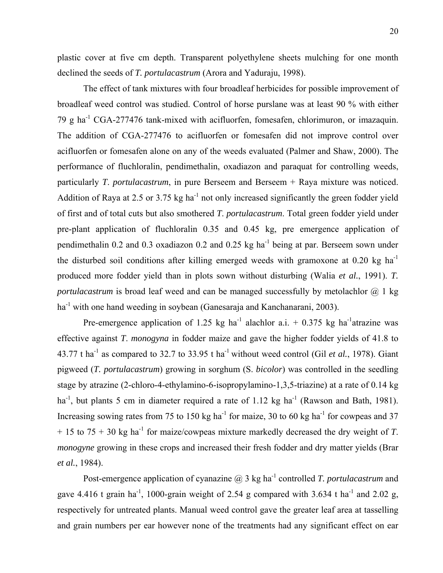plastic cover at five cm depth. Transparent polyethylene sheets mulching for one month declined the seeds of *T. portulacastrum* (Arora and Yaduraju, 1998).

 The effect of tank mixtures with four broadleaf herbicides for possible improvement of broadleaf weed control was studied. Control of horse purslane was at least 90 % with either 79 g  $ha^{-1}$  CGA-277476 tank-mixed with acifluorfen, fomesafen, chlorimuron, or imazaquin. The addition of CGA-277476 to acifluorfen or fomesafen did not improve control over acifluorfen or fomesafen alone on any of the weeds evaluated (Palmer and Shaw, 2000). The performance of fluchloralin, pendimethalin, oxadiazon and paraquat for controlling weeds, particularly *T*. *portulacastrum*, in pure Berseem and Berseem + Raya mixture was noticed. Addition of Raya at 2.5 or 3.75 kg ha<sup>-1</sup> not only increased significantly the green fodder yield of first and of total cuts but also smothered *T*. *portulacastrum*. Total green fodder yield under pre-plant application of fluchloralin 0.35 and 0.45 kg, pre emergence application of pendimethalin 0.2 and 0.3 oxadiazon 0.2 and 0.25 kg ha<sup>-1</sup> being at par. Berseem sown under the disturbed soil conditions after killing emerged weeds with gramoxone at  $0.20 \text{ kg/h}$ produced more fodder yield than in plots sown without disturbing (Walia *et al.*, 1991). *T. portulacastrum* is broad leaf weed and can be managed successfully by metolachlor @ 1 kg ha<sup>-1</sup> with one hand weeding in soybean (Ganesaraja and Kanchanarani, 2003).

Pre-emergence application of 1.25 kg ha<sup>-1</sup> alachlor a.i.  $+$  0.375 kg ha<sup>-1</sup>atrazine was effective against *T*. *monogyna* in fodder maize and gave the higher fodder yields of 41.8 to 43.77 t ha<sup>-1</sup> as compared to 32.7 to 33.95 t ha<sup>-1</sup> without weed control (Gil *et al.*, 1978). Giant pigweed (*T. portulacastrum*) growing in sorghum (S. *bicolor*) was controlled in the seedling stage by atrazine (2-chloro-4-ethylamino-6-isopropylamino-1,3,5-triazine) at a rate of 0.14 kg ha<sup>-1</sup>, but plants 5 cm in diameter required a rate of 1.12 kg ha<sup>-1</sup> (Rawson and Bath, 1981). Increasing sowing rates from 75 to 150 kg ha<sup>-1</sup> for maize, 30 to 60 kg ha<sup>-1</sup> for cowpeas and 37  $+ 15$  to 75 + 30 kg ha<sup>-1</sup> for maize/cowpeas mixture markedly decreased the dry weight of *T*. *monogyne* growing in these crops and increased their fresh fodder and dry matter yields (Brar *et al.*, 1984).

Post-emergence application of cyanazine @ 3 kg ha<sup>-1</sup> controlled *T. portulacastrum* and gave 4.416 t grain ha<sup>-1</sup>, 1000-grain weight of 2.54 g compared with 3.634 t ha<sup>-1</sup> and 2.02 g, respectively for untreated plants. Manual weed control gave the greater leaf area at tasselling and grain numbers per ear however none of the treatments had any significant effect on ear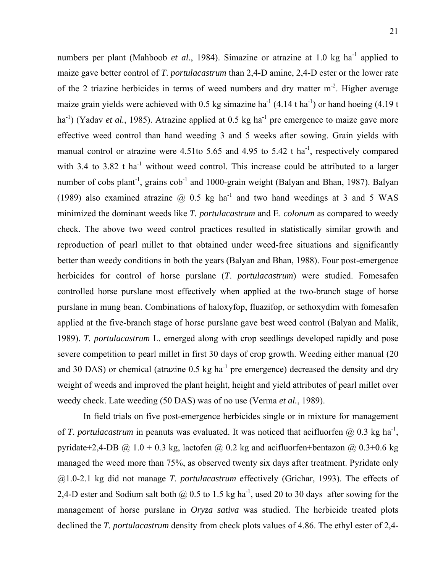numbers per plant (Mahboob *et al.*, 1984). Simazine or atrazine at 1.0 kg ha<sup>-1</sup> applied to maize gave better control of *T*. *portulacastrum* than 2,4-D amine, 2,4-D ester or the lower rate of the 2 triazine herbicides in terms of weed numbers and dry matter m-2. Higher average maize grain yields were achieved with 0.5 kg simazine ha<sup>-1</sup> (4.14 t ha<sup>-1</sup>) or hand hoeing (4.19 t ha<sup>-1</sup>) (Yadav *et al.*, 1985). Atrazine applied at 0.5 kg ha<sup>-1</sup> pre emergence to maize gave more effective weed control than hand weeding 3 and 5 weeks after sowing. Grain yields with manual control or atrazine were 4.51to 5.65 and 4.95 to 5.42 t ha<sup>-1</sup>, respectively compared with 3.4 to 3.82 t ha<sup>-1</sup> without weed control. This increase could be attributed to a larger number of cobs plant<sup>-1</sup>, grains  $\cosh^{-1}$  and 1000-grain weight (Balyan and Bhan, 1987). Balyan (1989) also examined atrazine  $\omega$  0.5 kg ha<sup>-1</sup> and two hand weedings at 3 and 5 WAS minimized the dominant weeds like *T. portulacastrum* and E. *colonum* as compared to weedy check. The above two weed control practices resulted in statistically similar growth and reproduction of pearl millet to that obtained under weed-free situations and significantly better than weedy conditions in both the years (Balyan and Bhan, 1988). Four post-emergence herbicides for control of horse purslane (*T*. *portulacastrum*) were studied. Fomesafen controlled horse purslane most effectively when applied at the two-branch stage of horse purslane in mung bean. Combinations of haloxyfop, fluazifop, or sethoxydim with fomesafen applied at the five-branch stage of horse purslane gave best weed control (Balyan and Malik, 1989). *T. portulacastrum* L. emerged along with crop seedlings developed rapidly and pose severe competition to pearl millet in first 30 days of crop growth. Weeding either manual (20 and 30 DAS) or chemical (atrazine  $0.5 \text{ kg ha}^{-1}$  pre emergence) decreased the density and dry weight of weeds and improved the plant height, height and yield attributes of pearl millet over weedy check. Late weeding (50 DAS) was of no use (Verma *et al.*, 1989).

 In field trials on five post-emergence herbicides single or in mixture for management of *T*. *portulacastrum* in peanuts was evaluated. It was noticed that acifluorfen  $\omega$  0.3 kg ha<sup>-1</sup>, pyridate+2,4-DB  $\omega$  1.0 + 0.3 kg, lactofen  $\omega$  0.2 kg and acifluorfen+bentazon  $\omega$  0.3+0.6 kg managed the weed more than 75%, as observed twenty six days after treatment. Pyridate only @1.0-2.1 kg did not manage *T*. *portulacastrum* effectively (Grichar, 1993). The effects of 2,4-D ester and Sodium salt both  $\omega$  0.5 to 1.5 kg ha<sup>-1</sup>, used 20 to 30 days after sowing for the management of horse purslane in *Oryza sativa* was studied. The herbicide treated plots declined the *T. portulacastrum* density from check plots values of 4.86. The ethyl ester of 2,4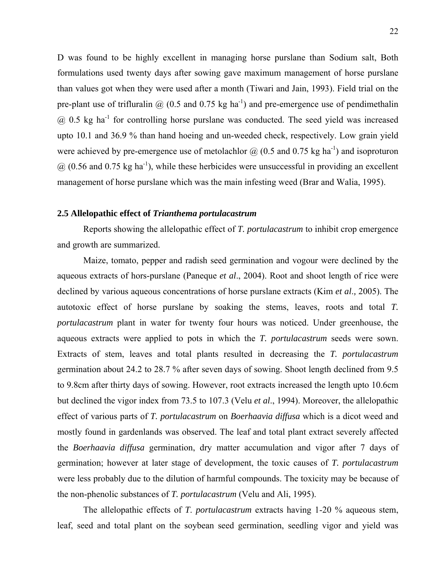D was found to be highly excellent in managing horse purslane than Sodium salt, Both formulations used twenty days after sowing gave maximum management of horse purslane than values got when they were used after a month (Tiwari and Jain, 1993). Field trial on the pre-plant use of trifluralin  $\omega$  (0.5 and 0.75 kg ha<sup>-1</sup>) and pre-emergence use of pendimethalin  $\omega$  0.5 kg ha<sup>-1</sup> for controlling horse purslane was conducted. The seed yield was increased upto 10.1 and 36.9 % than hand hoeing and un-weeded check, respectively. Low grain yield were achieved by pre-emergence use of metolachlor  $\omega$  (0.5 and 0.75 kg ha<sup>-1</sup>) and isoproturon  $\omega$  (0.56 and 0.75 kg ha<sup>-1</sup>), while these herbicides were unsuccessful in providing an excellent management of horse purslane which was the main infesting weed (Brar and Walia, 1995).

#### **2.5 Allelopathic effect of** *Trianthema portulacastrum*

 Reports showing the allelopathic effect of *T. portulacastrum* to inhibit crop emergence and growth are summarized.

 Maize, tomato, pepper and radish seed germination and vogour were declined by the aqueous extracts of hors-purslane (Paneque *et al*., 2004). Root and shoot length of rice were declined by various aqueous concentrations of horse purslane extracts (Kim *et al*.*,* 2005). The autotoxic effect of horse purslane by soaking the stems, leaves, roots and total *T. portulacastrum* plant in water for twenty four hours was noticed. Under greenhouse, the aqueous extracts were applied to pots in which the *T. portulacastrum* seeds were sown. Extracts of stem, leaves and total plants resulted in decreasing the *T. portulacastrum* germination about 24.2 to 28.7 % after seven days of sowing. Shoot length declined from 9.5 to 9.8cm after thirty days of sowing. However, root extracts increased the length upto 10.6cm but declined the vigor index from 73.5 to 107.3 (Velu *et al*., 1994). Moreover, the allelopathic effect of various parts of *T. portulacastrum* on *Boerhaavia diffusa* which is a dicot weed and mostly found in gardenlands was observed. The leaf and total plant extract severely affected the *Boerhaavia diffusa* germination, dry matter accumulation and vigor after 7 days of germination; however at later stage of development, the toxic causes of *T. portulacastrum* were less probably due to the dilution of harmful compounds. The toxicity may be because of the non-phenolic substances of *T. portulacastrum* (Velu and Ali, 1995).

 The allelopathic effects of *T*. *portulacastrum* extracts having 1-20 % aqueous stem, leaf, seed and total plant on the soybean seed germination, seedling vigor and yield was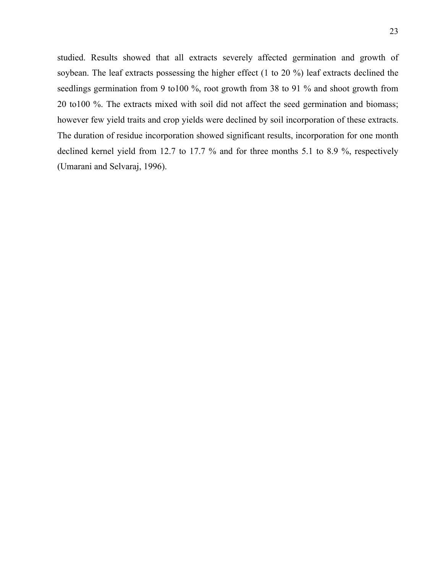studied. Results showed that all extracts severely affected germination and growth of soybean. The leaf extracts possessing the higher effect (1 to 20 %) leaf extracts declined the seedlings germination from 9 to 100 %, root growth from 38 to 91 % and shoot growth from 20 to100 %. The extracts mixed with soil did not affect the seed germination and biomass; however few yield traits and crop yields were declined by soil incorporation of these extracts. The duration of residue incorporation showed significant results, incorporation for one month declined kernel yield from 12.7 to 17.7 % and for three months 5.1 to 8.9 %, respectively (Umarani and Selvaraj, 1996).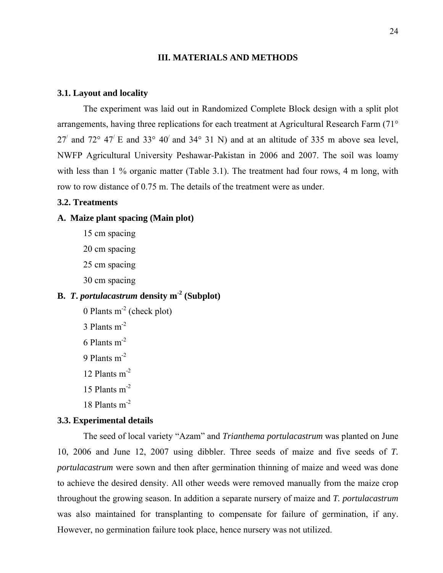#### **III. MATERIALS AND METHODS**

#### **3.1. Layout and locality**

 The experiment was laid out in Randomized Complete Block design with a split plot arrangements, having three replications for each treatment at Agricultural Research Farm (71° 27' and 72° 47' E and 33° 40' and 34° 31 N) and at an altitude of 335 m above sea level, NWFP Agricultural University Peshawar-Pakistan in 2006 and 2007. The soil was loamy with less than 1 % organic matter (Table 3.1). The treatment had four rows, 4 m long, with row to row distance of 0.75 m. The details of the treatment were as under.

#### **3.2. Treatments**

#### **A. Maize plant spacing (Main plot)**

 15 cm spacing 20 cm spacing 25 cm spacing 30 cm spacing

# **B.** *T***.** *portulacastrum* **density m-2 (Subplot)**

0 Plants  $m<sup>-2</sup>$  (check plot) 3 Plants m<sup>-2</sup> 6 Plants m-2 9 Plants m-2 12 Plants m-2 15 Plants  $m<sup>-2</sup>$ 18 Plants m-2

### **3.3. Experimental details**

 The seed of local variety "Azam" and *Trianthema portulacastrum* was planted on June 10, 2006 and June 12, 2007 using dibbler. Three seeds of maize and five seeds of *T. portulacastrum* were sown and then after germination thinning of maize and weed was done to achieve the desired density. All other weeds were removed manually from the maize crop throughout the growing season. In addition a separate nursery of maize and *T. portulacastrum* was also maintained for transplanting to compensate for failure of germination, if any. However, no germination failure took place, hence nursery was not utilized.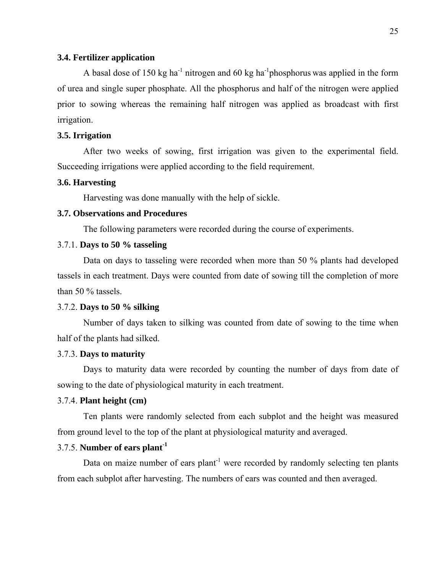#### **3.4. Fertilizer application**

A basal dose of 150 kg ha<sup>-1</sup> nitrogen and 60 kg ha<sup>-1</sup> phosphorus was applied in the form of urea and single super phosphate. All the phosphorus and half of the nitrogen were applied prior to sowing whereas the remaining half nitrogen was applied as broadcast with first irrigation.

## **3.5. Irrigation**

 After two weeks of sowing, first irrigation was given to the experimental field. Succeeding irrigations were applied according to the field requirement.

#### **3.6. Harvesting**

Harvesting was done manually with the help of sickle.

## **3.7. Observations and Procedures**

The following parameters were recorded during the course of experiments.

#### 3.7.1. **Days to 50 % tasseling**

 Data on days to tasseling were recorded when more than 50 % plants had developed tassels in each treatment. Days were counted from date of sowing till the completion of more than 50 % tassels.

#### 3.7.2. **Days to 50 % silking**

 Number of days taken to silking was counted from date of sowing to the time when half of the plants had silked.

## 3.7.3. **Days to maturity**

 Days to maturity data were recorded by counting the number of days from date of sowing to the date of physiological maturity in each treatment.

#### 3.7.4. **Plant height (cm)**

 Ten plants were randomly selected from each subplot and the height was measured from ground level to the top of the plant at physiological maturity and averaged.

## 3.7.5. **Number of ears plant-1**

Data on maize number of ears  $plant^{-1}$  were recorded by randomly selecting ten plants from each subplot after harvesting. The numbers of ears was counted and then averaged.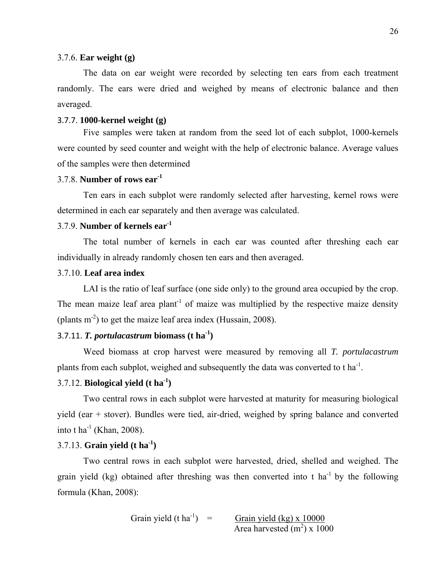#### 3.7.6. **Ear weight (g)**

The data on ear weight were recorded by selecting ten ears from each treatment randomly. The ears were dried and weighed by means of electronic balance and then averaged.

## 3.7.7. **1000-kernel weight (g)**

 Five samples were taken at random from the seed lot of each subplot, 1000-kernels were counted by seed counter and weight with the help of electronic balance. Average values of the samples were then determined

## 3.7.8. **Number of rows ear-1**

Ten ears in each subplot were randomly selected after harvesting, kernel rows were determined in each ear separately and then average was calculated.

## 3.7.9. **Number of kernels ear-1**

 The total number of kernels in each ear was counted after threshing each ear individually in already randomly chosen ten ears and then averaged.

## 3.7.10. **Leaf area index**

 LAI is the ratio of leaf surface (one side only) to the ground area occupied by the crop. The mean maize leaf area plant<sup>-1</sup> of maize was multiplied by the respective maize density (plants  $m<sup>2</sup>$ ) to get the maize leaf area index (Hussain, 2008).

# 3.7.11. *T. portulacastrum* biomass  $(t \, ha^{-1})$

 Weed biomass at crop harvest were measured by removing all *T. portulacastrum* plants from each subplot, weighed and subsequently the data was converted to  $t$  ha<sup>-1</sup>.

## 3.7.12. **Biological yield (t ha-1)**

 Two central rows in each subplot were harvested at maturity for measuring biological yield (ear + stover). Bundles were tied, air-dried, weighed by spring balance and converted into t ha<sup>-1</sup> (Khan, 2008).

## 3.7.13. **Grain yield (t ha-1)**

 Two central rows in each subplot were harvested, dried, shelled and weighed. The grain yield (kg) obtained after threshing was then converted into t ha<sup>-1</sup> by the following formula (Khan, 2008):

Grain yield (t ha-1) = Grain yield (kg) x 10000 Area harvested (m2 ) x 1000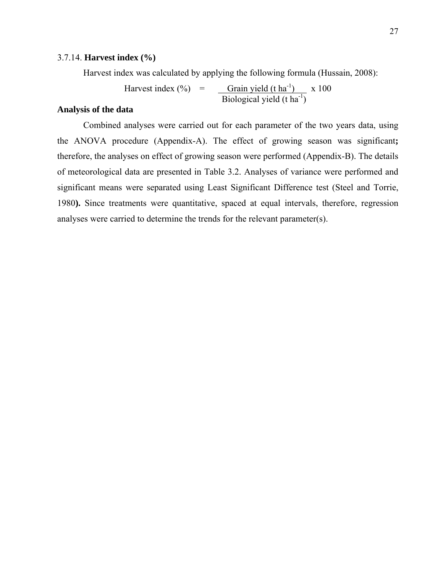## 3.7.14. **Harvest index (%)**

Harvest index was calculated by applying the following formula (Hussain, 2008):

Harvest index  $(\%)$  = Grain yield  $(\text{t} \text{ ha}^{-1})$  x 100  $\text{Biological yield (t ha}^1$ )

## **Analysis of the data**

 Combined analyses were carried out for each parameter of the two years data, using the ANOVA procedure (Appendix-A). The effect of growing season was significant**;** therefore, the analyses on effect of growing season were performed (Appendix-B). The details of meteorological data are presented in Table 3.2. Analyses of variance were performed and significant means were separated using Least Significant Difference test (Steel and Torrie, 1980**).** Since treatments were quantitative, spaced at equal intervals, therefore, regression analyses were carried to determine the trends for the relevant parameter(s).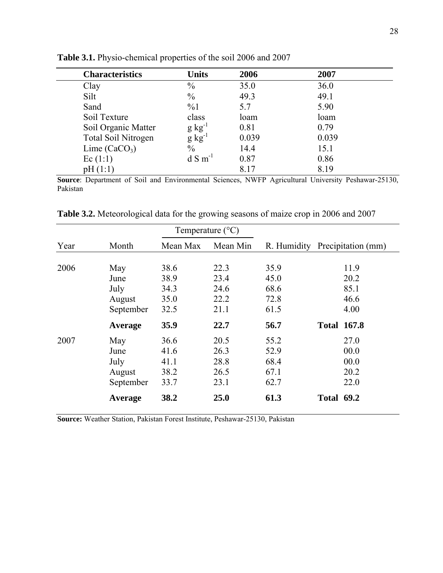| <b>Characteristics</b>     | <b>Units</b>         | 2006  | 2007  |  |
|----------------------------|----------------------|-------|-------|--|
| Clay                       | $\frac{0}{0}$        | 35.0  | 36.0  |  |
| Silt                       | $\frac{0}{0}$        | 49.3  | 49.1  |  |
| Sand                       | $\%1$                | 5.7   | 5.90  |  |
| Soil Texture               | class                | loam  | loam  |  |
| Soil Organic Matter        | $g kg^{-1}$          | 0.81  | 0.79  |  |
| <b>Total Soil Nitrogen</b> | $g kg^{-1}$          | 0.039 | 0.039 |  |
| Lime $(CaCO3)$             | $\frac{0}{0}$        | 14.4  | 15.1  |  |
| Ec(1:1)                    | $dS$ m <sup>-1</sup> | 0.87  | 0.86  |  |
| pH(1:1)                    |                      | 8.17  | 8.19  |  |

**Table 3.1.** Physio-chemical properties of the soil 2006 and 2007

**Source**: Department of Soil and Environmental Sciences, NWFP Agricultural University Peshawar-25130, Pakistan

| Table 3.2. Meteorological data for the growing seasons of maize crop in 2006 and 2007 |  |  |
|---------------------------------------------------------------------------------------|--|--|
|                                                                                       |  |  |

|      |           | Temperature $(^{\circ}C)$ |          |      |                                |
|------|-----------|---------------------------|----------|------|--------------------------------|
| Year | Month     | Mean Max                  | Mean Min |      | R. Humidity Precipitation (mm) |
| 2006 | May       | 38.6                      | 22.3     | 35.9 | 11.9                           |
|      | June      | 38.9                      | 23.4     | 45.0 | 20.2                           |
|      | July      | 34.3                      | 24.6     | 68.6 | 85.1                           |
|      | August    | 35.0                      | 22.2     | 72.8 | 46.6                           |
|      | September | 32.5                      | 21.1     | 61.5 | 4.00                           |
|      | Average   | 35.9                      | 22.7     | 56.7 | <b>Total 167.8</b>             |
| 2007 | May       | 36.6                      | 20.5     | 55.2 | 27.0                           |
|      | June      | 41.6                      | 26.3     | 52.9 | 00.0                           |
|      | July      | 41.1                      | 28.8     | 68.4 | 00.0                           |
|      | August    | 38.2                      | 26.5     | 67.1 | 20.2                           |
|      | September | 33.7                      | 23.1     | 62.7 | 22.0                           |
|      | Average   | 38.2                      | 25.0     | 61.3 | <b>Total 69.2</b>              |

**Source:** Weather Station, Pakistan Forest Institute, Peshawar-25130, Pakistan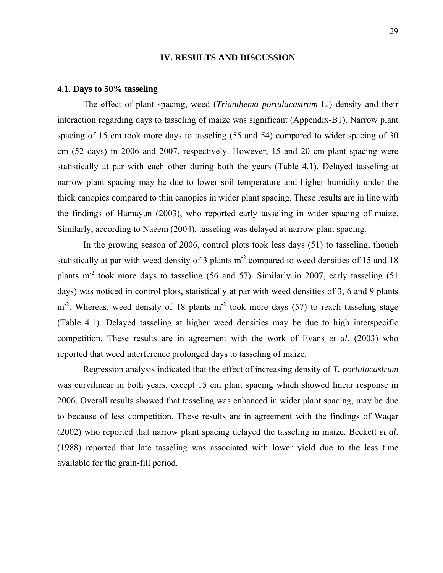#### **IV. RESULTS AND DISCUSSION**

#### **4.1. Days to 50% tasseling**

 The effect of plant spacing, weed (*Trianthema portulacastrum* L.) density and their interaction regarding days to tasseling of maize was significant (Appendix-B1). Narrow plant spacing of 15 cm took more days to tasseling (55 and 54) compared to wider spacing of 30 cm (52 days) in 2006 and 2007, respectively. However, 15 and 20 cm plant spacing were statistically at par with each other during both the years (Table 4.1). Delayed tasseling at narrow plant spacing may be due to lower soil temperature and higher humidity under the thick canopies compared to thin canopies in wider plant spacing. These results are in line with the findings of Hamayun (2003), who reported early tasseling in wider spacing of maize. Similarly, according to Naeem (2004), tasseling was delayed at narrow plant spacing.

 In the growing season of 2006, control plots took less days (51) to tasseling, though statistically at par with weed density of 3 plants  $m<sup>2</sup>$  compared to weed densities of 15 and 18 plants  $m<sup>2</sup>$  took more days to tasseling (56 and 57). Similarly in 2007, early tasseling (51) days) was noticed in control plots, statistically at par with weed densities of 3, 6 and 9 plants  $m<sup>2</sup>$ . Whereas, weed density of 18 plants  $m<sup>2</sup>$  took more days (57) to reach tasseling stage (Table 4.1). Delayed tasseling at higher weed densities may be due to high interspecific competition. These results are in agreement with the work of Evans *et al.* (2003) who reported that weed interference prolonged days to tasseling of maize.

Regression analysis indicated that the effect of increasing density of *T. portulacastrum* was curvilinear in both years, except 15 cm plant spacing which showed linear response in 2006. Overall results showed that tasseling was enhanced in wider plant spacing, may be due to because of less competition. These results are in agreement with the findings of Waqar (2002) who reported that narrow plant spacing delayed the tasseling in maize. Beckett *et al*. (1988) reported that late tasseling was associated with lower yield due to the less time available for the grain-fill period.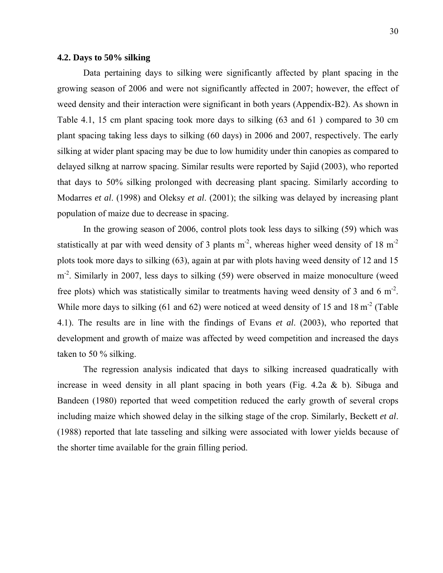## **4.2. Days to 50% silking**

 Data pertaining days to silking were significantly affected by plant spacing in the growing season of 2006 and were not significantly affected in 2007; however, the effect of weed density and their interaction were significant in both years (Appendix-B2). As shown in Table 4.1, 15 cm plant spacing took more days to silking (63 and 61 ) compared to 30 cm plant spacing taking less days to silking (60 days) in 2006 and 2007, respectively. The early silking at wider plant spacing may be due to low humidity under thin canopies as compared to delayed silkng at narrow spacing. Similar results were reported by Sajid (2003), who reported that days to 50% silking prolonged with decreasing plant spacing. Similarly according to Modarres *et al*. (1998) and Oleksy *et al*. (2001); the silking was delayed by increasing plant population of maize due to decrease in spacing.

 In the growing season of 2006, control plots took less days to silking (59) which was statistically at par with weed density of 3 plants  $m<sup>2</sup>$ , whereas higher weed density of 18  $m<sup>2</sup>$ plots took more days to silking (63), again at par with plots having weed density of 12 and 15 m<sup>2</sup>. Similarly in 2007, less days to silking (59) were observed in maize monoculture (weed free plots) which was statistically similar to treatments having weed density of 3 and 6  $m<sup>2</sup>$ . While more days to silking (61 and 62) were noticed at weed density of 15 and 18 m<sup>-2</sup> (Table 4.1). The results are in line with the findings of Evans *et al*. (2003), who reported that development and growth of maize was affected by weed competition and increased the days taken to 50 % silking.

The regression analysis indicated that days to silking increased quadratically with increase in weed density in all plant spacing in both years (Fig. 4.2a & b). Sibuga and Bandeen (1980) reported that weed competition reduced the early growth of several crops including maize which showed delay in the silking stage of the crop. Similarly, Beckett *et al*. (1988) reported that late tasseling and silking were associated with lower yields because of the shorter time available for the grain filling period.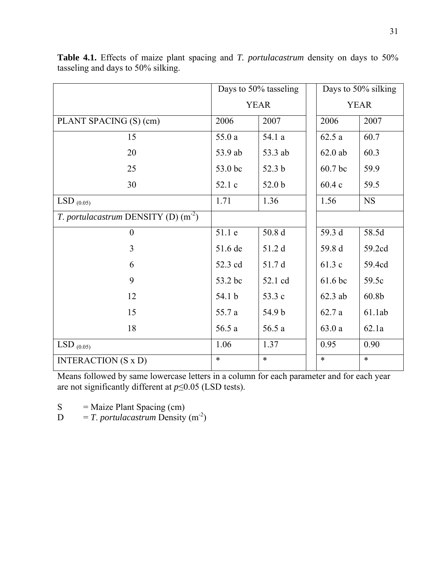|                                       | Days to 50% tasseling |         | Days to 50% silking |                   |
|---------------------------------------|-----------------------|---------|---------------------|-------------------|
|                                       | <b>YEAR</b>           |         | <b>YEAR</b>         |                   |
| PLANT SPACING (S) (cm)                | 2006                  | 2007    | 2006                | 2007              |
| 15                                    | 55.0a                 | 54.1 a  | 62.5a               | 60.7              |
| 20                                    | 53.9 ab               | 53.3 ab | $62.0$ ab           | 60.3              |
| 25                                    | 53.0 bc               | 52.3 b  | 60.7 bc             | 59.9              |
| 30                                    | 52.1 c                | 52.0 b  | 60.4c               | 59.5              |
| $LSD_{(0.05)}$                        | 1.71                  | 1.36    | 1.56                | <b>NS</b>         |
| T. portulacastrum DENSITY (D) $(m^2)$ |                       |         |                     |                   |
| $\overline{0}$                        | 51.1 e                | 50.8d   | 59.3 d              | 58.5d             |
| 3                                     | 51.6 de               | 51.2 d  | 59.8 d              | 59.2cd            |
| 6                                     | 52.3 cd               | 51.7 d  | 61.3 c              | 59.4cd            |
| 9                                     | 53.2 bc               | 52.1 cd | 61.6 bc             | 59.5c             |
| 12                                    | 54.1 b                | 53.3 c  | $62.3$ ab           | 60.8 <sub>b</sub> |
| 15                                    | 55.7 a                | 54.9 b  | 62.7a               | 61.1ab            |
| 18                                    | 56.5 a                | 56.5 a  | 63.0a               | 62.1a             |
| $LSD_{(0.05)}$                        | 1.06                  | 1.37    | 0.95                | 0.90              |
| <b>INTERACTION</b> (S x D)            | $\ast$                | $\ast$  | $\ast$              | $\ast$            |

**Table 4.1.** Effects of maize plant spacing and *T. portulacastrum* density on days to 50% tasseling and days to 50% silking.

Means followed by same lowercase letters in a column for each parameter and for each year are not significantly different at *p*≤0.05 (LSD tests).

 $S =$  Maize Plant Spacing (cm)

 $D = T$ . *portulacastrum* Density (m<sup>-2</sup>)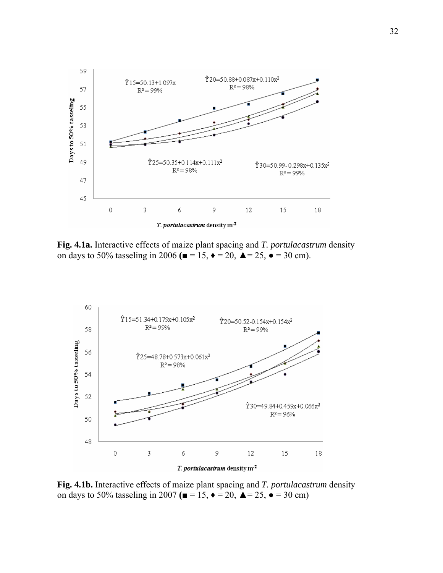

**Fig. 4.1a.** Interactive effects of maize plant spacing and *T. portulacastrum* density on days to 50% tasseling in 2006 ( $\blacksquare$  = 15,  $\blacklozenge$  = 20,  $\blacktriangle$  = 25,  $\blacklozenge$  = 30 cm).



**Fig. 4.1b.** Interactive effects of maize plant spacing and *T. portulacastrum* density on days to 50% tasseling in 2007 **(**■ = 15,  $\triangle$  = 20,  $\triangle$  = 25,  $\triangle$  = 30 cm)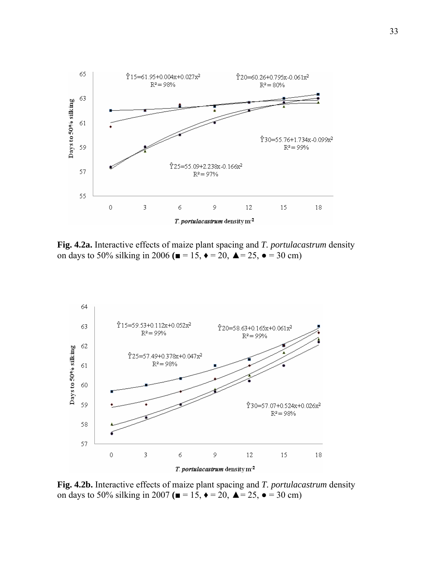

**Fig. 4.2a.** Interactive effects of maize plant spacing and *T. portulacastrum* density on days to 50% silking in 2006 **(**■ =  $15, \, \bullet = 20, \, \blacktriangle = 25, \, \bullet = 30 \, \text{cm}$ )



**Fig. 4.2b.** Interactive effects of maize plant spacing and *T. portulacastrum* density on days to 50% silking in 2007 **(**■ =  $15, \, \bullet = 20, \, \blacktriangle = 25, \, \bullet = 30 \text{ cm}$ )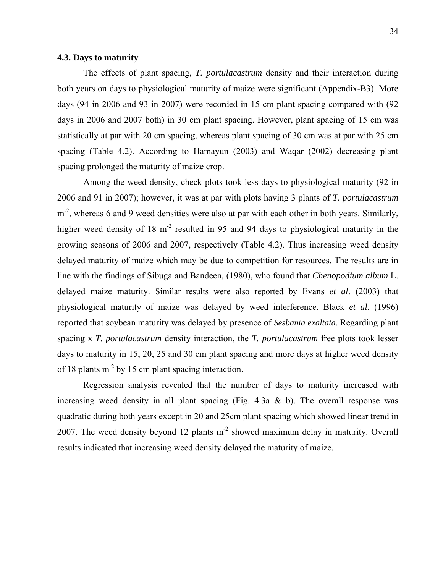## **4.3. Days to maturity**

 The effects of plant spacing, *T. portulacastrum* density and their interaction during both years on days to physiological maturity of maize were significant (Appendix-B3). More days (94 in 2006 and 93 in 2007) were recorded in 15 cm plant spacing compared with (92 days in 2006 and 2007 both) in 30 cm plant spacing. However, plant spacing of 15 cm was statistically at par with 20 cm spacing, whereas plant spacing of 30 cm was at par with 25 cm spacing (Table 4.2). According to Hamayun (2003) and Waqar (2002) decreasing plant spacing prolonged the maturity of maize crop.

 Among the weed density, check plots took less days to physiological maturity (92 in 2006 and 91 in 2007); however, it was at par with plots having 3 plants of *T. portulacastrum*  $m<sup>2</sup>$ , whereas 6 and 9 weed densities were also at par with each other in both years. Similarly, higher weed density of 18  $m<sup>2</sup>$  resulted in 95 and 94 days to physiological maturity in the growing seasons of 2006 and 2007, respectively (Table 4.2). Thus increasing weed density delayed maturity of maize which may be due to competition for resources. The results are in line with the findings of Sibuga and Bandeen, (1980), who found that *Chenopodium album* L. delayed maize maturity. Similar results were also reported by Evans *et al*. (2003) that physiological maturity of maize was delayed by weed interference. Black *et al*. (1996) reported that soybean maturity was delayed by presence of *Sesbania exaltata.* Regarding plant spacing x *T. portulacastrum* density interaction, the *T. portulacastrum* free plots took lesser days to maturity in 15, 20, 25 and 30 cm plant spacing and more days at higher weed density of 18 plants  $m<sup>2</sup>$  by 15 cm plant spacing interaction.

 Regression analysis revealed that the number of days to maturity increased with increasing weed density in all plant spacing (Fig. 4.3a  $\&$  b). The overall response was quadratic during both years except in 20 and 25cm plant spacing which showed linear trend in 2007. The weed density beyond 12 plants  $m<sup>2</sup>$  showed maximum delay in maturity. Overall results indicated that increasing weed density delayed the maturity of maize.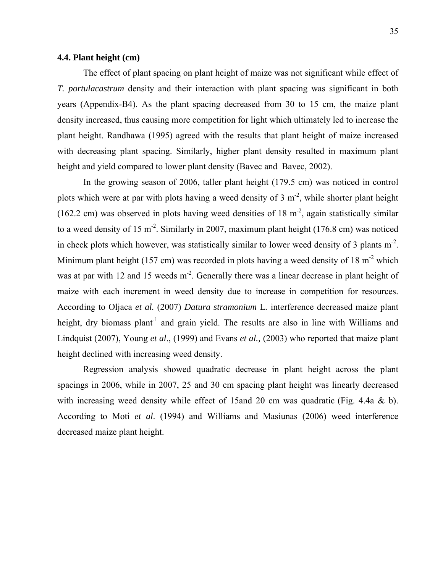## **4.4. Plant height (cm)**

 The effect of plant spacing on plant height of maize was not significant while effect of *T. portulacastrum* density and their interaction with plant spacing was significant in both years (Appendix-B4). As the plant spacing decreased from 30 to 15 cm, the maize plant density increased, thus causing more competition for light which ultimately led to increase the plant height. Randhawa (1995) agreed with the results that plant height of maize increased with decreasing plant spacing. Similarly, higher plant density resulted in maximum plant height and yield compared to lower plant density (Bavec and Bavec, 2002).

 In the growing season of 2006, taller plant height (179.5 cm) was noticed in control plots which were at par with plots having a weed density of 3  $m<sup>2</sup>$ , while shorter plant height (162.2 cm) was observed in plots having weed densities of 18  $m<sup>2</sup>$ , again statistically similar to a weed density of 15 m<sup>-2</sup>. Similarly in 2007, maximum plant height (176.8 cm) was noticed in check plots which however, was statistically similar to lower weed density of 3 plants m<sup>-2</sup>. Minimum plant height (157 cm) was recorded in plots having a weed density of 18 m<sup>-2</sup> which was at par with 12 and 15 weeds  $m<sup>2</sup>$ . Generally there was a linear decrease in plant height of maize with each increment in weed density due to increase in competition for resources. According to Oljaca *et al.* (2007) *Datura stramonium* L*.* interference decreased maize plant height, dry biomass plant<sup>-1</sup> and grain yield. The results are also in line with Williams and Lindquist (2007), Young *et al*., (1999) and Evans *et al.,* (2003) who reported that maize plant height declined with increasing weed density.

 Regression analysis showed quadratic decrease in plant height across the plant spacings in 2006, while in 2007, 25 and 30 cm spacing plant height was linearly decreased with increasing weed density while effect of 15and 20 cm was quadratic (Fig. 4.4a & b). According to Moti *et al*. (1994) and Williams and Masiunas (2006) weed interference decreased maize plant height.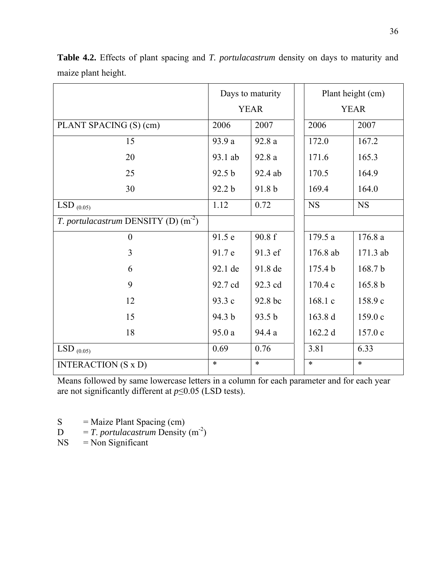|                                       | Days to maturity |         | Plant height (cm)  |                    |
|---------------------------------------|------------------|---------|--------------------|--------------------|
|                                       | <b>YEAR</b>      |         | <b>YEAR</b>        |                    |
| PLANT SPACING (S) (cm)                | 2006             | 2007    | 2006               | 2007               |
| 15                                    | 93.9 a           | 92.8 a  | 172.0              | 167.2              |
| 20                                    | 93.1 ab          | 92.8a   | 171.6              | 165.3              |
| 25                                    | 92.5 b           | 92.4 ab | 170.5              | 164.9              |
| 30                                    | 92.2 b           | 91.8 b  | 169.4              | 164.0              |
| LSD $_{(0.05)}$                       | 1.12             | 0.72    | <b>NS</b>          | <b>NS</b>          |
| T. portulacastrum DENSITY (D) $(m-2)$ |                  |         |                    |                    |
| $\boldsymbol{0}$                      | 91.5 e           | 90.8 f  | 179.5 a            | 176.8 a            |
| 3                                     | 91.7 e           | 91.3 ef | 176.8 ab           | 171.3 ab           |
| 6                                     | 92.1 de          | 91.8 de | 175.4 <sub>b</sub> | 168.7b             |
| 9                                     | 92.7 cd          | 92.3 cd | 170.4 c            | 165.8 <sub>b</sub> |
| 12                                    | 93.3 c           | 92.8 bc | 168.1 c            | 158.9 c            |
| 15                                    | 94.3 b           | 93.5 b  | 163.8 d            | 159.0 c            |
| 18                                    | 95.0a            | 94.4 a  | 162.2 d            | 157.0 c            |
| LSD $_{(0.05)}$                       | 0.69             | 0.76    | 3.81               | 6.33               |
| <b>INTERACTION (S x D)</b>            | $\ast$           | $\ast$  | $\ast$             | $\ast$             |

**Table 4.2.** Effects of plant spacing and *T. portulacastrum* density on days to maturity and maize plant height.

Means followed by same lowercase letters in a column for each parameter and for each year are not significantly different at *p*≤0.05 (LSD tests).

 $S =$  Maize Plant Spacing (cm)

 $D = T$ . *portulacastrum* Density (m<sup>-2</sup>)

 $NS = Non Significant$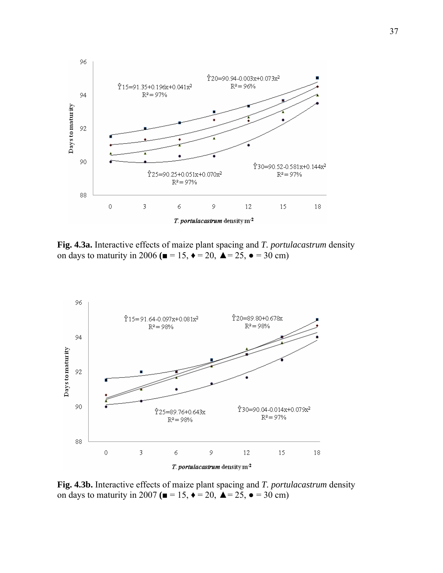

**Fig. 4.3a.** Interactive effects of maize plant spacing and *T. portulacastrum* density on days to maturity in 2006 ( $\blacksquare$  = 15,  $\blacklozenge$  = 20,  $\blacktriangle$  = 25,  $\blacklozenge$  = 30 cm)



**Fig. 4.3b.** Interactive effects of maize plant spacing and *T. portulacastrum* density on days to maturity in 2007 ( $\blacksquare = 15$ ,  $\blacklozenge = 20$ ,  $\blacktriangle = 25$ ,  $\blacklozenge = 30$  cm)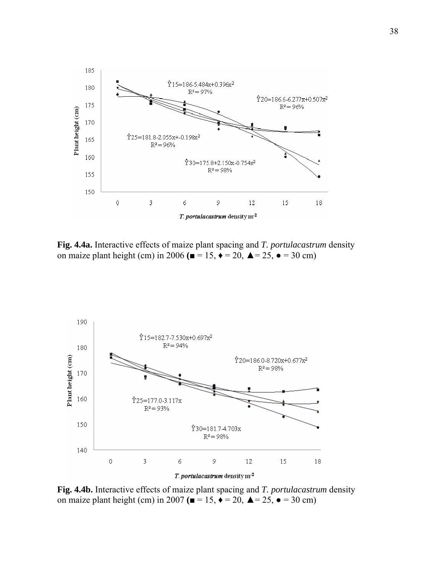

**Fig. 4.4a.** Interactive effects of maize plant spacing and *T. portulacastrum* density on maize plant height (cm) in 2006 ( $\blacksquare = 15$ ,  $\blacklozenge = 20$ ,  $\blacktriangle = 25$ ,  $\blacktriangleright = 30$  cm)



**Fig. 4.4b.** Interactive effects of maize plant spacing and *T. portulacastrum* density on maize plant height (cm) in 2007  $(\blacksquare = 15, \blacklozenge = 20, \blacktriangle = 25, \blacktriangle = 30 \text{ cm})$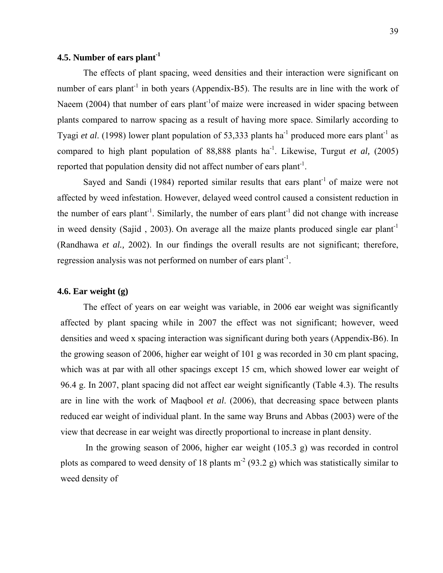# **4.5. Number of ears plant-1**

 The effects of plant spacing, weed densities and their interaction were significant on number of ears plant<sup>-1</sup> in both years (Appendix-B5). The results are in line with the work of Naeem (2004) that number of ears plant<sup>-1</sup>of maize were increased in wider spacing between plants compared to narrow spacing as a result of having more space. Similarly according to Tyagi *et al.* (1998) lower plant population of 53,333 plants ha<sup>-1</sup> produced more ears plant<sup>-1</sup> as compared to high plant population of  $88,888$  plants ha<sup>-1</sup>. Likewise, Turgut *et al.* (2005) reported that population density did not affect number of ears plant<sup>-1</sup>.

Sayed and Sandi (1984) reported similar results that ears plant<sup>-1</sup> of maize were not affected by weed infestation. However, delayed weed control caused a consistent reduction in the number of ears plant<sup>-1</sup>. Similarly, the number of ears plant<sup>-1</sup> did not change with increase in weed density (Sajid, 2003). On average all the maize plants produced single ear plant<sup>-1</sup> (Randhawa *et al.,* 2002). In our findings the overall results are not significant; therefore, regression analysis was not performed on number of ears plant<sup>-1</sup>.

### **4.6. Ear weight (g)**

 The effect of years on ear weight was variable, in 2006 ear weight was significantly affected by plant spacing while in 2007 the effect was not significant; however, weed densities and weed x spacing interaction was significant during both years (Appendix-B6). In the growing season of 2006, higher ear weight of 101 g was recorded in 30 cm plant spacing, which was at par with all other spacings except 15 cm, which showed lower ear weight of 96.4 g. In 2007, plant spacing did not affect ear weight significantly (Table 4.3). The results are in line with the work of Maqbool *et al*. (2006), that decreasing space between plants reduced ear weight of individual plant. In the same way Bruns and Abbas (2003) were of the view that decrease in ear weight was directly proportional to increase in plant density.

 In the growing season of 2006, higher ear weight (105.3 g) was recorded in control plots as compared to weed density of 18 plants  $m<sup>2</sup>$  (93.2 g) which was statistically similar to weed density of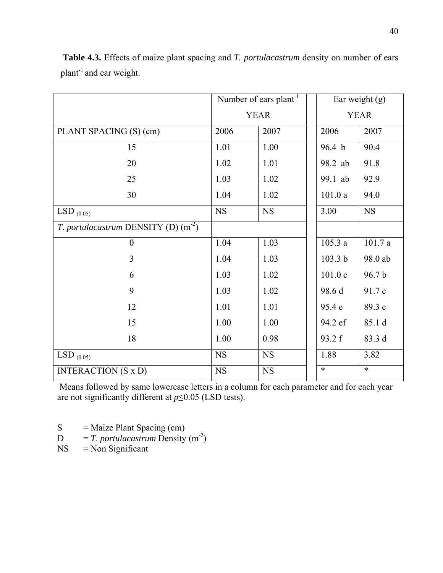|                                       | Number of ears $plant^{-1}$ |             | Ear weight $(g)$  |           |
|---------------------------------------|-----------------------------|-------------|-------------------|-----------|
|                                       | <b>YEAR</b>                 |             | <b>YEAR</b>       |           |
| PLANT SPACING (S) (cm)                | 2006                        | 2007        | 2006              | 2007      |
| 15                                    | 1.01                        | 1.00        | 96.4 <sub>b</sub> | 90.4      |
| 20                                    | 1.02                        | 1.01        | 98.2 ab           | 91.8      |
| 25                                    | 1.03                        | 1.02        | 99.1 ab           | 92.9      |
| 30                                    | 1.04                        | 1.02        | 101.0a            | 94.0      |
| $LSD_{(0.05)}$                        | <b>NS</b>                   | NS          | 3.00              | <b>NS</b> |
| T. portulacastrum DENSITY (D) $(m^2)$ |                             |             |                   |           |
| $\overline{0}$                        | 1.04                        | 1.03        | 105.3a            | 101.7a    |
| $\overline{3}$                        | 1.04                        | 1.03        | 103.3 b           | 98.0 ab   |
| 6                                     | 1.03                        | 1.02        | 101.0c            | 96.7b     |
| 9                                     | 1.03                        | 1.02        | 98.6 d            | 91.7 c    |
| 12                                    | 1.01                        | 1.01        | 95.4 e            | 89.3 c    |
| 15                                    | 1.00                        | 1.00        | 94.2 ef           | 85.1 d    |
| 18                                    | 1.00                        | 0.98        | 93.2 f            | 83.3 d    |
| $LSD_{(0.05)}$                        | $_{\rm NS}$                 | $_{\rm NS}$ | 1.88              | 3.82      |
| <b>INTERACTION (S x D)</b>            | <b>NS</b>                   | $_{\rm NS}$ | $\ast$            | $\ast$    |

**Table 4.3.** Effects of maize plant spacing and *T. portulacastrum* density on number of ears  $plan<sup>1</sup>$  and ear weight.

Means followed by same lowercase letters in a column for each parameter and for each year are not significantly different at *p*≤0.05 (LSD tests).

 $S =$  Maize Plant Spacing (cm)

 $D = T$ . *portulacastrum* Density (m<sup>-2</sup>)<br>NS = Non Significant

 $=$  Non Significant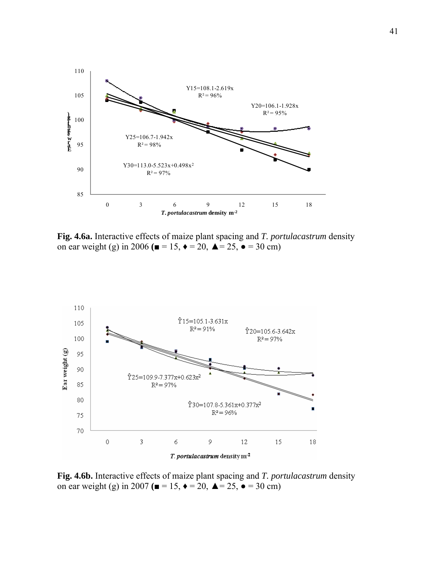

**Fig. 4.6a.** Interactive effects of maize plant spacing and *T. portulacastrum* density on ear weight (g) in 2006 ( $\blacksquare = 15$ ,  $\blacklozenge = 20$ ,  $\blacktriangle = 25$ ,  $\blacktriangleright = 30$  cm)



**Fig. 4.6b.** Interactive effects of maize plant spacing and *T. portulacastrum* density on ear weight (g) in 2007 ( $\blacksquare = 15$ ,  $\blacklozenge = 20$ ,  $\blacktriangle = 25$ ,  $\blacklozenge = 30$  cm)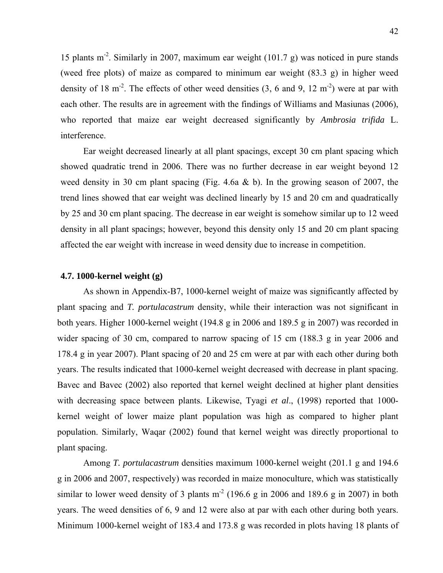15 plants m-2. Similarly in 2007, maximum ear weight (101.7 g) was noticed in pure stands (weed free plots) of maize as compared to minimum ear weight (83.3 g) in higher weed density of 18 m<sup>-2</sup>. The effects of other weed densities  $(3, 6 \text{ and } 9, 12 \text{ m}^{-2})$  were at par with each other. The results are in agreement with the findings of Williams and Masiunas (2006), who reported that maize ear weight decreased significantly by *Ambrosia trifida* L. interference.

 Ear weight decreased linearly at all plant spacings, except 30 cm plant spacing which showed quadratic trend in 2006. There was no further decrease in ear weight beyond 12 weed density in 30 cm plant spacing (Fig. 4.6a  $\&$  b). In the growing season of 2007, the trend lines showed that ear weight was declined linearly by 15 and 20 cm and quadratically by 25 and 30 cm plant spacing. The decrease in ear weight is somehow similar up to 12 weed density in all plant spacings; however, beyond this density only 15 and 20 cm plant spacing affected the ear weight with increase in weed density due to increase in competition.

## **4.7. 1000-kernel weight (g)**

 As shown in Appendix-B7, 1000-kernel weight of maize was significantly affected by plant spacing and *T. portulacastrum* density, while their interaction was not significant in both years. Higher 1000-kernel weight (194.8 g in 2006 and 189.5 g in 2007) was recorded in wider spacing of 30 cm, compared to narrow spacing of 15 cm (188.3 g in year 2006 and 178.4 g in year 2007). Plant spacing of 20 and 25 cm were at par with each other during both years. The results indicated that 1000-kernel weight decreased with decrease in plant spacing. Bavec and Bavec (2002) also reported that kernel weight declined at higher plant densities with decreasing space between plants. Likewise, Tyagi *et al*., (1998) reported that 1000 kernel weight of lower maize plant population was high as compared to higher plant population. Similarly, Waqar (2002) found that kernel weight was directly proportional to plant spacing.

 Among *T. portulacastrum* densities maximum 1000-kernel weight (201.1 g and 194.6 g in 2006 and 2007, respectively) was recorded in maize monoculture, which was statistically similar to lower weed density of 3 plants  $m<sup>2</sup>$  (196.6 g in 2006 and 189.6 g in 2007) in both years. The weed densities of 6, 9 and 12 were also at par with each other during both years. Minimum 1000-kernel weight of 183.4 and 173.8 g was recorded in plots having 18 plants of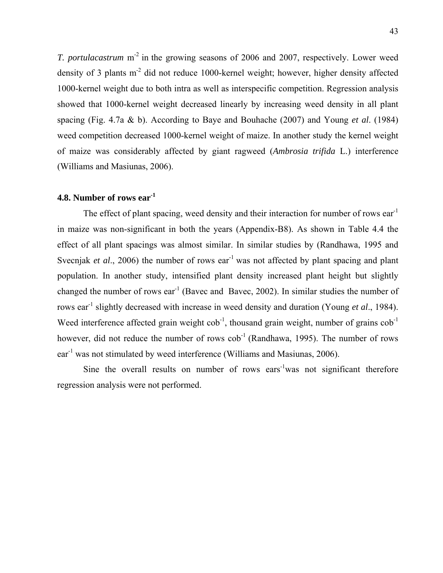*T. portulacastrum* m<sup>-2</sup> in the growing seasons of 2006 and 2007, respectively. Lower weed density of 3 plants  $m<sup>2</sup>$  did not reduce 1000-kernel weight; however, higher density affected 1000-kernel weight due to both intra as well as interspecific competition. Regression analysis showed that 1000-kernel weight decreased linearly by increasing weed density in all plant spacing (Fig. 4.7a & b). According to Baye and Bouhache (2007) and Young *et al*. (1984) weed competition decreased 1000-kernel weight of maize. In another study the kernel weight of maize was considerably affected by giant ragweed (*Ambrosia trifida* L.) interference (Williams and Masiunas, 2006).

# **4.8. Number of rows ear-1**

The effect of plant spacing, weed density and their interaction for number of rows  $ear^{-1}$ in maize was non-significant in both the years (Appendix-B8). As shown in Table 4.4 the effect of all plant spacings was almost similar. In similar studies by (Randhawa, 1995 and Svecnjak *et al.*, 2006) the number of rows ear<sup>-1</sup> was not affected by plant spacing and plant population. In another study, intensified plant density increased plant height but slightly changed the number of rows ear<sup>-1</sup> (Bavec and Bavec, 2002). In similar studies the number of rows ear-1 slightly decreased with increase in weed density and duration (Young *et al*., 1984). Weed interference affected grain weight  $\cosh^{-1}$ , thousand grain weight, number of grains  $\cosh^{-1}$ however, did not reduce the number of rows  $\cosh^{-1}$  (Randhawa, 1995). The number of rows ear<sup>-1</sup> was not stimulated by weed interference (Williams and Masiunas, 2006).

Sine the overall results on number of rows ears<sup>-1</sup>was not significant therefore regression analysis were not performed.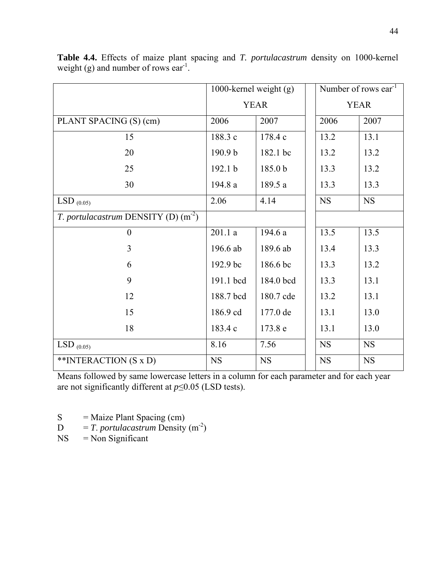|                                       | 1000-kernel weight $(g)$ |             | Number of rows ear <sup>-1</sup> |             |
|---------------------------------------|--------------------------|-------------|----------------------------------|-------------|
|                                       | <b>YEAR</b>              |             | <b>YEAR</b>                      |             |
| PLANT SPACING (S) (cm)                | 2006                     | 2007        | 2006                             | 2007        |
| 15                                    | 188.3 c                  | 178.4 c     | 13.2                             | 13.1        |
| 20                                    | 190.9 b                  | 182.1 bc    | 13.2                             | 13.2        |
| 25                                    | 192.1 b                  | 185.0 b     | 13.3                             | 13.2        |
| 30                                    | 194.8 a                  | 189.5 a     | 13.3                             | 13.3        |
| LSD $_{(0.05)}$                       | 2.06                     | 4.14        | <b>NS</b>                        | $_{\rm NS}$ |
| T. portulacastrum DENSITY (D) $(m^2)$ |                          |             |                                  |             |
| $\overline{0}$                        | 201.1a                   | 194.6 a     | 13.5                             | 13.5        |
| 3                                     | 196.6 ab                 | 189.6 ab    | 13.4                             | 13.3        |
| 6                                     | 192.9 bc                 | 186.6 bc    | 13.3                             | 13.2        |
| 9                                     | 191.1 bcd                | 184.0 bcd   | 13.3                             | 13.1        |
| 12                                    | 188.7 bcd                | 180.7 cde   | 13.2                             | 13.1        |
| 15                                    | 186.9 cd                 | 177.0 de    | 13.1                             | 13.0        |
| 18                                    | 183.4 c                  | 173.8 e     | 13.1                             | 13.0        |
| $LSD_{(0.05)}$                        | 8.16                     | 7.56        | <b>NS</b>                        | <b>NS</b>   |
| **INTERACTION (S x D)                 | $_{\rm NS}$              | $_{\rm NS}$ | <b>NS</b>                        | NS          |

**Table 4.4.** Effects of maize plant spacing and *T. portulacastrum* density on 1000-kernel weight (g) and number of rows ear<sup>-1</sup>.

- S = Maize Plant Spacing (cm)<br> $D = T$ . *portulacastrum* Density
- $= T.$  *portulacastrum* Density (m<sup>-2</sup>)
- $NS = Non Significant$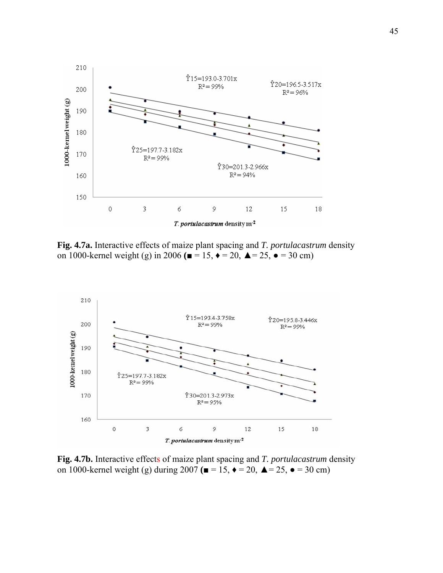

**Fig. 4.7a.** Interactive effects of maize plant spacing and *T. portulacastrum* density on 1000-kernel weight (g) in 2006 ( $\blacksquare$  = 15,  $\blacklozenge$  = 20,  $\blacktriangle$  = 25,  $\blacklozenge$  = 30 cm)



**Fig. 4.7b.** Interactive effects of maize plant spacing and *T. portulacastrum* density on 1000-kernel weight (g) during  $2007$  ( $\blacksquare$  = 15,  $\blacklozenge$  = 20,  $\blacktriangle$  = 25,  $\blacktriangleright$  = 30 cm)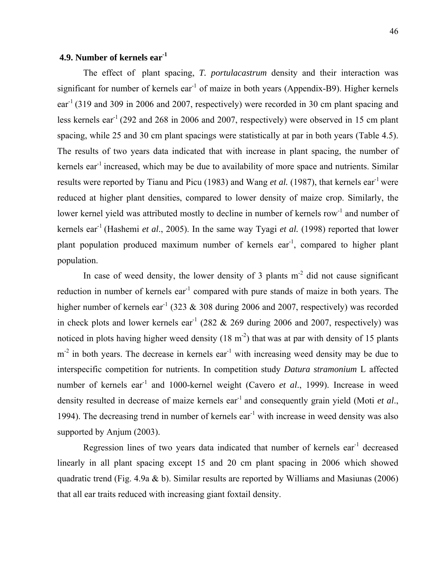# **4.9. Number of kernels ear-1**

The effect of plant spacing, *T. portulacastrum* density and their interaction was significant for number of kernels  $ear^{-1}$  of maize in both years (Appendix-B9). Higher kernels ear-1 (319 and 309 in 2006 and 2007, respectively) were recorded in 30 cm plant spacing and less kernels ear-1 (292 and 268 in 2006 and 2007, respectively) were observed in 15 cm plant spacing, while 25 and 30 cm plant spacings were statistically at par in both years (Table 4.5). The results of two years data indicated that with increase in plant spacing, the number of kernels ear<sup>-1</sup> increased, which may be due to availability of more space and nutrients. Similar results were reported by Tianu and Picu (1983) and Wang *et al.* (1987), that kernels ear<sup>-1</sup> were reduced at higher plant densities, compared to lower density of maize crop. Similarly, the lower kernel yield was attributed mostly to decline in number of kernels row<sup>-1</sup> and number of kernels ear-1 (Hashemi *et al*., 2005). In the same way Tyagi *et al.* (1998) reported that lower plant population produced maximum number of kernels ear<sup>-1</sup>, compared to higher plant population.

In case of weed density, the lower density of 3 plants  $m<sup>2</sup>$  did not cause significant reduction in number of kernels ear<sup> $1$ </sup> compared with pure stands of maize in both years. The higher number of kernels ear<sup>-1</sup> (323  $\&$  308 during 2006 and 2007, respectively) was recorded in check plots and lower kernels ear<sup>-1</sup> (282  $&$  269 during 2006 and 2007, respectively) was noticed in plots having higher weed density  $(18 \text{ m}^2)$  that was at par with density of 15 plants  $m<sup>2</sup>$  in both years. The decrease in kernels ear<sup>-1</sup> with increasing weed density may be due to interspecific competition for nutrients. In competition study *Datura stramonium* L affected number of kernels ear<sup>-1</sup> and 1000-kernel weight (Cavero *et al.*, 1999). Increase in weed density resulted in decrease of maize kernels ear<sup>-1</sup> and consequently grain yield (Moti *et al.*, 1994). The decreasing trend in number of kernels ear<sup>-1</sup> with increase in weed density was also supported by Anjum (2003).

Regression lines of two years data indicated that number of kernels ear<sup>-1</sup> decreased linearly in all plant spacing except 15 and 20 cm plant spacing in 2006 which showed quadratic trend (Fig. 4.9a & b). Similar results are reported by Williams and Masiunas (2006) that all ear traits reduced with increasing giant foxtail density.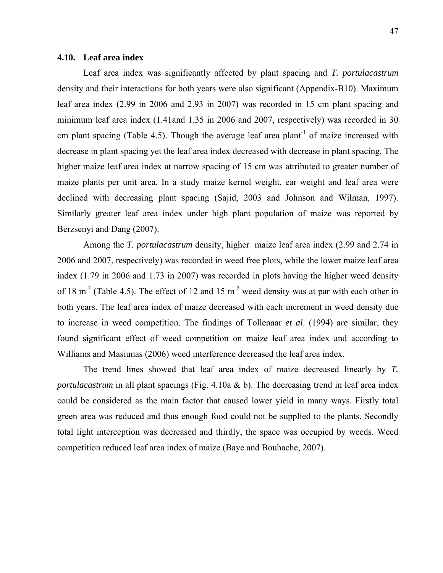### **4.10. Leaf area index**

Leaf area index was significantly affected by plant spacing and *T. portulacastrum*  density and their interactions for both years were also significant (Appendix-B10). Maximum leaf area index (2.99 in 2006 and 2.93 in 2007) was recorded in 15 cm plant spacing and minimum leaf area index (1.41and 1.35 in 2006 and 2007, respectively) was recorded in 30 cm plant spacing (Table 4.5). Though the average leaf area plant<sup>-1</sup> of maize increased with decrease in plant spacing yet the leaf area index decreased with decrease in plant spacing. The higher maize leaf area index at narrow spacing of 15 cm was attributed to greater number of maize plants per unit area. In a study maize kernel weight, ear weight and leaf area were declined with decreasing plant spacing (Sajid, 2003 and Johnson and Wilman, 1997). Similarly greater leaf area index under high plant population of maize was reported by Berzsenyi and Dang (2007).

Among the *T. portulacastrum* density, higher maize leaf area index (2.99 and 2.74 in 2006 and 2007, respectively) was recorded in weed free plots, while the lower maize leaf area index (1.79 in 2006 and 1.73 in 2007) was recorded in plots having the higher weed density of 18 m<sup>-2</sup> (Table 4.5). The effect of 12 and 15 m<sup>-2</sup> weed density was at par with each other in both years. The leaf area index of maize decreased with each increment in weed density due to increase in weed competition. The findings of Tollenaar *et al*. (1994) are similar, they found significant effect of weed competition on maize leaf area index and according to Williams and Masiunas (2006) weed interference decreased the leaf area index.

The trend lines showed that leaf area index of maize decreased linearly by *T. portulacastrum* in all plant spacings (Fig. 4.10a & b). The decreasing trend in leaf area index could be considered as the main factor that caused lower yield in many ways. Firstly total green area was reduced and thus enough food could not be supplied to the plants. Secondly total light interception was decreased and thirdly, the space was occupied by weeds. Weed competition reduced leaf area index of maize (Baye and Bouhache, 2007).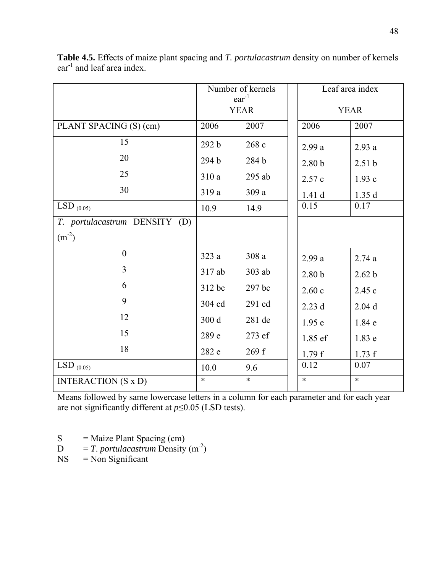|                               | Number of kernels         |          | Leaf area index    |                   |
|-------------------------------|---------------------------|----------|--------------------|-------------------|
|                               | $ear^{-1}$<br><b>YEAR</b> |          |                    | <b>YEAR</b>       |
| PLANT SPACING (S) (cm)        | 2007<br>2006              |          | 2006               | 2007              |
| 15                            | 292 b                     | 268 c    | 2.99a              | 2.93a             |
| 20                            | 294 b                     | 284 b    | $2.80\,\mathrm{b}$ | 2.51 <sub>b</sub> |
| 25                            | 310a                      | 295 ab   | 2.57 c             | 1.93c             |
| 30                            | 319a                      | 309a     | 1.41 d             | 1.35d             |
| LSD $_{(0.05)}$               | 10.9                      | 14.9     | 0.15               | 0.17              |
| T. portulacastrum DENSITY (D) |                           |          |                    |                   |
| $(m^{-2})$                    |                           |          |                    |                   |
| $\theta$                      | 323a                      | 308 a    | 2.99a              | 2.74a             |
| $\overline{3}$                | 317 ab                    | $303$ ab | 2.80 <sub>b</sub>  | 2.62 b            |
| 6                             | 312 bc                    | 297 bc   | 2.60c              | 2.45c             |
| 9                             | 304 cd                    | 291 cd   | 2.23d              | $2.04$ d          |
| 12                            | 300 d                     | 281 de   | 1.95e              | 1.84 e            |
| 15                            | 289 e                     | 273 ef   | 1.85 ef            | 1.83 e            |
| 18                            | 282 e                     | 269 f    | 1.79f              | 1.73 f            |
| $LSD_{(0.05)}$                | 10.0                      | 9.6      | 0.12               | 0.07              |
| <b>INTERACTION</b> (S x D)    | $\ast$                    | $\ast$   | $\ast$             | $\ast$            |

**Table 4.5.** Effects of maize plant spacing and *T. portulacastrum* density on number of kernels ear<sup>-1</sup> and leaf area index.

 $S =$  Maize Plant Spacing (cm)

 $D = T$ . *portulacastrum* Density (m<sup>-2</sup>)

NS = Non Significant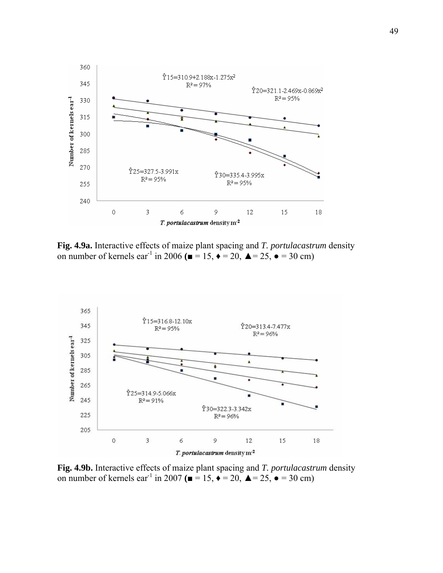

**Fig. 4.9a.** Interactive effects of maize plant spacing and *T. portulacastrum* density on number of kernels ear<sup>-1</sup> in 2006 ( $\blacksquare$  = 15,  $\blacklozenge$  = 20,  $\blacktriangle$  = 25,  $\blacklozenge$  = 30 cm)



**Fig. 4.9b.** Interactive effects of maize plant spacing and *T. portulacastrum* density on number of kernels ear<sup>-1</sup> in 2007 ( $\blacksquare$  = 15,  $\blacklozenge$  = 20,  $\blacktriangle$  = 25,  $\blacklozenge$  = 30 cm)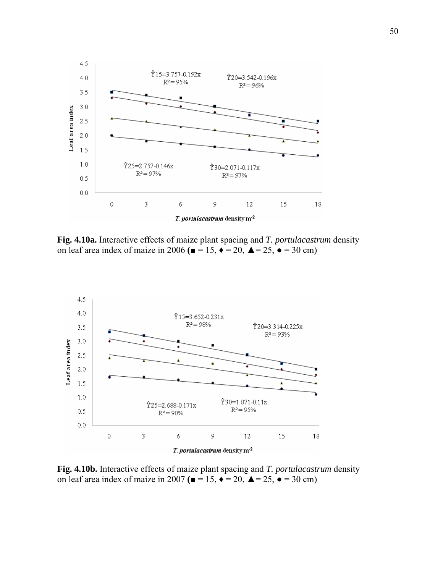

**Fig. 4.10a.** Interactive effects of maize plant spacing and *T. portulacastrum* density on leaf area index of maize in 2006  $($  $\blacksquare = 15,$   $\blacklozenge = 20,$   $\blacktriangle = 25,$   $\blacktriangleright = 30$  cm)



**Fig. 4.10b.** Interactive effects of maize plant spacing and *T. portulacastrum* density on leaf area index of maize in 2007  $($  $\blacksquare$  = 15,  $\blacklozenge$  = 20,  $\blacktriangle$  = 25,  $\blacklozenge$  = 30 cm)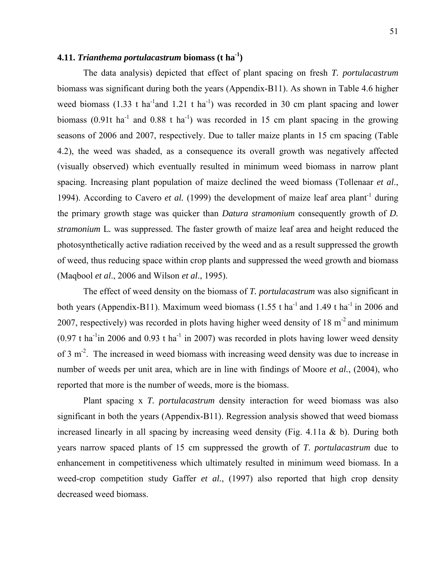# **4.11.** *Trianthema portulacastrum* **biomass (t ha-1)**

 The data analysis) depicted that effect of plant spacing on fresh *T. portulacastrum* biomass was significant during both the years (Appendix-B11). As shown in Table 4.6 higher weed biomass (1.33 t ha<sup>-1</sup>and 1.21 t ha<sup>-1</sup>) was recorded in 30 cm plant spacing and lower biomass (0.91t ha<sup>-1</sup> and 0.88 t ha<sup>-1</sup>) was recorded in 15 cm plant spacing in the growing seasons of 2006 and 2007, respectively. Due to taller maize plants in 15 cm spacing (Table 4.2), the weed was shaded, as a consequence its overall growth was negatively affected (visually observed) which eventually resulted in minimum weed biomass in narrow plant spacing. Increasing plant population of maize declined the weed biomass (Tollenaar *et al*., 1994). According to Cavero *et al.* (1999) the development of maize leaf area plant<sup>-1</sup> during the primary growth stage was quicker than *Datura stramonium* consequently growth of *D. stramonium* L*.* was suppressed. The faster growth of maize leaf area and height reduced the photosynthetically active radiation received by the weed and as a result suppressed the growth of weed, thus reducing space within crop plants and suppressed the weed growth and biomass (Maqbool *et al*., 2006 and Wilson *et al*., 1995).

 The effect of weed density on the biomass of *T. portulacastrum* was also significant in both years (Appendix-B11). Maximum weed biomass (1.55 t ha<sup>-1</sup> and 1.49 t ha<sup>-1</sup> in 2006 and 2007, respectively) was recorded in plots having higher weed density of 18 m-2 and minimum  $(0.97 \text{ t} \text{ ha}^{-1}$ in 2006 and 0.93 t ha<sup>-1</sup> in 2007) was recorded in plots having lower weed density of 3 m<sup>-2</sup>. The increased in weed biomass with increasing weed density was due to increase in number of weeds per unit area, which are in line with findings of Moore *et al.*, (2004), who reported that more is the number of weeds, more is the biomass.

 Plant spacing x *T. portulacastrum* density interaction for weed biomass was also significant in both the years (Appendix-B11). Regression analysis showed that weed biomass increased linearly in all spacing by increasing weed density (Fig. 4.11a & b). During both years narrow spaced plants of 15 cm suppressed the growth of *T*. *portulacastrum* due to enhancement in competitiveness which ultimately resulted in minimum weed biomass. In a weed-crop competition study Gaffer *et al.*, (1997) also reported that high crop density decreased weed biomass.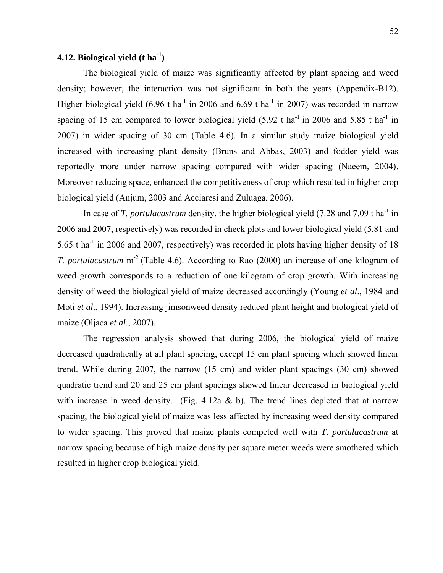# **4.12. Biological yield (t ha-1)**

The biological yield of maize was significantly affected by plant spacing and weed density; however, the interaction was not significant in both the years (Appendix-B12). Higher biological yield  $(6.96 \text{ t} \text{ ha}^1 \text{ in } 2006 \text{ and } 6.69 \text{ t} \text{ ha}^1 \text{ in } 2007)$  was recorded in narrow spacing of 15 cm compared to lower biological yield  $(5.92 \text{ t} \text{ ha}^{-1} \text{ in } 2006 \text{ and } 5.85 \text{ t} \text{ ha}^{-1} \text{ in }$ 2007) in wider spacing of 30 cm (Table 4.6). In a similar study maize biological yield increased with increasing plant density (Bruns and Abbas, 2003) and fodder yield was reportedly more under narrow spacing compared with wider spacing (Naeem, 2004). Moreover reducing space, enhanced the competitiveness of crop which resulted in higher crop biological yield (Anjum, 2003 and Acciaresi and Zuluaga, 2006).

In case of *T. portulacastrum* density, the higher biological yield (7.28 and 7.09 t ha<sup>-1</sup> in 2006 and 2007, respectively) was recorded in check plots and lower biological yield (5.81 and 5.65 t ha<sup>-1</sup> in 2006 and 2007, respectively) was recorded in plots having higher density of 18 *T. portulacastrum* m<sup>-2</sup> (Table 4.6). According to Rao (2000) an increase of one kilogram of weed growth corresponds to a reduction of one kilogram of crop growth. With increasing density of weed the biological yield of maize decreased accordingly (Young *et al*., 1984 and Moti *et al*., 1994). Increasing jimsonweed density reduced plant height and biological yield of maize (Oljaca *et al*., 2007).

 The regression analysis showed that during 2006, the biological yield of maize decreased quadratically at all plant spacing, except 15 cm plant spacing which showed linear trend. While during 2007, the narrow (15 cm) and wider plant spacings (30 cm) showed quadratic trend and 20 and 25 cm plant spacings showed linear decreased in biological yield with increase in weed density. (Fig. 4.12a  $\&$  b). The trend lines depicted that at narrow spacing, the biological yield of maize was less affected by increasing weed density compared to wider spacing. This proved that maize plants competed well with *T*. *portulacastrum* at narrow spacing because of high maize density per square meter weeds were smothered which resulted in higher crop biological yield.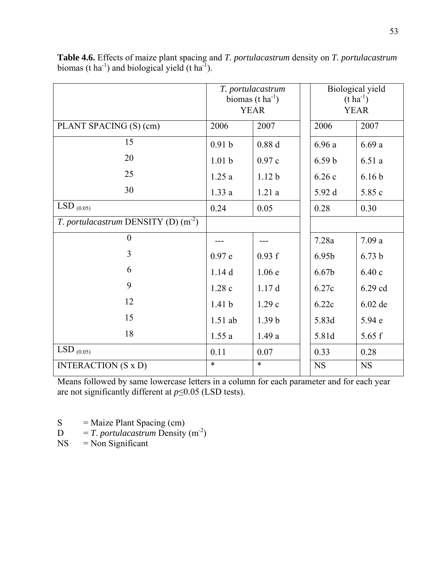|                                       | T. portulacastrum<br>biomas $(t \, ha^{-1})$<br><b>YEAR</b> |                   | Biological yield<br>$(t \, ha^{-1})$<br><b>YEAR</b> |                   |
|---------------------------------------|-------------------------------------------------------------|-------------------|-----------------------------------------------------|-------------------|
| PLANT SPACING (S) (cm)                | 2006                                                        | 2007              | 2006                                                | 2007              |
| 15                                    | 0.91 <sub>b</sub>                                           | 0.88d             | 6.96a                                               | 6.69a             |
| 20                                    | 1.01 <sub>b</sub>                                           | 0.97c             | 6.59 <sub>b</sub>                                   | 6.51a             |
| 25                                    | 1.25a                                                       | 1.12 <sub>b</sub> | 6.26c                                               | 6.16 <sub>b</sub> |
| 30                                    | 1.33a                                                       | 1.21a             | 5.92 d                                              | 5.85 c            |
| LSD $_{(0.05)}$                       | 0.24                                                        | 0.05              | 0.28                                                | 0.30              |
| T. portulacastrum DENSITY (D) $(m-2)$ |                                                             |                   |                                                     |                   |
| $\boldsymbol{0}$                      |                                                             |                   | 7.28a                                               | 7.09a             |
| 3                                     | 0.97e                                                       | 0.93 f            | 6.95b                                               | 6.73 <sub>b</sub> |
| 6                                     | 1.14d                                                       | 1.06e             | 6.67b                                               | 6.40c             |
| 9                                     | 1.28c                                                       | 1.17d             | 6.27c                                               | 6.29 cd           |
| 12                                    | 1.41 <sub>b</sub>                                           | 1.29c             | 6.22c                                               | 6.02 de           |
| 15                                    | $1.51$ ab                                                   | 1.39 <sub>b</sub> | 5.83d                                               | 5.94 e            |
| 18                                    | 1.55a                                                       | 1.49a             | 5.81d                                               | 5.65 f            |
| LSD $_{(0.05)}$                       | 0.11                                                        | 0.07              | 0.33                                                | 0.28              |
| <b>INTERACTION</b> (S x D)            | $\ast$                                                      | $\ast$            | <b>NS</b>                                           | <b>NS</b>         |

**Table 4.6.** Effects of maize plant spacing and *T. portulacastrum* density on *T. portulacastrum* biomas (t  $ha^{-1}$ ) and biological yield (t  $ha^{-1}$ ).

 $S =$  Maize Plant Spacing (cm)

- $D = T$ . *portulacastrum* Density (m<sup>-2</sup>)
- NS = Non Significant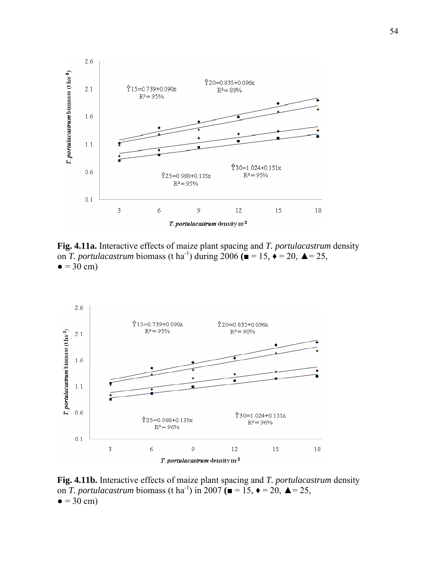

**Fig. 4.11a.** Interactive effects of maize plant spacing and *T. portulacastrum* density on *T. portulacastrum* biomass (t ha<sup>-1</sup>) during 2006 **(** $\bullet$  = 15,  $\bullet$  = 20,  $\bullet$  = 25,  $\bullet$  = 30 cm)



**Fig. 4.11b.** Interactive effects of maize plant spacing and *T. portulacastrum* density on *T. portulacastrum* biomass (t ha<sup>-1</sup>) in 2007 ( $\blacksquare$  = 15,  $\blacklozenge$  = 20,  $\blacktriangle$  = 25,  $\bullet$  = 30 cm)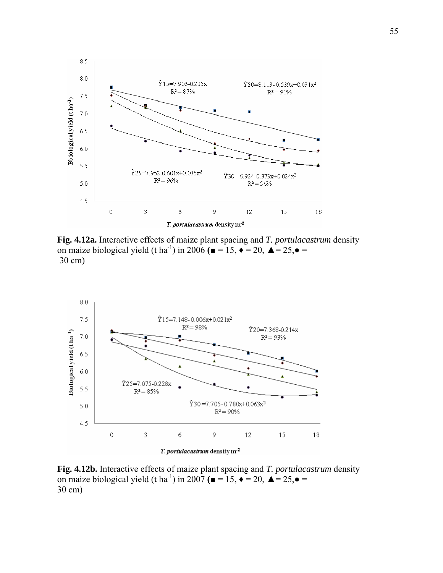

**Fig. 4.12a.** Interactive effects of maize plant spacing and *T. portulacastrum* density on maize biological yield (t ha<sup>-1</sup>) in 2006 ( $\blacksquare$  = 15,  $\blacklozenge$  = 20,  $\blacktriangle$  = 25, $\blacklozenge$  = 30 cm)



**Fig. 4.12b.** Interactive effects of maize plant spacing and *T. portulacastrum* density on maize biological yield (t ha<sup>-1</sup>) in 2007 ( $\blacksquare$  = 15,  $\blacklozenge$  = 20,  $\blacktriangle$  = 25, $\blacktriangle$  = 30 cm)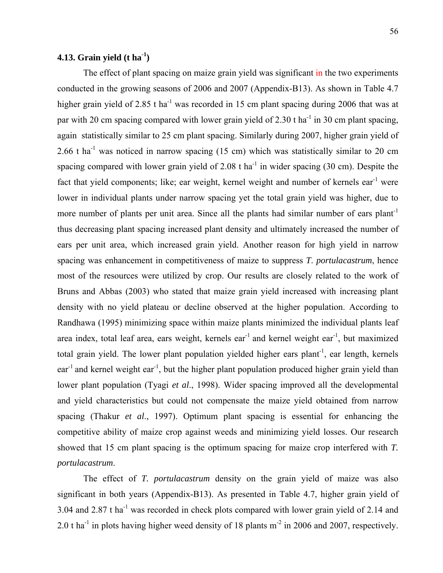# **4.13. Grain yield (t ha-1)**

The effect of plant spacing on maize grain yield was significant in the two experiments conducted in the growing seasons of 2006 and 2007 (Appendix-B13). As shown in Table 4.7 higher grain yield of 2.85 t ha<sup>-1</sup> was recorded in 15 cm plant spacing during 2006 that was at par with 20 cm spacing compared with lower grain yield of 2.30 t ha<sup>-1</sup> in 30 cm plant spacing, again statistically similar to 25 cm plant spacing. Similarly during 2007, higher grain yield of 2.66 t ha<sup>-1</sup> was noticed in narrow spacing (15 cm) which was statistically similar to 20 cm spacing compared with lower grain yield of 2.08 t ha<sup>-1</sup> in wider spacing (30 cm). Despite the fact that yield components; like; ear weight, kernel weight and number of kernels  $ear^{-1}$  were lower in individual plants under narrow spacing yet the total grain yield was higher, due to more number of plants per unit area. Since all the plants had similar number of ears plant<sup>-1</sup> thus decreasing plant spacing increased plant density and ultimately increased the number of ears per unit area, which increased grain yield. Another reason for high yield in narrow spacing was enhancement in competitiveness of maize to suppress *T*. *portulacastrum*, hence most of the resources were utilized by crop. Our results are closely related to the work of Bruns and Abbas (2003) who stated that maize grain yield increased with increasing plant density with no yield plateau or decline observed at the higher population. According to Randhawa (1995) minimizing space within maize plants minimized the individual plants leaf area index, total leaf area, ears weight, kernels ear<sup>-1</sup> and kernel weight ear<sup>-1</sup>, but maximized total grain yield. The lower plant population yielded higher ears plant<sup>-1</sup>, ear length, kernels  $ear<sup>-1</sup>$  and kernel weight ear<sup>-1</sup>, but the higher plant population produced higher grain yield than lower plant population (Tyagi *et al*., 1998). Wider spacing improved all the developmental and yield characteristics but could not compensate the maize yield obtained from narrow spacing (Thakur *et al*., 1997). Optimum plant spacing is essential for enhancing the competitive ability of maize crop against weeds and minimizing yield losses. Our research showed that 15 cm plant spacing is the optimum spacing for maize crop interfered with *T. portulacastrum*.

 The effect of *T. portulacastrum* density on the grain yield of maize was also significant in both years (Appendix-B13). As presented in Table 4.7, higher grain yield of 3.04 and 2.87 t ha<sup>-1</sup> was recorded in check plots compared with lower grain yield of 2.14 and 2.0 t ha<sup>-1</sup> in plots having higher weed density of 18 plants  $m<sup>2</sup>$  in 2006 and 2007, respectively.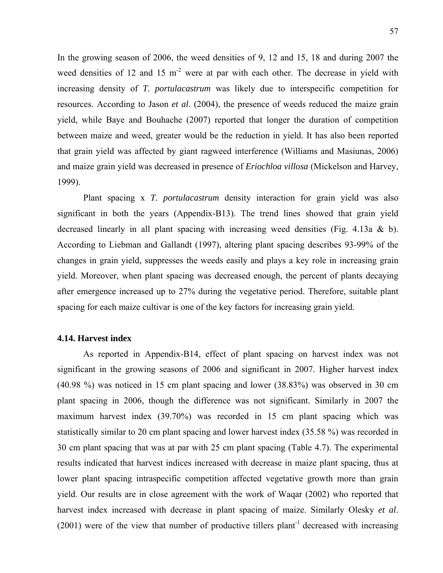In the growing season of 2006, the weed densities of 9, 12 and 15, 18 and during 2007 the weed densities of 12 and 15  $m<sup>2</sup>$  were at par with each other. The decrease in yield with increasing density of *T. portulacastrum* was likely due to interspecific competition for resources. According to Jason *et al*. (2004), the presence of weeds reduced the maize grain yield, while Baye and Bouhache (2007) reported that longer the duration of competition between maize and weed, greater would be the reduction in yield. It has also been reported that grain yield was affected by giant ragweed interference (Williams and Masiunas, 2006) and maize grain yield was decreased in presence of *Eriochloa villosa* (Mickelson and Harvey, 1999).

 Plant spacing x *T. portulacastrum* density interaction for grain yield was also significant in both the years (Appendix-B13). The trend lines showed that grain yield decreased linearly in all plant spacing with increasing weed densities (Fig. 4.13a & b). According to Liebman and Gallandt (1997), altering plant spacing describes 93-99% of the changes in grain yield, suppresses the weeds easily and plays a key role in increasing grain yield. Moreover, when plant spacing was decreased enough, the percent of plants decaying after emergence increased up to 27% during the vegetative period. Therefore, suitable plant spacing for each maize cultivar is one of the key factors for increasing grain yield.

#### **4.14. Harvest index**

 As reported in Appendix-B14, effect of plant spacing on harvest index was not significant in the growing seasons of 2006 and significant in 2007. Higher harvest index (40.98 %) was noticed in 15 cm plant spacing and lower (38.83%) was observed in 30 cm plant spacing in 2006, though the difference was not significant. Similarly in 2007 the maximum harvest index (39.70%) was recorded in 15 cm plant spacing which was statistically similar to 20 cm plant spacing and lower harvest index (35.58 %) was recorded in 30 cm plant spacing that was at par with 25 cm plant spacing (Table 4.7). The experimental results indicated that harvest indices increased with decrease in maize plant spacing, thus at lower plant spacing intraspecific competition affected vegetative growth more than grain yield. Our results are in close agreement with the work of Waqar (2002) who reported that harvest index increased with decrease in plant spacing of maize. Similarly Olesky *et al*.  $(2001)$  were of the view that number of productive tillers plant<sup>-1</sup> decreased with increasing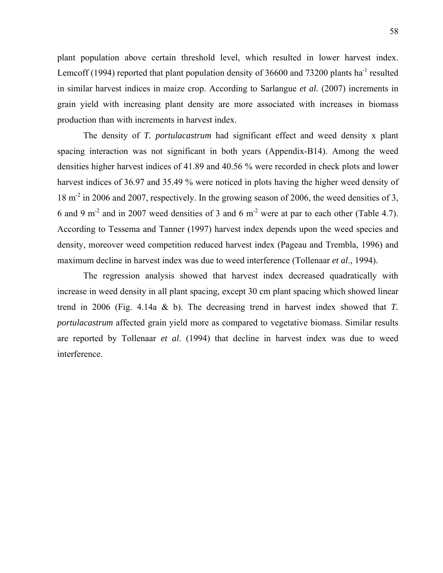plant population above certain threshold level, which resulted in lower harvest index. Lemcoff (1994) reported that plant population density of 36600 and 73200 plants ha<sup>-1</sup> resulted in similar harvest indices in maize crop. According to Sarlangue *et al.* (2007) increments in grain yield with increasing plant density are more associated with increases in biomass production than with increments in harvest index.

 The density of *T. portulacastrum* had significant effect and weed density x plant spacing interaction was not significant in both years (Appendix-B14). Among the weed densities higher harvest indices of 41.89 and 40.56 % were recorded in check plots and lower harvest indices of 36.97 and 35.49 % were noticed in plots having the higher weed density of 18 m-2 in 2006 and 2007, respectively. In the growing season of 2006, the weed densities of 3, 6 and 9 m<sup>-2</sup> and in 2007 weed densities of 3 and 6 m<sup>-2</sup> were at par to each other (Table 4.7). According to Tessema and Tanner (1997) harvest index depends upon the weed species and density, moreover weed competition reduced harvest index (Pageau and Trembla, 1996) and maximum decline in harvest index was due to weed interference (Tollenaar *et al*., 1994).

 The regression analysis showed that harvest index decreased quadratically with increase in weed density in all plant spacing, except 30 cm plant spacing which showed linear trend in 2006 (Fig. 4.14a & b). The decreasing trend in harvest index showed that *T. portulacastrum* affected grain yield more as compared to vegetative biomass. Similar results are reported by Tollenaar *et al*. (1994) that decline in harvest index was due to weed interference.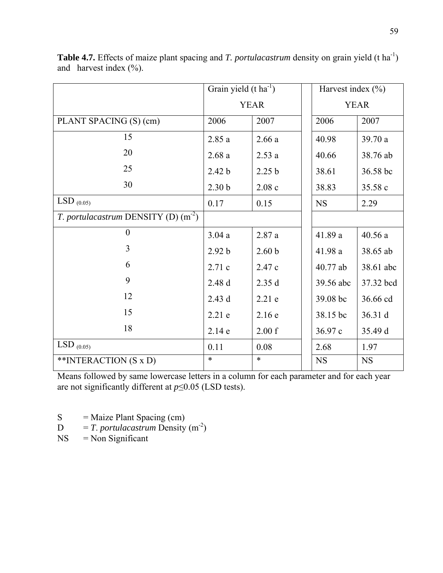|                                       | Grain yield $(t \, ha^{-1})$ |                   | Harvest index $(\% )$ |           |
|---------------------------------------|------------------------------|-------------------|-----------------------|-----------|
|                                       | <b>YEAR</b>                  |                   | <b>YEAR</b>           |           |
| PLANT SPACING (S) (cm)                | 2006                         | 2007              | 2006                  | 2007      |
| 15                                    | 2.85a                        | 2.66a             | 40.98                 | 39.70 a   |
| 20                                    | 2.68a                        | 2.53a             | 40.66                 | 38.76 ab  |
| 25                                    | 2.42 <sub>b</sub>            | 2.25 <sub>b</sub> | 38.61                 | 36.58 bc  |
| 30                                    | 2.30 <sub>b</sub>            | 2.08c             | 38.83                 | 35.58 c   |
| $LSD_{(0.05)}$                        | 0.17                         | 0.15              | <b>NS</b>             | 2.29      |
| T. portulacastrum DENSITY (D) $(m-2)$ |                              |                   |                       |           |
| $\overline{0}$                        | 3.04a                        | 2.87a             | 41.89 a               | 40.56a    |
| 3                                     | 2.92 b                       | 2.60 <sub>b</sub> | 41.98 a               | 38.65 ab  |
| 6                                     | 2.71 c                       | 2.47 c            | 40.77 ab              | 38.61 abc |
| 9                                     | 2.48 d                       | 2.35d             | 39.56 abc             | 37.32 bcd |
| 12                                    | 2.43 d                       | $2.21$ e          | 39.08 bc              | 36.66 cd  |
| 15                                    | $2.21$ e                     | 2.16e             | 38.15 bc              | 36.31 d   |
| 18                                    | 2.14e                        | 2.00 f            | 36.97 c               | 35.49 d   |
| LSD $_{(0.05)}$                       | 0.11                         | 0.08              | 2.68                  | 1.97      |
| **INTERACTION (S x D)                 | $\ast$                       | $\ast$            | <b>NS</b>             | <b>NS</b> |

**Table 4.7.** Effects of maize plant spacing and *T. portulacastrum* density on grain yield (t ha<sup>-1</sup>) and harvest index  $(\%).$ 

S = Maize Plant Spacing (cm)<br> $D = T$ . *portulacastrum* Density

 $D = T$ . *portulacastrum* Density (m<sup>-2</sup>)<br>NS = Non Significant

 $=$  Non Significant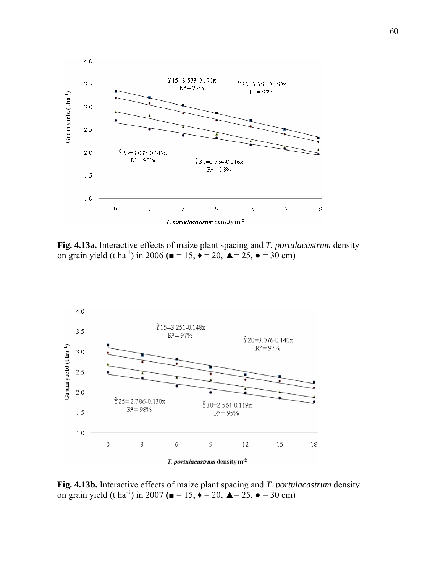

**Fig. 4.13a.** Interactive effects of maize plant spacing and *T. portulacastrum* density on grain yield (t ha<sup>-1</sup>) in 2006 ( $\blacksquare = 15$ ,  $\blacklozenge = 20$ ,  $\blacktriangle = 25$ ,  $\blacktriangleright = 30$  cm)



**Fig. 4.13b.** Interactive effects of maize plant spacing and *T. portulacastrum* density on grain yield (t ha<sup>-1</sup>) in 2007 ( $\blacksquare = 15$ ,  $\blacklozenge = 20$ ,  $\blacktriangle = 25$ ,  $\blacktriangleright = 30$  cm)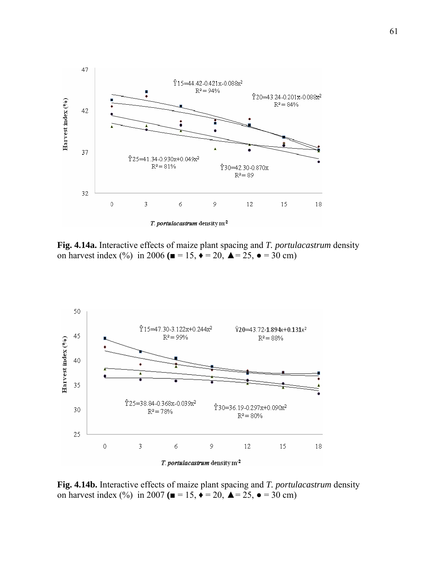

**Fig. 4.14a.** Interactive effects of maize plant spacing and *T. portulacastrum* density on harvest index (%) in 2006 ( $\blacksquare = 15$ ,  $\blacklozenge = 20$ ,  $\blacktriangle = 25$ ,  $\blacktriangleright = 30$  cm)



**Fig. 4.14b.** Interactive effects of maize plant spacing and *T. portulacastrum* density on harvest index (%) in 2007 ( $\blacksquare = 15$ ,  $\blacklozenge = 20$ ,  $\blacktriangle = 25$ ,  $\blacklozenge = 30$  cm)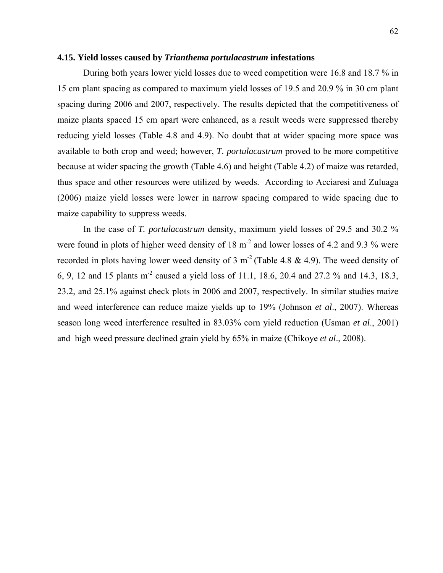#### **4.15. Yield losses caused by** *Trianthema portulacastrum* **infestations**

 During both years lower yield losses due to weed competition were 16.8 and 18.7 % in 15 cm plant spacing as compared to maximum yield losses of 19.5 and 20.9 % in 30 cm plant spacing during 2006 and 2007, respectively. The results depicted that the competitiveness of maize plants spaced 15 cm apart were enhanced, as a result weeds were suppressed thereby reducing yield losses (Table 4.8 and 4.9). No doubt that at wider spacing more space was available to both crop and weed; however, *T*. *portulacastrum* proved to be more competitive because at wider spacing the growth (Table 4.6) and height (Table 4.2) of maize was retarded, thus space and other resources were utilized by weeds. According to Acciaresi and Zuluaga (2006) maize yield losses were lower in narrow spacing compared to wide spacing due to maize capability to suppress weeds.

 In the case of *T. portulacastrum* density, maximum yield losses of 29.5 and 30.2 % were found in plots of higher weed density of  $18 \text{ m}^2$  and lower losses of 4.2 and 9.3 % were recorded in plots having lower weed density of 3 m<sup>-2</sup> (Table 4.8  $\&$  4.9). The weed density of 6, 9, 12 and 15 plants m-2 caused a yield loss of 11.1, 18.6, 20.4 and 27.2 % and 14.3, 18.3, 23.2, and 25.1% against check plots in 2006 and 2007, respectively. In similar studies maize and weed interference can reduce maize yields up to 19% (Johnson *et al*., 2007). Whereas season long weed interference resulted in 83.03% corn yield reduction (Usman *et al*., 2001) and high weed pressure declined grain yield by 65% in maize (Chikoye *et al*., 2008).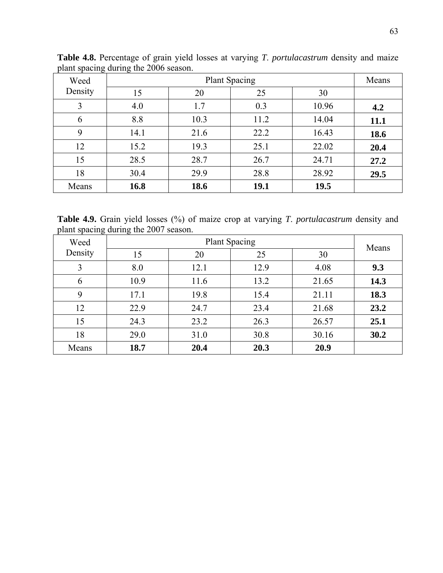| Weed    | <b>Plant Spacing</b> |      |      |       |      |
|---------|----------------------|------|------|-------|------|
| Density | 15                   | 20   | 25   | 30    |      |
| 3       | 4.0                  | 1.7  | 0.3  | 10.96 | 4.2  |
| 6       | 8.8                  | 10.3 | 11.2 | 14.04 | 11.1 |
| 9       | 14.1                 | 21.6 | 22.2 | 16.43 | 18.6 |
| 12      | 15.2                 | 19.3 | 25.1 | 22.02 | 20.4 |
| 15      | 28.5                 | 28.7 | 26.7 | 24.71 | 27.2 |
| 18      | 30.4                 | 29.9 | 28.8 | 28.92 | 29.5 |
| Means   | 16.8                 | 18.6 | 19.1 | 19.5  |      |

**Table 4.8.** Percentage of grain yield losses at varying *T*. *portulacastrum* density and maize plant spacing during the 2006 season.

**Table 4.9.** Grain yield losses (%) of maize crop at varying *T*. *portulacastrum* density and plant spacing during the 2007 season.

| Weed    |      | Means |      |       |      |
|---------|------|-------|------|-------|------|
| Density | 15   | 20    | 25   | 30    |      |
| 3       | 8.0  | 12.1  | 12.9 | 4.08  | 9.3  |
| 6       | 10.9 | 11.6  | 13.2 | 21.65 | 14.3 |
| 9       | 17.1 | 19.8  | 15.4 | 21.11 | 18.3 |
| 12      | 22.9 | 24.7  | 23.4 | 21.68 | 23.2 |
| 15      | 24.3 | 23.2  | 26.3 | 26.57 | 25.1 |
| 18      | 29.0 | 31.0  | 30.8 | 30.16 | 30.2 |
| Means   | 18.7 | 20.4  | 20.3 | 20.9  |      |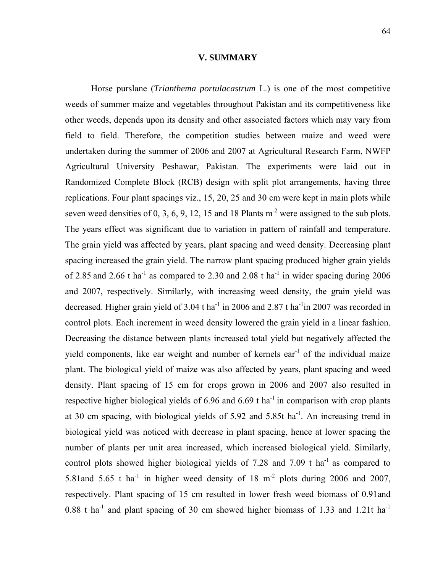#### **V. SUMMARY**

 Horse purslane (*Trianthema portulacastrum* L.) is one of the most competitive weeds of summer maize and vegetables throughout Pakistan and its competitiveness like other weeds, depends upon its density and other associated factors which may vary from field to field. Therefore, the competition studies between maize and weed were undertaken during the summer of 2006 and 2007 at Agricultural Research Farm, NWFP Agricultural University Peshawar, Pakistan. The experiments were laid out in Randomized Complete Block (RCB) design with split plot arrangements, having three replications. Four plant spacings viz., 15, 20, 25 and 30 cm were kept in main plots while seven weed densities of 0, 3, 6, 9, 12, 15 and 18 Plants  $m<sup>2</sup>$  were assigned to the sub plots. The years effect was significant due to variation in pattern of rainfall and temperature. The grain yield was affected by years, plant spacing and weed density. Decreasing plant spacing increased the grain yield. The narrow plant spacing produced higher grain yields of 2.85 and 2.66 t ha<sup>-1</sup> as compared to 2.30 and 2.08 t ha<sup>-1</sup> in wider spacing during 2006 and 2007, respectively. Similarly, with increasing weed density, the grain yield was decreased. Higher grain yield of  $3.04$  t ha<sup>-1</sup> in 2006 and  $2.87$  t ha<sup>-1</sup> in 2007 was recorded in control plots. Each increment in weed density lowered the grain yield in a linear fashion. Decreasing the distance between plants increased total yield but negatively affected the yield components, like ear weight and number of kernels ear<sup>-1</sup> of the individual maize plant. The biological yield of maize was also affected by years, plant spacing and weed density. Plant spacing of 15 cm for crops grown in 2006 and 2007 also resulted in respective higher biological yields of 6.96 and 6.69 t ha<sup>-1</sup> in comparison with crop plants at 30 cm spacing, with biological yields of  $5.92$  and  $5.85t$  ha<sup>-1</sup>. An increasing trend in biological yield was noticed with decrease in plant spacing, hence at lower spacing the number of plants per unit area increased, which increased biological yield. Similarly, control plots showed higher biological yields of 7.28 and 7.09 t ha<sup>-1</sup> as compared to 5.81and 5.65 t ha<sup>-1</sup> in higher weed density of 18 m<sup>-2</sup> plots during 2006 and 2007, respectively. Plant spacing of 15 cm resulted in lower fresh weed biomass of 0.91and 0.88 t ha<sup>-1</sup> and plant spacing of 30 cm showed higher biomass of 1.33 and 1.21t ha<sup>-1</sup>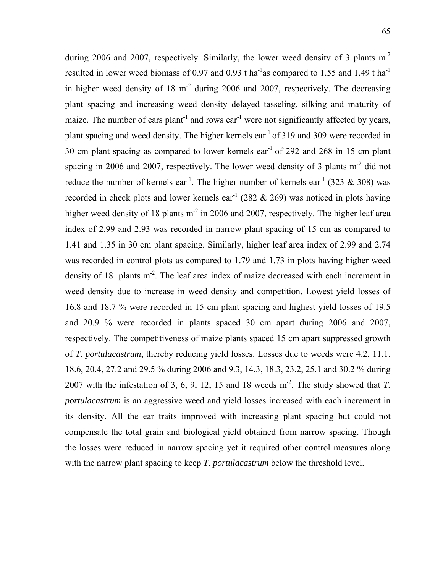during 2006 and 2007, respectively. Similarly, the lower weed density of 3 plants m<sup>-2</sup> resulted in lower weed biomass of 0.97 and 0.93 t ha<sup>-1</sup>as compared to 1.55 and 1.49 t ha<sup>-1</sup> in higher weed density of  $18 \text{ m}^2$  during 2006 and 2007, respectively. The decreasing plant spacing and increasing weed density delayed tasseling, silking and maturity of maize. The number of ears plant<sup>-1</sup> and rows ear<sup>-1</sup> were not significantly affected by years, plant spacing and weed density. The higher kernels ear<sup>-1</sup> of 319 and 309 were recorded in 30 cm plant spacing as compared to lower kernels ear-1 of 292 and 268 in 15 cm plant spacing in 2006 and 2007, respectively. The lower weed density of 3 plants  $m<sup>2</sup>$  did not reduce the number of kernels ear<sup>-1</sup>. The higher number of kernels ear<sup>-1</sup> (323 & 308) was recorded in check plots and lower kernels ear<sup>-1</sup> (282  $\&$  269) was noticed in plots having higher weed density of 18 plants  $m<sup>2</sup>$  in 2006 and 2007, respectively. The higher leaf area index of 2.99 and 2.93 was recorded in narrow plant spacing of 15 cm as compared to 1.41 and 1.35 in 30 cm plant spacing. Similarly, higher leaf area index of 2.99 and 2.74 was recorded in control plots as compared to 1.79 and 1.73 in plots having higher weed density of 18 plants m<sup>-2</sup>. The leaf area index of maize decreased with each increment in weed density due to increase in weed density and competition. Lowest yield losses of 16.8 and 18.7 % were recorded in 15 cm plant spacing and highest yield losses of 19.5 and 20.9 % were recorded in plants spaced 30 cm apart during 2006 and 2007, respectively. The competitiveness of maize plants spaced 15 cm apart suppressed growth of *T*. *portulacastrum*, thereby reducing yield losses. Losses due to weeds were 4.2, 11.1, 18.6, 20.4, 27.2 and 29.5 % during 2006 and 9.3, 14.3, 18.3, 23.2, 25.1 and 30.2 % during 2007 with the infestation of 3, 6, 9, 12, 15 and 18 weeds  $m<sup>2</sup>$ . The study showed that *T*. *portulacastrum* is an aggressive weed and yield losses increased with each increment in its density. All the ear traits improved with increasing plant spacing but could not compensate the total grain and biological yield obtained from narrow spacing. Though the losses were reduced in narrow spacing yet it required other control measures along with the narrow plant spacing to keep *T. portulacastrum* below the threshold level.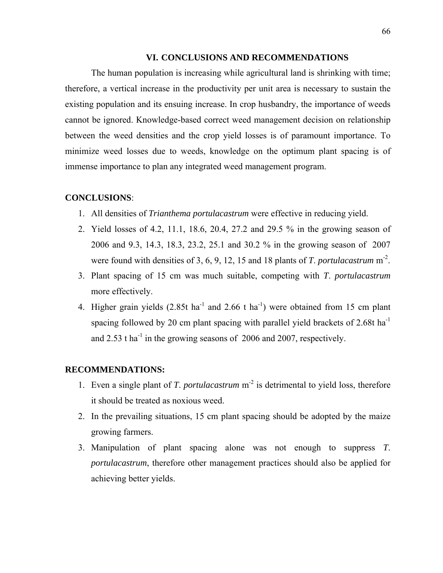#### **VI. CONCLUSIONS AND RECOMMENDATIONS**

 The human population is increasing while agricultural land is shrinking with time; therefore, a vertical increase in the productivity per unit area is necessary to sustain the existing population and its ensuing increase. In crop husbandry, the importance of weeds cannot be ignored. Knowledge-based correct weed management decision on relationship between the weed densities and the crop yield losses is of paramount importance. To minimize weed losses due to weeds, knowledge on the optimum plant spacing is of immense importance to plan any integrated weed management program.

### **CONCLUSIONS**:

- 1. All densities of *Trianthema portulacastrum* were effective in reducing yield.
- 2. Yield losses of 4.2, 11.1, 18.6, 20.4, 27.2 and 29.5 % in the growing season of 2006 and 9.3, 14.3, 18.3, 23.2, 25.1 and 30.2 % in the growing season of 2007 were found with densities of 3, 6, 9, 12, 15 and 18 plants of *T*. *portulacastrum* m-2.
- 3. Plant spacing of 15 cm was much suitable, competing with *T*. *portulacastrum* more effectively.
- 4. Higher grain yields  $(2.85t \text{ ha}^{-1}$  and  $2.66 \text{ t} \text{ ha}^{-1})$  were obtained from 15 cm plant spacing followed by 20 cm plant spacing with parallel yield brackets of 2.68t ha-1 and  $2.53$  t ha<sup>-1</sup> in the growing seasons of  $2006$  and  $2007$ , respectively.

#### **RECOMMENDATIONS:**

- 1. Even a single plant of *T*. *portulacastrum* m-2 is detrimental to yield loss, therefore it should be treated as noxious weed.
- 2. In the prevailing situations, 15 cm plant spacing should be adopted by the maize growing farmers.
- 3. Manipulation of plant spacing alone was not enough to suppress *T*. *portulacastrum*, therefore other management practices should also be applied for achieving better yields.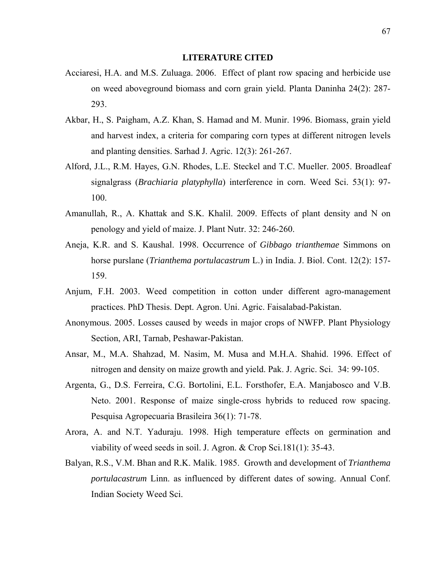#### **LITERATURE CITED**

- Acciaresi, H.A. and M.S. Zuluaga. 2006. Effect of plant row spacing and herbicide use on weed aboveground biomass and corn grain yield. Planta Daninha 24(2): 287- 293.
- Akbar, H., S. Paigham, A.Z. Khan, S. Hamad and M. Munir. 1996. Biomass, grain yield and harvest index, a criteria for comparing corn types at different nitrogen levels and planting densities. Sarhad J. Agric. 12(3): 261-267.
- Alford, J.L., R.M. Hayes, G.N. Rhodes, L.E. Steckel and T.C. Mueller. 2005. Broadleaf signalgrass (*Brachiaria platyphylla*) interference in corn. Weed Sci. 53(1): 97- 100.
- Amanullah, R., A. Khattak and S.K. Khalil. 2009. Effects of plant density and N on penology and yield of maize. J. Plant Nutr. 32: 246-260.
- Aneja, K.R. and S. Kaushal. 1998. Occurrence of *Gibbago trianthemae* Simmons on horse purslane (*Trianthema portulacastrum* L.) in India. J. Biol. Cont. 12(2): 157- 159.
- Anjum, F.H. 2003. Weed competition in cotton under different agro-management practices. PhD Thesis. Dept. Agron. Uni. Agric. Faisalabad-Pakistan.
- Anonymous. 2005. Losses caused by weeds in major crops of NWFP. Plant Physiology Section, ARI, Tarnab, Peshawar-Pakistan.
- Ansar, M., M.A. Shahzad, M. Nasim, M. Musa and M.H.A. Shahid. 1996. Effect of nitrogen and density on maize growth and yield. Pak. J. Agric. Sci. 34: 99-105.
- Argenta, G., D.S. Ferreira, C.G. Bortolini, E.L. Forsthofer, E.A. Manjabosco and V.B. Neto. 2001. Response of maize single-cross hybrids to reduced row spacing. Pesquisa Agropecuaria Brasileira 36(1): 71-78.
- Arora, A. and N.T. Yaduraju. 1998. High temperature effects on germination and viability of weed seeds in soil. J. Agron. & Crop Sci.181(1): 35-43.
- Balyan, R.S., V.M. Bhan and R.K. Malik. 1985. Growth and development of *Trianthema portulacastrum* Linn. as influenced by different dates of sowing. Annual Conf. Indian Society Weed Sci.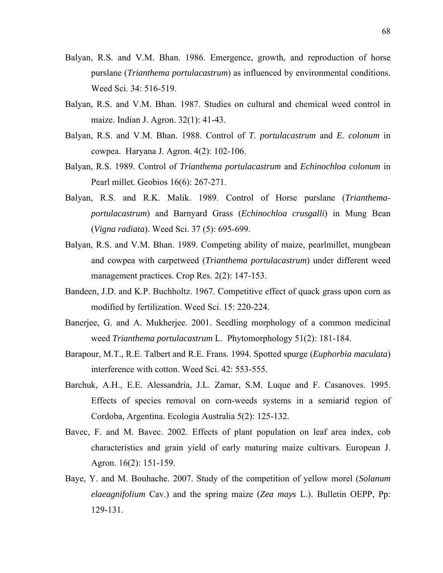- Balyan, R.S. and V.M. Bhan. 1986. Emergence, growth, and reproduction of horse purslane (*Trianthema portulacastrum*) as influenced by environmental conditions. Weed Sci. 34: 516-519.
- Balyan, R.S. and V.M. Bhan. 1987. Studies on cultural and chemical weed control in maize. Indian J. Agron. 32(1): 41-43.
- Balyan, R.S. and V.M. Bhan. 1988. Control of *T. portulacastrum* and *E*. *colonum* in cowpea. Haryana J. Agron. 4(2): 102-106.
- Balyan, R.S. 1989. Control of *Trianthema portulacastrum* and *Echinochloa colonum* in Pearl millet. Geobios 16(6): 267-271.
- Balyan, R.S. and R.K. Malik. 1989. Control of Horse purslane (*Trianthemaportulacastrum*) and Barnyard Grass (*Echinochloa crusgalli*) in Mung Bean (*Vigna radiata*). Weed Sci. 37 (5): 695-699.
- Balyan, R.S. and V.M. Bhan. 1989. Competing ability of maize, pearlmillet, mungbean and cowpea with carpetweed (*Trianthema portulacastrum*) under different weed management practices. Crop Res. 2(2): 147-153.
- Bandeen, J.D. and K.P. Buchholtz. 1967. Competitive effect of quack grass upon corn as modified by fertilization. Weed Sci. 15: 220-224.
- Banerjee, G. and A. Mukherjee. 2001. Seedling morphology of a common medicinal weed *Trianthema portulacastrum* L. Phytomorphology 51(2): 181-184.
- Barapour, M.T., R.E. Talbert and R.E. Frans. 1994. Spotted spurge (*Euphorbia maculata*) interference with cotton. Weed Sci. 42: 553-555.
- Barchuk, A.H., E.E. Alessandria, J.L. Zamar, S.M. Luque and F. Casanoves. 1995. Effects of species removal on corn-weeds systems in a semiarid region of Cordoba, Argentina. Ecologia Australia 5(2): 125-132.
- Bavec, F. and M. Bavec. 2002. Effects of plant population on leaf area index, cob characteristics and grain yield of early maturing maize cultivars. European J. Agron. 16(2): 151-159.
- Baye, Y. and M. Bouhache. 2007. Study of the competition of yellow morel (*Solanum elaeagnifolium* Cav.) and the spring maize (*Zea mays* L.). Bulletin OEPP, Pp: 129-131.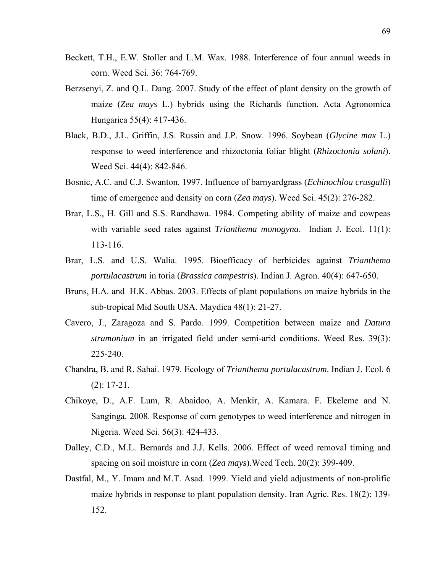- Beckett, T.H., E.W. Stoller and L.M. Wax. 1988. Interference of four annual weeds in corn. Weed Sci. 36: 764-769.
- Berzsenyi, Z. and Q.L. Dang. 2007. Study of the effect of plant density on the growth of maize (*Zea mays* L.) hybrids using the Richards function. Acta Agronomica Hungarica 55(4): 417-436.
- Black, B.D., J.L. Griffin, J.S. Russin and J.P. Snow. 1996. Soybean (*Glycine max* L.) response to weed interference and rhizoctonia foliar blight (*Rhizoctonia solani*). Weed Sci. 44(4): 842-846.
- Bosnic, A.C. and C.J. Swanton. 1997. Influence of barnyardgrass (*Echinochloa crusgalli*) time of emergence and density on corn (*Zea mays*). Weed Sci. 45(2): 276-282.
- Brar, L.S., H. Gill and S.S. Randhawa. 1984. Competing ability of maize and cowpeas with variable seed rates against *Trianthema monogyna*. Indian J. Ecol. 11(1): 113-116.
- Brar, L.S. and U.S. Walia. 1995. Bioefficacy of herbicides against *Trianthema portulacastrum* in toria (*Brassica campestris*). Indian J. Agron. 40(4): 647-650.
- Bruns, H.A. and H.K. Abbas. 2003. Effects of plant populations on maize hybrids in the sub-tropical Mid South USA. Maydica 48(1): 21-27.
- Cavero, J., Zaragoza and S. Pardo. 1999. Competition between maize and *Datura stramonium* in an irrigated field under semi-arid conditions. Weed Res. 39(3): 225-240.
- Chandra, B. and R. Sahai. 1979. Ecology of *Trianthema portulacastrum*. Indian J. Ecol. 6 (2): 17-21.
- Chikoye, D., A.F. Lum, R. Abaidoo, A. Menkir, A. Kamara. F. Ekeleme and N. Sanginga. 2008. Response of corn genotypes to weed interference and nitrogen in Nigeria. Weed Sci. 56(3): 424-433.
- Dalley, C.D., M.L. Bernards and J.J. Kells. 2006. Effect of weed removal timing and spacing on soil moisture in corn (*Zea mays*).Weed Tech. 20(2): 399-409.
- Dastfal, M., Y. Imam and M.T. Asad. 1999. Yield and yield adjustments of non-prolific maize hybrids in response to plant population density. Iran Agric. Res. 18(2): 139- 152.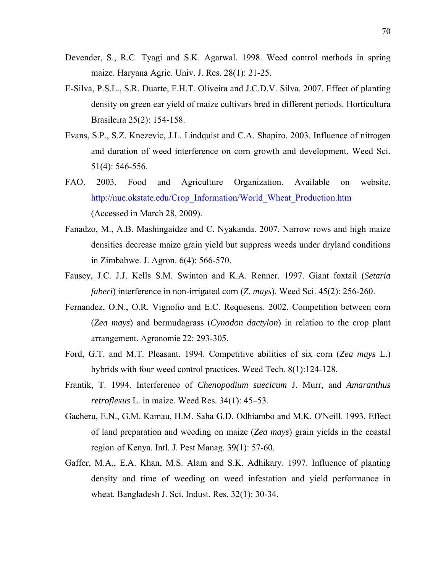- Devender, S., R.C. Tyagi and S.K. Agarwal. 1998. Weed control methods in spring maize. Haryana Agric. Univ. J. Res. 28(1): 21-25.
- E-Silva, P.S.L., S.R. Duarte, F.H.T. Oliveira and J.C.D.V. Silva. 2007. Effect of planting density on green ear yield of maize cultivars bred in different periods. Horticultura Brasileira 25(2): 154-158.
- Evans, S.P., S.Z. Knezevic, J.L. Lindquist and C.A. Shapiro. 2003. Influence of nitrogen and duration of weed interference on corn growth and development. Weed Sci. 51(4): 546-556.
- FAO. 2003. Food and Agriculture Organization. Available on website. http://nue.okstate.edu/Crop\_Information/World\_Wheat\_Production.htm (Accessed in March 28, 2009).
- Fanadzo, M., A.B. Mashingaidze and C. Nyakanda. 2007. Narrow rows and high maize densities decrease maize grain yield but suppress weeds under dryland conditions in Zimbabwe. J. Agron. 6(4): 566-570.
- Fausey, J.C. J.J. Kells S.M. Swinton and K.A. Renner. 1997. Giant foxtail (*Setaria faberi*) interference in non-irrigated corn (*Z. mays*). Weed Sci. 45(2): 256-260.
- Fernandez, O.N., O.R. Vignolio and E.C. Requesens. 2002. Competition between corn (*Zea mays*) and bermudagrass (*Cynodon dactylon*) in relation to the crop plant arrangement. Agronomie 22: 293-305.
- Ford, G.T. and M.T. Pleasant. 1994. Competitive abilities of six corn (*Zea mays* L.) hybrids with four weed control practices. Weed Tech*.* 8(1):124-128.
- Frantik, T. 1994. Interference of *Chenopodium suecicum* J. Murr, and *Amaranthus retroflexus* L. in maize. Weed Res. 34(1): 45–53.
- Gacheru, E.N., G.M. Kamau, H.M. Saha G.D. Odhiambo and M.K. O'Neill. 1993. Effect of land preparation and weeding on maize (*Zea mays*) grain yields in the coastal region of Kenya. Intl. J. Pest Manag. 39(1): 57-60.
- Gaffer, M.A., E.A. Khan, M.S. Alam and S.K. Adhikary. 1997. Influence of planting density and time of weeding on weed infestation and yield performance in wheat. Bangladesh J. Sci. Indust. Res. 32(1): 30-34.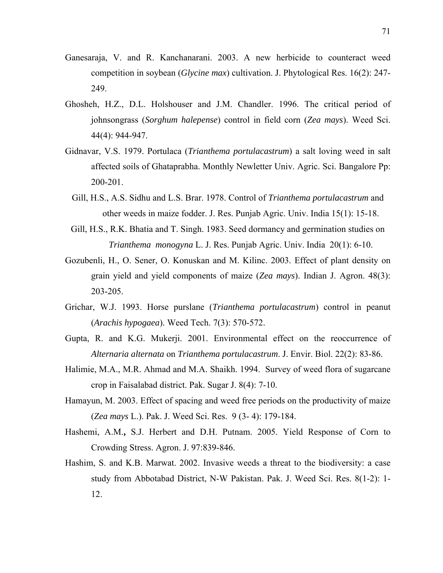- Ganesaraja, V. and R. Kanchanarani. 2003. A new herbicide to counteract weed competition in soybean (*Glycine max*) cultivation. J. Phytological Res. 16(2): 247- 249.
- Ghosheh, H.Z., D.L. Holshouser and J.M. Chandler. 1996. The critical period of johnsongrass (*Sorghum halepense*) control in field corn (*Zea mays*). Weed Sci. 44(4): 944-947.
- Gidnavar, V.S. 1979. Portulaca (*Trianthema portulacastrum*) a salt loving weed in salt affected soils of Ghataprabha. Monthly Newletter Univ. Agric. Sci. Bangalore Pp: 200-201.
	- Gill, H.S., A.S. Sidhu and L.S. Brar. 1978. Control of *Trianthema portulacastrum* and other weeds in maize fodder. J. Res. Punjab Agric. Univ. India 15(1): 15-18.
- Gill, H.S., R.K. Bhatia and T. Singh. 1983. Seed dormancy and germination studies on *Trianthema monogyna* L. J. Res. Punjab Agric. Univ. India 20(1): 6-10.
- Gozubenli, H., O. Sener, O. Konuskan and M. Kilinc. 2003. Effect of plant density on grain yield and yield components of maize (*Zea mays*). Indian J. Agron. 48(3): 203-205.
- Grichar, W.J. 1993. Horse purslane (*Trianthema portulacastrum*) control in peanut (*Arachis hypogaea*). Weed Tech. 7(3): 570-572.
- Gupta, R. and K.G. Mukerji. 2001. Environmental effect on the reoccurrence of *Alternaria alternata* on *Trianthema portulacastrum*. J. Envir. Biol. 22(2): 83-86.
- Halimie, M.A., M.R. Ahmad and M.A. Shaikh. 1994. Survey of weed flora of sugarcane crop in Faisalabad district. Pak. Sugar J. 8(4): 7-10.
- Hamayun, M. 2003. Effect of spacing and weed free periods on the productivity of maize (*Zea mays* L.). Pak. J. Weed Sci. Res. 9 (3- 4): 179-184.
- Hashemi, A.M.**,** S.J. Herbert and D.H. Putnam. 2005. Yield Response of Corn to Crowding Stress. Agron. J. 97:839-846.
- Hashim, S. and K.B. Marwat. 2002. Invasive weeds a threat to the biodiversity: a case study from Abbotabad District, N-W Pakistan. Pak. J. Weed Sci. Res. 8(1-2): 1- 12.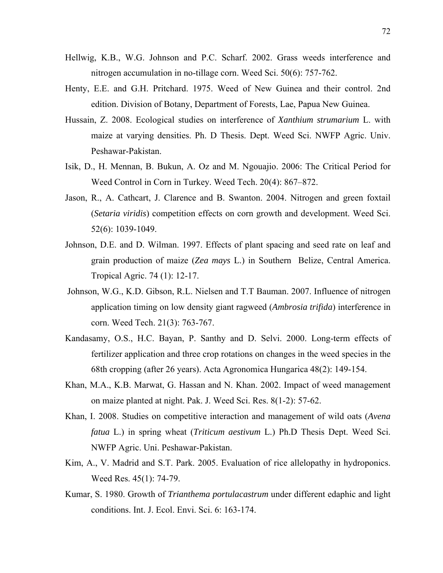- Hellwig, K.B., W.G. Johnson and P.C. Scharf. 2002. Grass weeds interference and nitrogen accumulation in no-tillage corn. Weed Sci. 50(6): 757-762.
- Henty, E.E. and G.H. Pritchard. 1975. Weed of New Guinea and their control. 2nd edition. Division of Botany, Department of Forests, Lae, Papua New Guinea.
- Hussain, Z. 2008. Ecological studies on interference of *Xanthium strumarium* L. with maize at varying densities. Ph. D Thesis. Dept. Weed Sci. NWFP Agric. Univ. Peshawar-Pakistan.
- Isik, D., H. Mennan, B. Bukun, A. Oz and M. Ngouajio. 2006: The Critical Period for Weed Control in Corn in Turkey. Weed Tech. 20(4): 867–872.
- Jason, R., A. Cathcart, J. Clarence and B. Swanton. 2004. Nitrogen and green foxtail (*Setaria viridis*) competition effects on corn growth and development. Weed Sci. 52(6): 1039-1049.
- Johnson, D.E. and D. Wilman. 1997. Effects of plant spacing and seed rate on leaf and grain production of maize (*Zea mays* L.) in Southern Belize, Central America. Tropical Agric. 74 (1): 12-17.
- Johnson, W.G., K.D. Gibson, R.L. Nielsen and T.T Bauman. 2007. Influence of nitrogen application timing on low density giant ragweed (*Ambrosia trifida*) interference in corn. Weed Tech. 21(3): 763-767.
- Kandasamy, O.S., H.C. Bayan, P. Santhy and D. Selvi. 2000. Long-term effects of fertilizer application and three crop rotations on changes in the weed species in the 68th cropping (after 26 years). Acta Agronomica Hungarica 48(2): 149-154.
- Khan, M.A., K.B. Marwat, G. Hassan and N. Khan. 2002. Impact of weed management on maize planted at night. Pak. J. Weed Sci. Res. 8(1-2): 57-62.
- Khan, I. 2008. Studies on competitive interaction and management of wild oats (*Avena fatua* L.) in spring wheat (*Triticum aestivum* L.) Ph.D Thesis Dept. Weed Sci. NWFP Agric. Uni. Peshawar-Pakistan.
- Kim, A., V. Madrid and S.T. Park. 2005. Evaluation of rice allelopathy in hydroponics. Weed Res. 45(1): 74-79.
- Kumar, S. 1980. Growth of *Trianthema portulacastrum* under different edaphic and light conditions. Int. J. Ecol. Envi. Sci. 6: 163-174.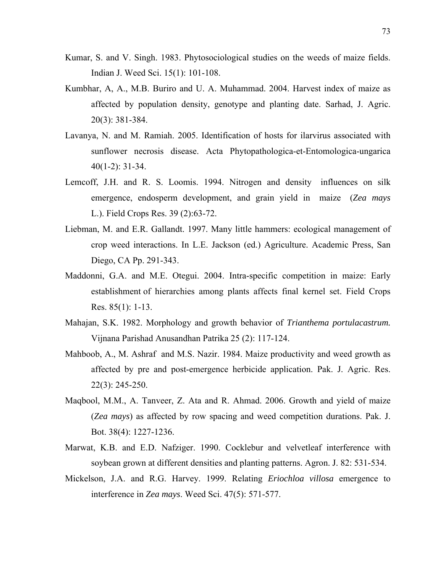- Kumar, S. and V. Singh. 1983. Phytosociological studies on the weeds of maize fields. Indian J. Weed Sci. 15(1): 101-108.
- Kumbhar, A, A., M.B. Buriro and U. A. Muhammad. 2004. Harvest index of maize as affected by population density, genotype and planting date. Sarhad, J. Agric. 20(3): 381-384.
- Lavanya, N. and M. Ramiah. 2005. Identification of hosts for ilarvirus associated with sunflower necrosis disease. Acta Phytopathologica-et-Entomologica-ungarica 40(1-2): 31-34.
- Lemcoff, J.H. and R. S. Loomis. 1994. Nitrogen and density influences on silk emergence, endosperm development, and grain yield in maize (*Zea mays* L.). Field Crops Res. 39 (2):63-72.
- Liebman, M. and E.R. Gallandt. 1997. Many little hammers: ecological management of crop weed interactions. In L.E. Jackson (ed.) Agriculture. Academic Press, San Diego, CA Pp. 291-343.
- Maddonni, G.A. and M.E. Otegui. 2004. Intra-specific competition in maize: Early establishment of hierarchies among plants affects final kernel set. Field Crops Res. 85(1): 1-13.
- Mahajan, S.K. 1982. Morphology and growth behavior of *Trianthema portulacastrum.*  Vijnana Parishad Anusandhan Patrika 25 (2): 117-124.
- Mahboob, A., M. Ashraf and M.S. Nazir. 1984. Maize productivity and weed growth as affected by pre and post-emergence herbicide application. Pak. J. Agric. Res. 22(3): 245-250.
- Maqbool, M.M., A. Tanveer, Z. Ata and R. Ahmad. 2006. Growth and yield of maize (*Zea mays*) as affected by row spacing and weed competition durations. Pak. J. Bot. 38(4): 1227-1236.
- Marwat, K.B. and E.D. Nafziger. 1990. Cocklebur and velvetleaf interference with soybean grown at different densities and planting patterns. Agron. J. 82: 531-534.
- Mickelson, J.A. and R.G. Harvey. 1999. Relating *Eriochloa villosa* emergence to interference in *Zea mays*. Weed Sci. 47(5): 571-577.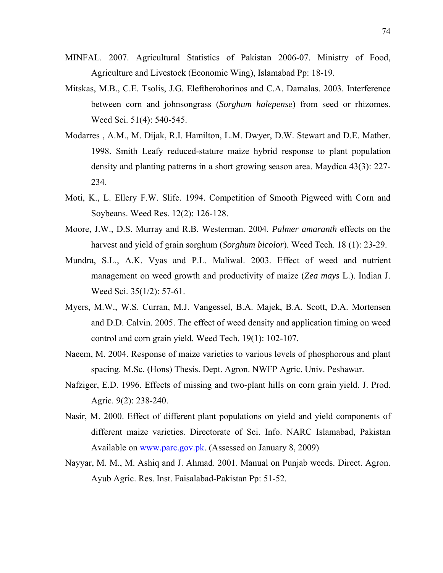- MINFAL. 2007. Agricultural Statistics of Pakistan 2006-07. Ministry of Food, Agriculture and Livestock (Economic Wing), Islamabad Pp: 18-19.
- Mitskas, M.B., C.E. Tsolis, J.G. Eleftherohorinos and C.A. Damalas. 2003. Interference between corn and johnsongrass (*Sorghum halepense*) from seed or rhizomes. Weed Sci. 51(4): 540-545.
- Modarres , A.M., M. Dijak, R.I. Hamilton, L.M. Dwyer, D.W. Stewart and D.E. Mather. 1998. Smith Leafy reduced-stature maize hybrid response to plant population density and planting patterns in a short growing season area. Maydica 43(3): 227- 234.
- Moti, K., L. Ellery F.W. Slife. 1994. Competition of Smooth Pigweed with Corn and Soybeans. Weed Res. 12(2): 126-128.
- Moore, J.W., D.S. Murray and R.B. Westerman. 2004. *Palmer amaranth* effects on the harvest and yield of grain sorghum (*Sorghum bicolor*). Weed Tech. 18 (1): 23-29.
- Mundra, S.L., A.K. Vyas and P.L. Maliwal. 2003. Effect of weed and nutrient management on weed growth and productivity of maize (*Zea mays* L.). Indian J. Weed Sci. 35(1/2): 57-61.
- Myers, M.W., W.S. Curran, M.J. Vangessel, B.A. Majek, B.A. Scott, D.A. Mortensen and D.D. Calvin. 2005. The effect of weed density and application timing on weed control and corn grain yield. Weed Tech. 19(1): 102-107.
- Naeem, M. 2004. Response of maize varieties to various levels of phosphorous and plant spacing. M.Sc. (Hons) Thesis. Dept. Agron. NWFP Agric. Univ. Peshawar.
- Nafziger, E.D. 1996. Effects of missing and two-plant hills on corn grain yield. J. Prod. Agric. 9(2): 238-240.
- Nasir, M. 2000. Effect of different plant populations on yield and yield components of different maize varieties. Directorate of Sci. Info. NARC Islamabad, Pakistan Available on www.parc.gov.pk. (Assessed on January 8, 2009)
- Nayyar, M. M., M. Ashiq and J. Ahmad. 2001. Manual on Punjab weeds. Direct. Agron. Ayub Agric. Res. Inst. Faisalabad-Pakistan Pp: 51-52.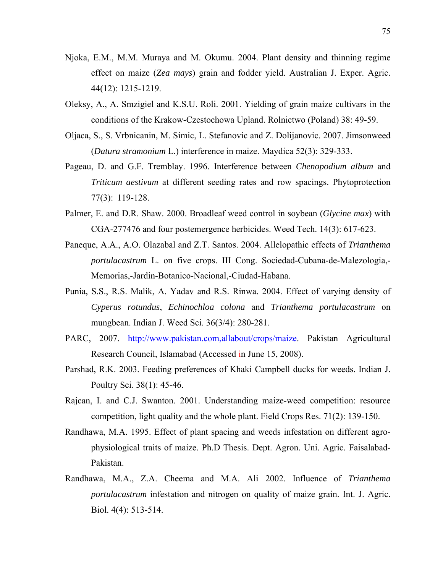- Njoka, E.M., M.M. Muraya and M. Okumu. 2004. Plant density and thinning regime effect on maize (*Zea mays*) grain and fodder yield. Australian J. Exper. Agric. 44(12): 1215-1219.
- Oleksy, A., A. Smzigiel and K.S.U. Roli. 2001. Yielding of grain maize cultivars in the conditions of the Krakow-Czestochowa Upland. Rolnictwo (Poland) 38: 49-59.
- Oljaca, S., S. Vrbnicanin, M. Simic, L. Stefanovic and Z. Dolijanovic. 2007. Jimsonweed (*Datura stramonium* L.) interference in maize. Maydica 52(3): 329-333.
- Pageau, D. and G.F. Tremblay. 1996. Interference between *Chenopodium album* and *Triticum aestivum* at different seeding rates and row spacings. Phytoprotection 77(3): 119-128.
- Palmer, E. and D.R. Shaw. 2000. Broadleaf weed control in soybean (*Glycine max*) with CGA-277476 and four postemergence herbicides. Weed Tech. 14(3): 617-623.
- Paneque, A.A., A.O. Olazabal and Z.T. Santos. 2004. Allelopathic effects of *Trianthema portulacastrum* L. on five crops. III Cong. Sociedad-Cubana-de-Malezologia,- Memorias,-Jardin-Botanico-Nacional,-Ciudad-Habana.
- Punia, S.S., R.S. Malik, A. Yadav and R.S. Rinwa. 2004. Effect of varying density of *Cyperus rotundus*, *Echinochloa colona* and *Trianthema portulacastrum* on mungbean. Indian J. Weed Sci. 36(3/4): 280-281.
- PARC, 2007. http://www.pakistan.com,allabout/crops/maize. Pakistan Agricultural Research Council, Islamabad (Accessed in June 15, 2008).
- Parshad, R.K. 2003. Feeding preferences of Khaki Campbell ducks for weeds. Indian J. Poultry Sci. 38(1): 45-46.
- Rajcan, I. and C.J. Swanton. 2001. Understanding maize-weed competition: resource competition, light quality and the whole plant. Field Crops Res. 71(2): 139-150.
- Randhawa, M.A. 1995. Effect of plant spacing and weeds infestation on different agrophysiological traits of maize. Ph.D Thesis. Dept. Agron. Uni. Agric. Faisalabad-Pakistan.
- Randhawa, M.A., Z.A. Cheema and M.A. Ali 2002. Influence of *Trianthema portulacastrum* infestation and nitrogen on quality of maize grain. Int. J. Agric. Biol. 4(4): 513-514.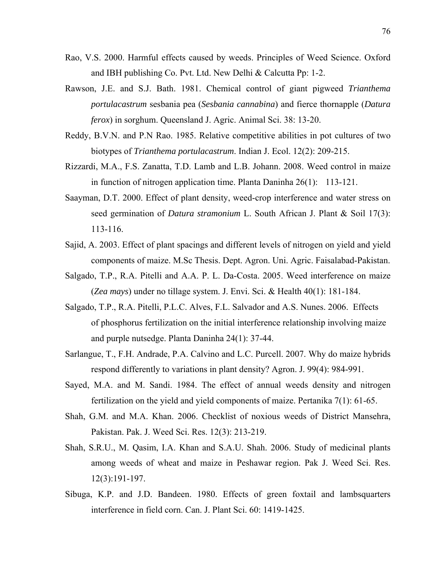- Rao, V.S. 2000. Harmful effects caused by weeds. Principles of Weed Science. Oxford and IBH publishing Co. Pvt. Ltd. New Delhi & Calcutta Pp: 1-2.
- Rawson, J.E. and S.J. Bath. 1981. Chemical control of giant pigweed *Trianthema portulacastrum* sesbania pea (*Sesbania cannabina*) and fierce thornapple (*Datura ferox*) in sorghum. Queensland J. Agric. Animal Sci. 38: 13-20.
- Reddy, B.V.N. and P.N Rao. 1985. Relative competitive abilities in pot cultures of two biotypes of *Trianthema portulacastrum*. Indian J. Ecol. 12(2): 209-215.
- Rizzardi, M.A., F.S. Zanatta, T.D. Lamb and L.B. Johann. 2008. Weed control in maize in function of nitrogen application time. Planta Daninha 26(1): 113-121.
- Saayman, D.T. 2000. Effect of plant density, weed-crop interference and water stress on seed germination of *Datura stramonium* L. South African J. Plant & Soil 17(3): 113-116.
- Sajid, A. 2003. Effect of plant spacings and different levels of nitrogen on yield and yield components of maize. M.Sc Thesis. Dept. Agron. Uni. Agric. Faisalabad-Pakistan.
- Salgado, T.P., R.A. Pitelli and A.A. P. L. Da-Costa. 2005. Weed interference on maize (*Zea mays*) under no tillage system. J. Envi. Sci. & Health 40(1): 181-184.
- Salgado, T.P., R.A. Pitelli, P.L.C. Alves, F.L. Salvador and A.S. Nunes. 2006. Effects of phosphorus fertilization on the initial interference relationship involving maize and purple nutsedge. Planta Daninha 24(1): 37-44.
- Sarlangue, T., F.H. Andrade, P.A. Calvino and L.C. Purcell. 2007. Why do maize hybrids respond differently to variations in plant density? Agron. J. 99(4): 984-991.
- Sayed, M.A. and M. Sandi. 1984. The effect of annual weeds density and nitrogen fertilization on the yield and yield components of maize. Pertanika 7(1): 61-65.
- Shah, G.M. and M.A. Khan. 2006. Checklist of noxious weeds of District Mansehra, Pakistan. Pak. J. Weed Sci. Res. 12(3): 213-219.
- Shah, S.R.U., M. Qasim, I.A. Khan and S.A.U. Shah. 2006. Study of medicinal plants among weeds of wheat and maize in Peshawar region. Pak J. Weed Sci. Res. 12(3):191-197.
- Sibuga, K.P. and J.D. Bandeen. 1980. Effects of green foxtail and lambsquarters interference in field corn. Can. J. Plant Sci. 60: 1419-1425.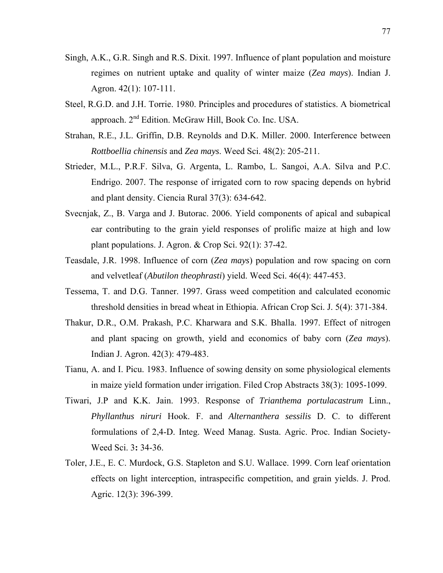- Singh, A.K., G.R. Singh and R.S. Dixit. 1997. Influence of plant population and moisture regimes on nutrient uptake and quality of winter maize (*Zea mays*). Indian J. Agron. 42(1): 107-111.
- Steel, R.G.D. and J.H. Torrie. 1980. Principles and procedures of statistics. A biometrical approach. 2nd Edition. McGraw Hill, Book Co. Inc. USA.
- Strahan, R.E., J.L. Griffin, D.B. Reynolds and D.K. Miller. 2000. Interference between *Rottboellia chinensis* and *Zea mays*. Weed Sci. 48(2): 205-211.
- Strieder, M.L., P.R.F. Silva, G. Argenta, L. Rambo, L. Sangoi, A.A. Silva and P.C. Endrigo. 2007. The response of irrigated corn to row spacing depends on hybrid and plant density. Ciencia Rural 37(3): 634-642.
- Svecnjak, Z., B. Varga and J. Butorac. 2006. Yield components of apical and subapical ear contributing to the grain yield responses of prolific maize at high and low plant populations. J. Agron. & Crop Sci. 92(1): 37-42.
- Teasdale, J.R. 1998. Influence of corn (*Zea mays*) population and row spacing on corn and velvetleaf (*Abutilon theophrasti*) yield. Weed Sci. 46(4): 447-453.
- Tessema, T. and D.G. Tanner. 1997. Grass weed competition and calculated economic threshold densities in bread wheat in Ethiopia. African Crop Sci. J. 5(4): 371-384.
- Thakur, D.R., O.M. Prakash, P.C. Kharwara and S.K. Bhalla. 1997. Effect of nitrogen and plant spacing on growth, yield and economics of baby corn (*Zea mays*). Indian J. Agron. 42(3): 479-483.
- Tianu, A. and I. Picu. 1983. Influence of sowing density on some physiological elements in maize yield formation under irrigation. Filed Crop Abstracts 38(3): 1095-1099.
- Tiwari, J.P and K.K. Jain. 1993. Response of *Trianthema portulacastrum* Linn., *Phyllanthus niruri* Hook. F. and *Alternanthera sessilis* D. C. to different formulations of 2,4-D. Integ. Weed Manag. Susta. Agric. Proc. Indian Society-Weed Sci. 3**:** 34-36.
- Toler, J.E., E. C. Murdock, G.S. Stapleton and S.U. Wallace. 1999. Corn leaf orientation effects on light interception, intraspecific competition, and grain yields. J. Prod. Agric. 12(3): 396-399.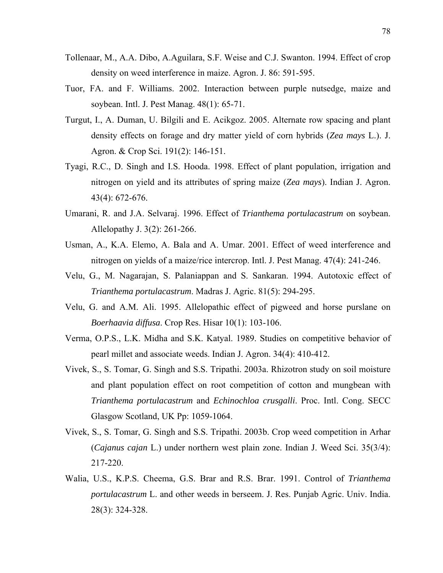- Tollenaar, M., A.A. Dibo, A.Aguilara, S.F. Weise and C.J. Swanton. 1994. Effect of crop density on weed interference in maize. Agron. J. 86: 591-595.
- Tuor, FA. and F. Williams. 2002. Interaction between purple nutsedge, maize and soybean. Intl. J. Pest Manag. 48(1): 65-71.
- Turgut, I., A. Duman, U. Bilgili and E. Acikgoz. 2005. Alternate row spacing and plant density effects on forage and dry matter yield of corn hybrids (*Zea mays* L.). J. Agron. & Crop Sci. 191(2): 146-151.
- Tyagi, R.C., D. Singh and I.S. Hooda. 1998. Effect of plant population, irrigation and nitrogen on yield and its attributes of spring maize (*Zea mays*). Indian J. Agron. 43(4): 672-676.
- Umarani, R. and J.A. Selvaraj. 1996. Effect of *Trianthema portulacastrum* on soybean. Allelopathy J. 3(2): 261-266.
- Usman, A., K.A. Elemo, A. Bala and A. Umar. 2001. Effect of weed interference and nitrogen on yields of a maize/rice intercrop. Intl. J. Pest Manag. 47(4): 241-246.
- Velu, G., M. Nagarajan, S. Palaniappan and S. Sankaran. 1994. Autotoxic effect of *Trianthema portulacastrum*. Madras J. Agric. 81(5): 294-295.
- Velu, G. and A.M. Ali. 1995. Allelopathic effect of pigweed and horse purslane on *Boerhaavia diffusa*. Crop Res. Hisar 10(1): 103-106.
- Verma, O.P.S., L.K. Midha and S.K. Katyal. 1989. Studies on competitive behavior of pearl millet and associate weeds. Indian J. Agron. 34(4): 410-412.
- Vivek, S., S. Tomar, G. Singh and S.S. Tripathi. 2003a. Rhizotron study on soil moisture and plant population effect on root competition of cotton and mungbean with *Trianthema portulacastrum* and *Echinochloa crusgalli*. Proc. Intl. Cong. SECC Glasgow Scotland, UK Pp: 1059-1064.
- Vivek, S., S. Tomar, G. Singh and S.S. Tripathi. 2003b. Crop weed competition in Arhar (*Cajanus cajan* L.) under northern west plain zone. Indian J. Weed Sci. 35(3/4): 217-220.
- Walia, U.S., K.P.S. Cheema, G.S. Brar and R.S. Brar. 1991. Control of *Trianthema portulacastrum* L. and other weeds in berseem. J. Res. Punjab Agric. Univ. India. 28(3): 324-328.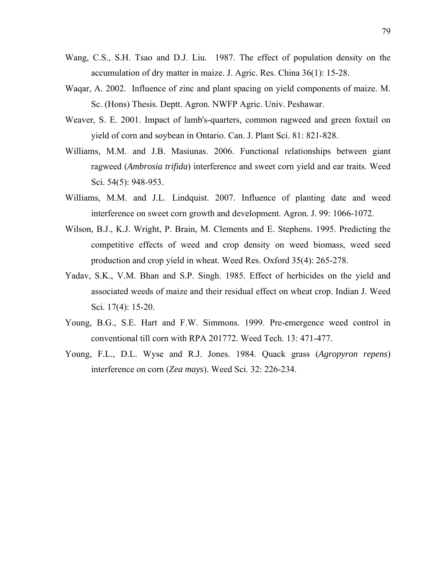- Wang, C.S., S.H. Tsao and D.J. Liu. 1987. The effect of population density on the accumulation of dry matter in maize. J. Agric. Res. China 36(1): 15-28.
- Waqar, A. 2002. Influence of zinc and plant spacing on yield components of maize. M. Sc. (Hons) Thesis. Deptt. Agron. NWFP Agric. Univ. Peshawar.
- Weaver, S. E. 2001. Impact of lamb's-quarters, common ragweed and green foxtail on yield of corn and soybean in Ontario. Can. J. Plant Sci. 81: 821-828.
- Williams, M.M. and J.B. Masiunas. 2006. Functional relationships between giant ragweed (*Ambrosia trifida*) interference and sweet corn yield and ear traits. Weed Sci. 54(5): 948-953.
- Williams, M.M. and J.L. Lindquist. 2007. Influence of planting date and weed interference on sweet corn growth and development. Agron. J. 99: 1066-1072.
- Wilson, B.J., K.J. Wright, P. Brain, M. Clements and E. Stephens. 1995. Predicting the competitive effects of weed and crop density on weed biomass, weed seed production and crop yield in wheat. Weed Res. Oxford 35(4): 265-278.
- Yadav, S.K., V.M. Bhan and S.P. Singh. 1985. Effect of herbicides on the yield and associated weeds of maize and their residual effect on wheat crop. Indian J. Weed Sci. 17(4): 15-20.
- Young, B.G., S.E. Hart and F.W. Simmons. 1999. Pre-emergence weed control in conventional till corn with RPA 201772. Weed Tech. 13: 471-477.
- Young, F.L., D.L. Wyse and R.J. Jones. 1984. Quack grass (*Agropyron repens*) interference on corn (*Zea mays*). Weed Sci. 32: 226-234.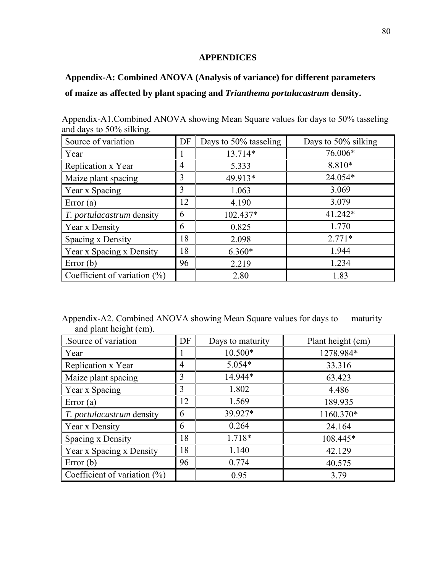## **APPENDICES**

## **Appendix-A: Combined ANOVA (Analysis of variance) for different parameters**

## **of maize as affected by plant spacing and** *Trianthema portulacastrum* **density.**

| Source of variation              | DF | Days to 50% tasseling | Days to 50% silking |
|----------------------------------|----|-----------------------|---------------------|
| Year                             |    | 13.714*               | 76.006*             |
| Replication x Year               | 4  | 5.333                 | 8.810*              |
| Maize plant spacing              | 3  | 49.913*               | 24.054*             |
| Year x Spacing                   | 3  | 1.063                 | 3.069               |
| Error $(a)$                      | 12 | 4.190                 | 3.079               |
| <i>T. portulacastrum</i> density | 6  | 102.437*              | 41.242*             |
| Year x Density                   | 6  | 0.825                 | 1.770               |
| Spacing x Density                | 18 | 2.098                 | $2.771*$            |
| Year x Spacing x Density         | 18 | $6.360*$              | 1.944               |
| Error $(b)$                      | 96 | 2.219                 | 1.234               |
| Coefficient of variation $(\%)$  |    | 2.80                  | 1.83                |

Appendix-A1.Combined ANOVA showing Mean Square values for days to 50% tasseling and days to 50% silking.

Appendix-A2. Combined ANOVA showing Mean Square values for days to maturity and plant height (cm).

| Source of variation.             | DF | Days to maturity | Plant height (cm) |
|----------------------------------|----|------------------|-------------------|
| Year                             |    | 10.500*          | 1278.984*         |
| Replication x Year               | 4  | $5.054*$         | 33.316            |
| Maize plant spacing              | 3  | 14.944*          | 63.423            |
| Year x Spacing                   | 3  | 1.802            | 4.486             |
| Error $(a)$                      | 12 | 1.569            | 189.935           |
| <i>T. portulacastrum</i> density | 6  | 39.927*          | 1160.370*         |
| Year x Density                   | 6  | 0.264            | 24.164            |
| Spacing x Density                | 18 | 1.718*           | 108.445*          |
| Year x Spacing x Density         | 18 | 1.140            | 42.129            |
| Error $(b)$                      | 96 | 0.774            | 40.575            |
| Coefficient of variation $(\% )$ |    | 0.95             | 3.79              |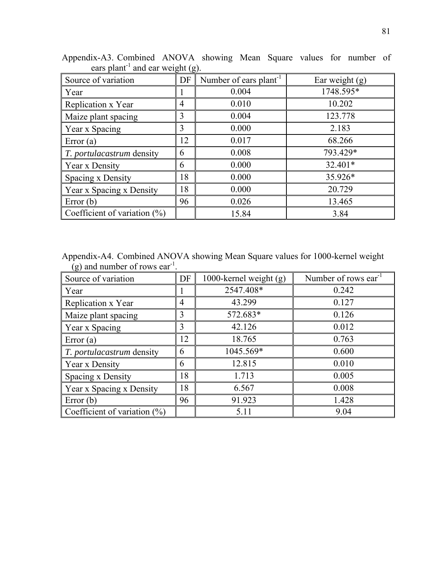| $\frac{1}{2}$                   |    |                                    |                  |  |
|---------------------------------|----|------------------------------------|------------------|--|
| Source of variation             | DF | Number of ears plant <sup>-1</sup> | Ear weight $(g)$ |  |
| Year                            |    | 0.004                              | 1748.595*        |  |
| Replication x Year              | 4  | 0.010                              | 10.202           |  |
| Maize plant spacing             | 3  | 0.004                              | 123.778          |  |
| Year x Spacing                  | 3  | 0.000                              | 2.183            |  |
| Error $(a)$                     | 12 | 0.017                              | 68.266           |  |
| T. portulacastrum density       | 6  | 0.008                              | 793.429*         |  |
| Year x Density                  | 6  | 0.000                              | $32.401*$        |  |
| Spacing x Density               | 18 | 0.000                              | 35.926*          |  |
| Year x Spacing x Density        | 18 | 0.000                              | 20.729           |  |
| Error $(b)$                     | 96 | 0.026                              | 13.465           |  |
| Coefficient of variation $(\%)$ |    | 15.84                              | 3.84             |  |

Appendix-A3. Combined ANOVA showing Mean Square values for number of ears plant<sup>-1</sup> and ear weight (g).

Appendix-A4. Combined ANOVA showing Mean Square values for 1000-kernel weight  $(g)$  and number of rows ear<sup>-1</sup>.

| Source of variation              | DF | 1000-kernel weight $(g)$ | Number of rows ear <sup>1</sup> |
|----------------------------------|----|--------------------------|---------------------------------|
| Year                             |    | 2547.408*                | 0.242                           |
| Replication x Year               | 4  | 43.299                   | 0.127                           |
| Maize plant spacing              | 3  | 572.683*                 | 0.126                           |
| Year x Spacing                   | 3  | 42.126                   | 0.012                           |
| Error $(a)$                      | 12 | 18.765                   | 0.763                           |
| <i>T. portulacastrum</i> density | 6  | 1045.569*                | 0.600                           |
| Year x Density                   | 6  | 12.815                   | 0.010                           |
| Spacing x Density                | 18 | 1.713                    | 0.005                           |
| Year x Spacing x Density         | 18 | 6.567                    | 0.008                           |
| Error $(b)$                      | 96 | 91.923                   | 1.428                           |
| Coefficient of variation $(\%)$  |    | 5.11                     | 9.04                            |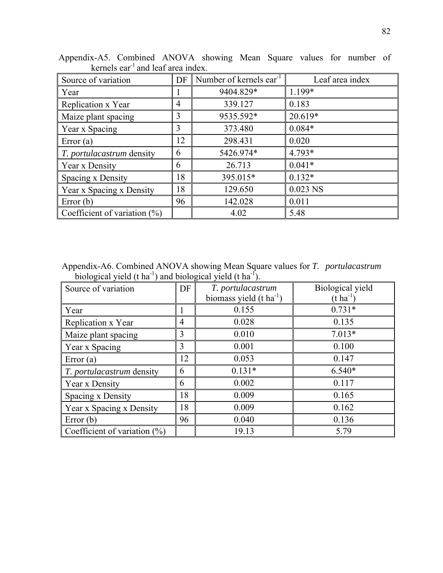| Source of variation              | DF             | Number of kernels ear <sup>-1</sup> | Leaf area index |  |
|----------------------------------|----------------|-------------------------------------|-----------------|--|
| Year                             |                | 9404.829*                           | 1.199*          |  |
| Replication x Year               | $\overline{4}$ | 339.127                             | 0.183           |  |
| Maize plant spacing              | 3              | 9535.592*                           | 20.619*         |  |
| Year x Spacing                   | 3              | 373.480                             | $0.084*$        |  |
| Error $(a)$                      | 12             | 298.431                             | 0.020           |  |
| <i>T. portulacastrum</i> density | 6              | 5426.974*                           | 4.793*          |  |
| Year x Density                   | 6              | 26.713                              | $0.041*$        |  |
| Spacing x Density                | 18             | 395.015*                            | $0.132*$        |  |
| Year x Spacing x Density         | 18             | 129.650                             | 0.023 NS        |  |
| Error $(b)$                      | 96             | 142.028                             | 0.011           |  |
| Coefficient of variation $(\%)$  |                | 4.02                                | 5.48            |  |

Appendix-A5. Combined ANOVA showing Mean Square values for number of kernels  $ear^{-1}$  and leaf area index.

Appendix-A6. Combined ANOVA showing Mean Square values for *T. portulacastrum* biological yield (t ha<sup>-1</sup>) and biological yield (t ha<sup>-1</sup>).

| Source of variation              | DF | T. portulacastrum<br>biomass yield $(t \text{ ha}^{-1})$ | Biological yield<br>$(t \, ha^{-1})$ |
|----------------------------------|----|----------------------------------------------------------|--------------------------------------|
| Year                             |    | 0.155                                                    | $0.731*$                             |
| Replication x Year               | 4  | 0.028                                                    | 0.135                                |
| Maize plant spacing              | 3  | 0.010                                                    | $7.013*$                             |
| Year x Spacing                   | 3  | 0.001                                                    | 0.100                                |
| Error $(a)$                      | 12 | 0.053                                                    | 0.147                                |
| <i>T. portulacastrum</i> density | 6  | $0.131*$                                                 | $6.540*$                             |
| Year x Density                   | 6  | 0.002                                                    | 0.117                                |
| Spacing x Density                | 18 | 0.009                                                    | 0.165                                |
| Year x Spacing x Density         | 18 | 0.009                                                    | 0.162                                |
| Error $(b)$                      | 96 | 0.040                                                    | 0.136                                |
| Coefficient of variation $(\%)$  |    | 19.13                                                    | 5.79                                 |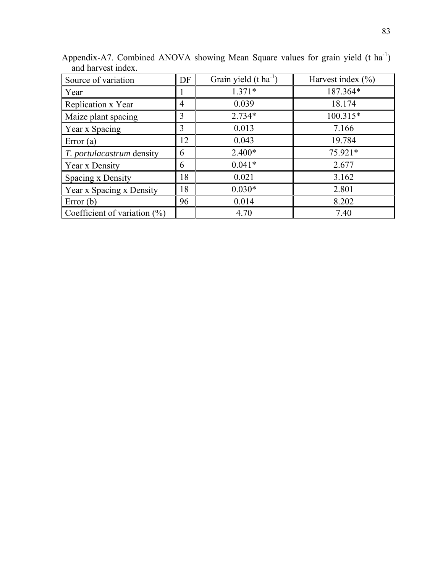| Source of variation             | DF | Grain yield $(t \text{ ha}^{-1})$ | Harvest index $(\% )$ |
|---------------------------------|----|-----------------------------------|-----------------------|
| Year                            |    | $1.371*$                          | 187.364*              |
| Replication x Year              | 4  | 0.039                             | 18.174                |
| Maize plant spacing             | 3  | $2.734*$                          | 100.315*              |
| Year x Spacing                  | 3  | 0.013                             | 7.166                 |
| Error $(a)$                     | 12 | 0.043                             | 19.784                |
| T. portulacastrum density       | 6  | $2.400*$                          | 75.921*               |
| Year x Density                  | 6  | $0.041*$                          | 2.677                 |
| Spacing x Density               | 18 | 0.021                             | 3.162                 |
| Year x Spacing x Density        | 18 | $0.030*$                          | 2.801                 |
| Error $(b)$                     | 96 | 0.014                             | 8.202                 |
| Coefficient of variation $(\%)$ |    | 4.70                              | 7.40                  |

Appendix-A7. Combined ANOVA showing Mean Square values for grain yield (t ha<sup>-1</sup>) and harvest index.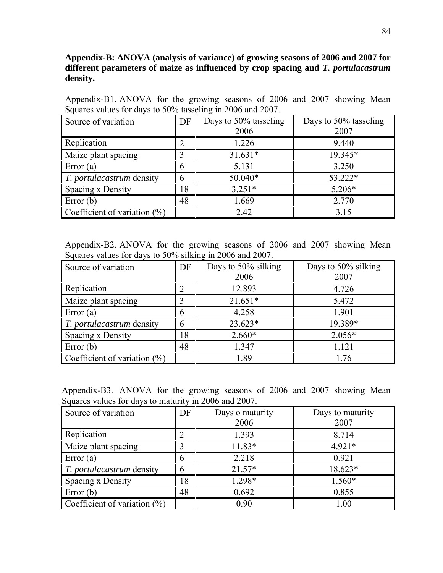## **Appendix-B: ANOVA (analysis of variance) of growing seasons of 2006 and 2007 for different parameters of maize as influenced by crop spacing and** *T. portulacastrum* **density.**

Appendix-B1. ANOVA for the growing seasons of 2006 and 2007 showing Mean Squares values for days to 50% tasseling in 2006 and 2007.

| Source of variation              | DF | Days to 50% tasseling | Days to 50% tasseling |
|----------------------------------|----|-----------------------|-----------------------|
|                                  |    | 2006                  | 2007                  |
| Replication                      |    | 1.226                 | 9.440                 |
| Maize plant spacing              |    | $31.631*$             | 19.345*               |
| Error $(a)$                      | 6  | 5.131                 | 3.250                 |
| <i>T. portulacastrum</i> density | h  | 50.040*               | 53.222*               |
| Spacing x Density                | 8  | $3.251*$              | $5.206*$              |
| Error $(b)$                      | 48 | 1.669                 | 2.770                 |
| Coefficient of variation $(\%)$  |    | 2.42                  | 3.15                  |

Appendix-B2. ANOVA for the growing seasons of 2006 and 2007 showing Mean Squares values for days to 50% silking in 2006 and 2007.

| Source of variation                   | DF | Days to 50% silking | Days to 50% silking |
|---------------------------------------|----|---------------------|---------------------|
|                                       |    | 2006                | 2007                |
| Replication                           |    | 12.893              | 4.726               |
| Maize plant spacing                   |    | $21.651*$           | 5.472               |
| Error $(a)$                           | h  | 4.258               | 1.901               |
| $\parallel$ T. portulacastrum density |    | $23.623*$           | 19.389*             |
| Spacing x Density                     | 18 | $2.660*$            | $2.056*$            |
| Error $(b)$                           | 48 | 1.347               | 1.121               |
| Coefficient of variation $(\%)$       |    | 1.89                | 1.76                |

Appendix-B3. ANOVA for the growing seasons of 2006 and 2007 showing Mean Squares values for days to maturity in 2006 and 2007.

| Source of variation              | DF | Days o maturity<br>2006 | Days to maturity<br>2007 |
|----------------------------------|----|-------------------------|--------------------------|
| Replication                      |    | 1.393                   | 8.714                    |
| Maize plant spacing              |    | $11.83*$                | $4.921*$                 |
| $\vert$ Error (a)                | h  | 2.218                   | 0.921                    |
| <i>T. portulacastrum</i> density | h  | $21.57*$                | 18.623*                  |
| Spacing x Density                | 18 | 1.298*                  | $1.560*$                 |
| Error $(b)$                      | 48 | 0.692                   | 0.855                    |
| Coefficient of variation $(\%)$  |    | 0.90                    | 1.00                     |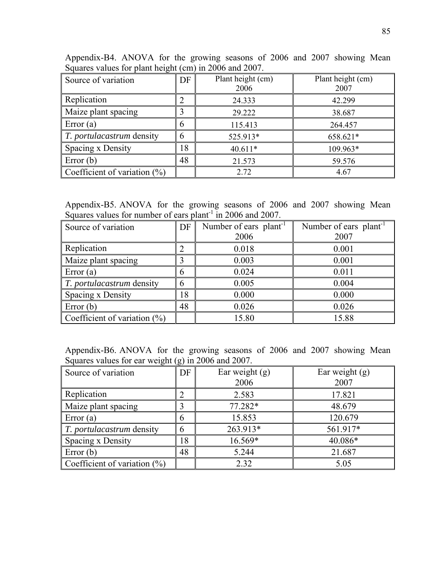| $\overline{O}$ or $\overline{O}$ and $\overline{O}$ and $\overline{O}$ and $\overline{O}$ and $\overline{O}$ and $\overline{O}$ . |    |                           |                           |
|-----------------------------------------------------------------------------------------------------------------------------------|----|---------------------------|---------------------------|
| Source of variation                                                                                                               | DF | Plant height (cm)<br>2006 | Plant height (cm)<br>2007 |
| Replication                                                                                                                       |    | 24.333                    | 42.299                    |
| Maize plant spacing                                                                                                               |    | 29.222                    | 38.687                    |
| Error $(a)$                                                                                                                       | 6  | 115.413                   | 264.457                   |
| $\parallel$ T. portulacastrum density                                                                                             | h  | 525.913*                  | 658.621*                  |
| Spacing x Density                                                                                                                 | 18 | 40.611*                   | 109.963*                  |
| Error $(b)$                                                                                                                       | 48 | 21.573                    | 59.576                    |
| Coefficient of variation $(\%)$                                                                                                   |    | 2.72                      | 4.67                      |

Appendix-B4. ANOVA for the growing seasons of 2006 and 2007 showing Mean Squares values for plant height (cm) in 2006 and 2007.

Appendix-B5. ANOVA for the growing seasons of 2006 and 2007 showing Mean Squares values for number of ears plant<sup>-1</sup> in 2006 and 2007.

| Source of variation             | DF              | Number of ears plant <sup>-1</sup> | Number of ears plant <sup>1</sup> |
|---------------------------------|-----------------|------------------------------------|-----------------------------------|
|                                 |                 | 2006                               | 2007                              |
| Replication                     |                 | 0.018                              | 0.001                             |
| Maize plant spacing             |                 | 0.003                              | 0.001                             |
| Error $(a)$                     | 6               | 0.024                              | 0.011                             |
| T. portulacastrum density       | $6\phantom{.}6$ | 0.005                              | 0.004                             |
| Spacing x Density               | 18              | 0.000                              | 0.000                             |
| Error $(b)$                     | 48              | 0.026                              | 0.026                             |
| Coefficient of variation $(\%)$ |                 | 15.80                              | 15.88                             |

Appendix-B6. ANOVA for the growing seasons of 2006 and 2007 showing Mean Squares values for ear weight (g) in 2006 and 2007.

| Source of variation             | DF | Ear weight $(g)$<br>2006 | Ear weight $(g)$<br>2007 |
|---------------------------------|----|--------------------------|--------------------------|
| Replication                     |    | 2.583                    | 17.821                   |
| Maize plant spacing             |    | 77.282*                  | 48.679                   |
| Error $(a)$                     | h  | 15.853                   | 120.679                  |
| T. portulacastrum density       | 6  | 263.913*                 | 561.917*                 |
| Spacing x Density               | 18 | 16.569*                  | 40.086*                  |
| Error $(b)$                     | 48 | 5.244                    | 21.687                   |
| Coefficient of variation $(\%)$ |    | 2.32                     | 5.05                     |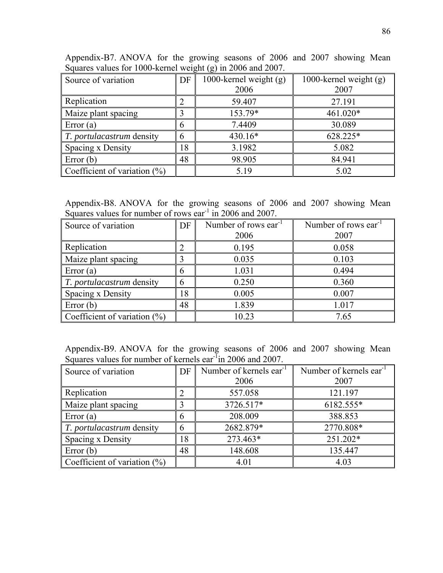|    | Appendix-B7. ANOVA for the growing seasons of 2006 and 2007 showing Mean |  |  |  |  |                                                                 |  |
|----|--------------------------------------------------------------------------|--|--|--|--|-----------------------------------------------------------------|--|
|    | Squares values for 1000-kernel weight (g) in 2006 and 2007.              |  |  |  |  |                                                                 |  |
| __ |                                                                          |  |  |  |  | $\frac{1}{2}$ 1000 1 1 1 $\frac{1}{2}$ 1000 1 1 1 $\frac{1}{2}$ |  |

| Source of variation              | DF | ◡<br><i>\ol</i><br>1000-kernel weight $(g)$<br>2006 | 1000-kernel weight $(g)$<br>2007 |
|----------------------------------|----|-----------------------------------------------------|----------------------------------|
| Replication                      |    | 59.407                                              | 27.191                           |
| Maize plant spacing              |    | 153.79*                                             | 461.020*                         |
| Error $(a)$                      | h  | 7.4409                                              | 30.089                           |
| <i>T. portulacastrum</i> density | 6  | 430.16*                                             | 628.225*                         |
| Spacing x Density                | 18 | 3.1982                                              | 5.082                            |
| Error $(b)$                      | 48 | 98.905                                              | 84.941                           |
| Coefficient of variation $(\%)$  |    | 5.19                                                | 5.02                             |

Appendix-B8. ANOVA for the growing seasons of 2006 and 2007 showing Mean Squares values for number of rows ear<sup>-1</sup> in 2006 and 2007.

| Source of variation              | DF | Number of rows ear <sup>1</sup> | Number of rows $ear^{-1}$ |  |
|----------------------------------|----|---------------------------------|---------------------------|--|
|                                  |    | 2006                            | 2007                      |  |
| Replication                      |    | 0.195                           | 0.058                     |  |
| Maize plant spacing              |    | 0.035                           | 0.103                     |  |
| $\vert$ Error (a)                | h  | 1.031                           | 0.494                     |  |
| $\mid$ T. portulacastrum density | 6  | 0.250                           | 0.360                     |  |
| Spacing x Density                | 18 | 0.005                           | 0.007                     |  |
| $\text{Error}(\mathbf{b})$       | 48 | 1.839                           | 1.017                     |  |
| Coefficient of variation $(\%)$  |    | 10.23                           | 7.65                      |  |

Appendix-B9. ANOVA for the growing seasons of 2006 and 2007 showing Mean Squares values for number of kernels ear<sup>-1</sup>in 2006 and 2007.

| Source of variation              | DF                          | Number of kernels ear <sup>-1</sup> | Number of kernels ear <sup>-1</sup> |
|----------------------------------|-----------------------------|-------------------------------------|-------------------------------------|
|                                  |                             | 2006                                | 2007                                |
| Replication                      | $\mathcal{D}_{\mathcal{L}}$ | 557.058                             | 121.197                             |
| Maize plant spacing              |                             | 3726.517*                           | 6182.555*                           |
| Error $(a)$                      | 6                           | 208.009                             | 388.853                             |
| <i>T. portulacastrum</i> density | 6                           | 2682.879*                           | 2770.808*                           |
| Spacing x Density                | 18                          | 273.463*                            | 251.202*                            |
| Error $(b)$                      | 48                          | 148.608                             | 135.447                             |
| Coefficient of variation $(\%)$  |                             | 4.01                                | 4.03                                |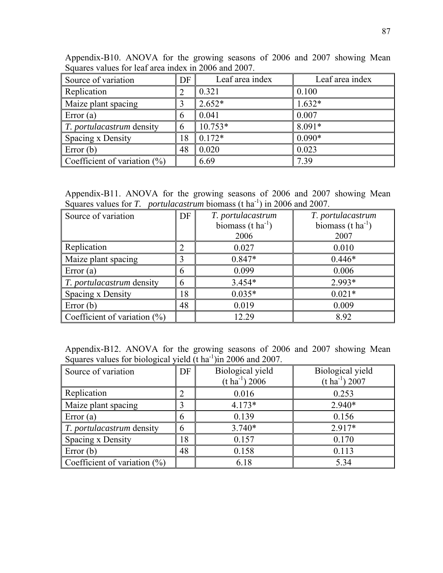| Appendix-B10. ANOVA for the growing seasons of 2006 and 2007 showing Mean |                 |                 |                 |
|---------------------------------------------------------------------------|-----------------|-----------------|-----------------|
| Squares values for leaf area index in 2006 and 2007.                      |                 |                 |                 |
| Source of variation                                                       | DF <sub>1</sub> | Leaf area index | Leaf area index |
| Replication                                                               |                 |                 | 0.100           |

| Replication                      |    | 0.321     | 0.100    |
|----------------------------------|----|-----------|----------|
| Maize plant spacing              |    | $2.652*$  | $1.632*$ |
| Error $(a)$                      | h  | 0.041     | 0.007    |
| <i>T. portulacastrum</i> density |    | $10.753*$ | 8.091*   |
| Spacing x Density                | 18 | $0.172*$  | $0.090*$ |
| Error $(b)$                      | 48 | 0.020     | 0.023    |
| Coefficient of variation $(\%)$  |    | 6.69      | 7.39     |

Appendix-B11. ANOVA for the growing seasons of 2006 and 2007 showing Mean Squares values for *T. portulacastrum* biomass (t ha<sup>-1</sup>) in 2006 and 2007.

| Source of variation              | DF | T. portulacastrum             | T. portulacastrum        |
|----------------------------------|----|-------------------------------|--------------------------|
|                                  |    | biomass $(t \text{ ha}^{-1})$ | biomass $(t \, ha^{-1})$ |
|                                  |    | 2006                          | 2007                     |
| Replication                      |    | 0.027                         | 0.010                    |
| Maize plant spacing              |    | $0.847*$                      | $0.446*$                 |
| Error $(a)$                      | 6  | 0.099                         | 0.006                    |
| <i>T. portulacastrum</i> density | 6  | $3.454*$                      | 2.993*                   |
| Spacing x Density                | 18 | $0.035*$                      | $0.021*$                 |
| Error $(b)$                      | 48 | 0.019                         | 0.009                    |
| Coefficient of variation $(\%)$  |    | 12.29                         | 8.92                     |

Appendix-B12. ANOVA for the growing seasons of 2006 and 2007 showing Mean Squares values for biological yield  $(t \text{ ha}^{-1})$ in 2006 and 2007.

| Source of variation              | DF | Biological yield<br>$(t \, ha^{-1})$ 2006 | Biological yield<br>$(t \, ha^{-1})$ 2007 |
|----------------------------------|----|-------------------------------------------|-------------------------------------------|
| Replication                      |    | 0.016                                     | 0.253                                     |
| Maize plant spacing              |    | $4.173*$                                  | $2.940*$                                  |
| Error $(a)$                      | h  | 0.139                                     | 0.156                                     |
| <i>T. portulacastrum</i> density | 6  | $3.740*$                                  | $2.917*$                                  |
| Spacing x Density                | 18 | 0.157                                     | 0.170                                     |
| Error $(b)$                      | 48 | 0.158                                     | 0.113                                     |
| Coefficient of variation $(\%)$  |    | 6.18                                      | 5.34                                      |